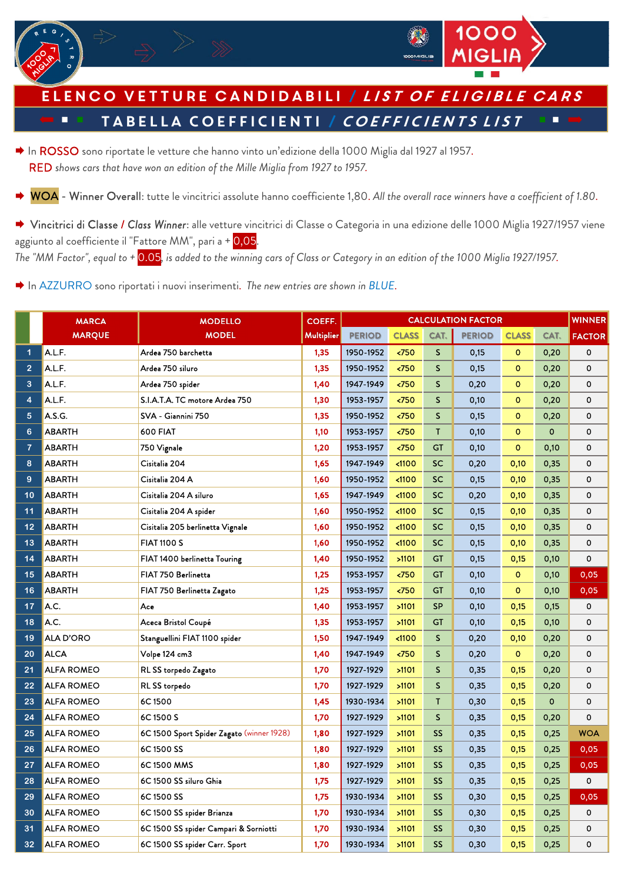

**TE TABELLA COEFFICIENTI / COEFFICIENTS LIST** Elenco vetture candidabili / list of eligible cars

- → In ROSSO sono riportate le vetture che hanno vinto un'edizione della 1000 Miglia dal 1927 al 1957. RED *shows cars that have won an edition of the Mille Miglia from 1927 to 1957.*
- WOA Winner Overall: tutte le vincitrici assolute hanno coefficiente 1,80. *All the overall race winners have a coefficient of 1.80*.
- → Vincitrici di Classe / Class Winner: alle vetture vincitrici di Classe o Categoria in una edizione delle 1000 Miglia 1927/1957 viene aggiunto al coefficiente il "Fattore MM", pari a + 0,05. *The "MM Factor", equal to +* 0.05*, is added to the winning cars of Class or Category in an edition of the 1000 Miglia 1927/1957.*

**→** In AZZURRO sono riportati i nuovi inserimenti. The new entries are shown in BLUE.

|                          | <b>MARCA</b>      | <b>MODELLO</b>                            | COEFF.     | <b>CALCULATION FACTOR</b> |                  |              |               |              |             |               |
|--------------------------|-------------------|-------------------------------------------|------------|---------------------------|------------------|--------------|---------------|--------------|-------------|---------------|
|                          | <b>MARQUE</b>     | <b>MODEL</b>                              | Multiplier | <b>PERIOD</b>             | <b>CLASS</b>     | CAT.         | <b>PERIOD</b> | <b>CLASS</b> | CAT.        | <b>FACTOR</b> |
| 1                        | A.L.F.            | Ardea 750 barchetta                       | 1,35       | 1950-1952                 | < 750            | S            | 0,15          | $\mathbf{O}$ | 0,20        | 0             |
| $\overline{2}$           | A.L.F.            | Ardea 750 siluro                          | 1,35       | 1950-1952                 | 50 <sub>50</sub> | $\mathsf S$  | 0.15          | $\mathbf{O}$ | 0,20        | $\mathbf 0$   |
| 3                        | A.L.F.            | Ardea 750 spider                          | 1,40       | 1947-1949                 | 50 <sub>50</sub> | $\mathsf{S}$ | 0.20          | $\circ$      | 0,20        | $\mathbf{o}$  |
| 4                        | A.L.F.            | S.I.A.T.A. TC motore Ardea 750            | 1,30       | 1953-1957                 | 50               | $\mathsf{S}$ | 0,10          | $\mathbf 0$  | 0,20        | 0             |
| 5                        | A.S.G.            | SVA - Giannini 750                        | 1,35       | 1950-1952                 | $750$            | $\mathsf{S}$ | 0,15          | $\circ$      | 0,20        | 0             |
| 6                        | <b>ABARTH</b>     | 600 FIAT                                  | 1,10       | 1953-1957                 | < 750            | T.           | 0,10          | $\mathbf{O}$ | $\mathbf 0$ | 0             |
| $\overline{\mathcal{L}}$ | <b>ABARTH</b>     | 750 Vignale                               | 1,20       | 1953-1957                 | 50               | GT           | 0,10          | $\mathbf{O}$ | 0,10        | 0             |
| 8                        | <b>ABARTH</b>     | Cisitalia 204                             | 1,65       | 1947-1949                 | $1100$           | <b>SC</b>    | 0,20          | 0,10         | 0,35        | 0             |
| 9                        | <b>ABARTH</b>     | Cisitalia 204 A                           | 1,60       | 1950-1952                 | < 1100           | <b>SC</b>    | 0,15          | 0,10         | 0,35        | 0             |
| 10                       | <b>ABARTH</b>     | Cisitalia 204 A siluro                    | 1,65       | 1947-1949                 | $1100$           | <b>SC</b>    | 0,20          | 0,10         | 0,35        | $\mathbf 0$   |
| 11                       | <b>ABARTH</b>     | Cisitalia 204 A spider                    | 1,60       | 1950-1952                 | $1100$           | <b>SC</b>    | 0,15          | 0,10         | 0,35        | 0             |
| 12                       | <b>ABARTH</b>     | Cisitalia 205 berlinetta Vignale          | 1,60       | 1950-1952                 | < 1100           | SC           | 0,15          | 0,10         | 0,35        | 0             |
| 13                       | <b>ABARTH</b>     | <b>FIAT 1100 S</b>                        | 1,60       | 1950-1952                 | $1100$           | <b>SC</b>    | 0,15          | 0,10         | 0,35        | $\mathbf{o}$  |
| 14                       | <b>ABARTH</b>     | FIAT 1400 berlinetta Touring              | 1,40       | 1950-1952                 | >1101            | <b>GT</b>    | 0,15          | 0,15         | 0,10        | 0             |
| 15                       | <b>ABARTH</b>     | FIAT 750 Berlinetta                       | 1,25       | 1953-1957                 | $750$            | <b>GT</b>    | 0,10          | $\mathbf{O}$ | 0,10        | 0,05          |
| 16                       | <b>ABARTH</b>     | FIAT 750 Berlinetta Zagato                | 1,25       | 1953-1957                 | 50 <sub>2</sub>  | <b>GT</b>    | 0,10          | $\mathbf{O}$ | 0,10        | 0,05          |
| 17                       | A.C.              | Ace                                       | 1,40       | 1953-1957                 | >1101            | <b>SP</b>    | 0,10          | 0,15         | 0,15        | 0             |
| 18                       | A.C.              | Aceca Bristol Coupé                       | 1,35       | 1953-1957                 | >1101            | GT           | 0,10          | 0,15         | 0,10        | 0             |
| 19                       | <b>ALA D'ORO</b>  | Stanguellini FIAT 1100 spider             | 1,50       | 1947-1949                 | < 1100           | S            | 0.20          | 0,10         | 0,20        | 0             |
| 20                       | <b>ALCA</b>       | Volpe 124 cm3                             | 1,40       | 1947-1949                 | 50 <sub>2</sub>  | $\mathsf{S}$ | 0,20          | $\mathbf{O}$ | 0,20        | $\mathbf{o}$  |
| 21                       | <b>ALFA ROMEO</b> | RL SS torpedo Zagato                      | 1,70       | 1927-1929                 | >1101            | $\mathsf{S}$ | 0,35          | 0,15         | 0,20        | 0             |
| 22                       | <b>ALFA ROMEO</b> | <b>RL SS torpedo</b>                      | 1,70       | 1927-1929                 | >1101            | $\mathsf{S}$ | 0,35          | 0,15         | 0,20        | 0             |
| 23                       | <b>ALFA ROMEO</b> | 6C1500                                    | 1,45       | 1930-1934                 | >1101            | T            | 0,30          | 0,15         | $\mathbf 0$ | 0             |
| 24                       | <b>ALFA ROMEO</b> | 6C 1500 S                                 | 1,70       | 1927-1929                 | >1101            | S            | 0,35          | 0,15         | 0,20        | $\mathbf 0$   |
| 25                       | ALFA ROMEO        | 6C 1500 Sport Spider Zagato (winner 1928) | 1,80       | 1927-1929                 | >1101            | SS           | 0,35          | 0,15         | 0,25        | <b>WOA</b>    |
| 26                       | <b>ALFA ROMEO</b> | 6C1500 SS                                 | 1,80       | 1927-1929                 | >1101            | <b>SS</b>    | 0,35          | 0,15         | 0,25        | 0,05          |
| 27                       | <b>ALFA ROMEO</b> | 6C1500 MMS                                | 1,80       | 1927-1929                 | >1101            | <b>SS</b>    | 0,35          | 0,15         | 0,25        | 0,05          |
| 28                       | <b>ALFA ROMEO</b> | 6C 1500 SS siluro Ghia                    | 1,75       | 1927-1929                 | >1101            | <b>SS</b>    | 0,35          | 0,15         | 0,25        | 0             |
| 29                       | ALFA ROMEO        | 6C1500 SS                                 | 1,75       | 1930-1934                 | >1101            | <b>SS</b>    | 0,30          | 0,15         | 0,25        | 0,05          |
| 30                       | ALFA ROMEO        | 6C 1500 SS spider Brianza                 | 1,70       | 1930-1934                 | >1101            | <b>SS</b>    | 0,30          | 0,15         | 0,25        | 0             |
| 31                       | <b>ALFA ROMEO</b> | 6C 1500 SS spider Campari & Sorniotti     | 1,70       | 1930-1934                 | >1101            | <b>SS</b>    | 0,30          | 0,15         | 0,25        | 0             |
| 32                       | <b>ALFA ROMEO</b> | 6C 1500 SS spider Carr. Sport             | 1,70       | 1930-1934                 | >1101            | <b>SS</b>    | 0.30          | 0.15         | 0,25        | 0             |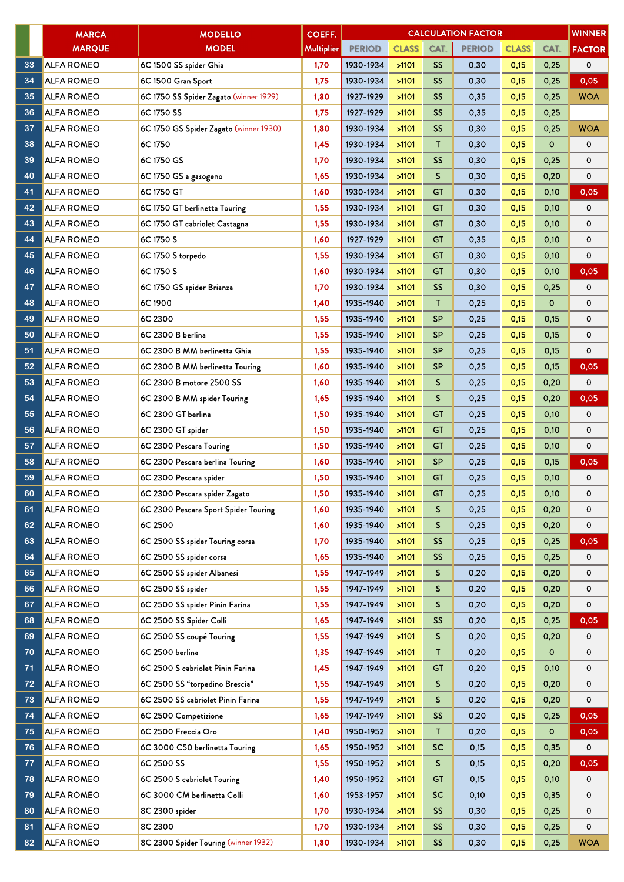|    | <b>MARCA</b>      | <b>MODELLO</b>                         | COEFF.     |               |              |                 | <b>CALCULATION FACTOR</b> |              |             | <b>WINNER</b> |
|----|-------------------|----------------------------------------|------------|---------------|--------------|-----------------|---------------------------|--------------|-------------|---------------|
|    | <b>MARQUE</b>     | <b>MODEL</b>                           | Multiplier | <b>PERIOD</b> | <b>CLASS</b> | CAT.            | <b>PERIOD</b>             | <b>CLASS</b> | CAT.        | <b>FACTOR</b> |
| 33 | <b>ALFA ROMEO</b> | 6C 1500 SS spider Ghia                 | 1,70       | 1930-1934     | >1101        | SS <sub>1</sub> | 0,30                      | 0,15         | 0,25        | 0             |
| 34 | <b>ALFA ROMEO</b> | 6C 1500 Gran Sport                     | 1,75       | 1930-1934     | >1101        | SS              | 0,30                      | 0,15         | 0,25        | 0,05          |
| 35 | <b>ALFA ROMEO</b> | 6C 1750 SS Spider Zagato (winner 1929) | 1,80       | 1927-1929     | >1101        | SS <sub>1</sub> | 0,35                      | 0,15         | 0,25        | <b>WOA</b>    |
| 36 | <b>ALFA ROMEO</b> | 6C 1750 SS                             | 1,75       | 1927-1929     | >1101        | <b>SS</b>       | 0,35                      | 0,15         | 0,25        |               |
| 37 | <b>ALFA ROMEO</b> | 6C 1750 GS Spider Zagato (winner 1930) | 1,80       | 1930-1934     | >1101        | <b>SS</b>       | 0,30                      | 0,15         | 0,25        | <b>WOA</b>    |
| 38 | <b>ALFA ROMEO</b> | 6C1750                                 | 1,45       | 1930-1934     | >1101        | T.              | 0,30                      | 0,15         | $\mathbf 0$ | 0             |
| 39 | <b>ALFA ROMEO</b> | 6C 1750 GS                             | 1,70       | 1930-1934     | >1101        | SS              | 0,30                      | 0,15         | 0,25        | 0             |
| 40 | <b>ALFA ROMEO</b> | 6C 1750 GS a gasogeno                  | 1,65       | 1930-1934     | >1101        | S               | 0,30                      | 0,15         | 0,20        | 0             |
| 41 | <b>ALFA ROMEO</b> | 6C 1750 GT                             | 1,60       | 1930-1934     | >1101        | <b>GT</b>       | 0,30                      | 0,15         | 0,10        | 0,05          |
| 42 | <b>ALFA ROMEO</b> | 6C 1750 GT berlinetta Touring          | 1,55       | 1930-1934     | >1101        | GT              | 0,30                      | 0,15         | 0,10        | 0             |
| 43 | <b>ALFA ROMEO</b> | 6C 1750 GT cabriolet Castagna          | 1,55       | 1930-1934     | >1101        | <b>GT</b>       | 0,30                      | 0,15         | 0,10        | 0             |
| 44 | <b>ALFA ROMEO</b> | 6C 1750 S                              | 1,60       | 1927-1929     | >1101        | GT              | 0,35                      | 0,15         | 0,10        | 0             |
| 45 | <b>ALFA ROMEO</b> | 6C 1750 S torpedo                      | 1,55       | 1930-1934     | >1101        | <b>GT</b>       | 0,30                      | 0,15         | 0,10        | 0             |
| 46 | <b>ALFA ROMEO</b> | 6C 1750 S                              | 1,60       | 1930-1934     | >1101        | GT              | 0,30                      | 0,15         | 0,10        | 0,05          |
| 47 | <b>ALFA ROMEO</b> | 6C 1750 GS spider Brianza              | 1,70       | 1930-1934     | >1101        | <b>SS</b>       | 0,30                      | 0,15         | 0,25        | 0             |
| 48 | <b>ALFA ROMEO</b> | 6C1900                                 | 1,40       | 1935-1940     | >1101        | T               | 0,25                      | 0,15         | $\mathbf 0$ | 0             |
| 49 | <b>ALFA ROMEO</b> | 6C 2300                                | 1,55       | 1935-1940     | >1101        | <b>SP</b>       | 0,25                      | 0,15         | 0,15        | 0             |
| 50 | <b>ALFA ROMEO</b> | 6C 2300 B berlina                      | 1,55       | 1935-1940     | >1101        | SP              | 0,25                      | 0,15         | 0,15        | 0             |
| 51 | <b>ALFA ROMEO</b> | 6C 2300 B MM berlinetta Ghia           | 1,55       | 1935-1940     | >1101        | <b>SP</b>       | 0,25                      | 0,15         | 0,15        | 0             |
| 52 | <b>ALFA ROMEO</b> | 6C 2300 B MM berlinetta Touring        | 1,60       | 1935-1940     | >1101        | SP              | 0,25                      | 0,15         | 0,15        | 0,05          |
| 53 | <b>ALFA ROMEO</b> | 6C 2300 B motore 2500 SS               | 1,60       | 1935-1940     | >1101        | S               | 0,25                      | 0,15         | 0,20        | 0             |
| 54 | <b>ALFA ROMEO</b> | 6C 2300 B MM spider Touring            | 1,65       | 1935-1940     | >1101        | S               | 0,25                      | 0,15         | 0,20        | 0,05          |
| 55 | <b>ALFA ROMEO</b> | 6C 2300 GT berlina                     | 1,50       | 1935-1940     | >1101        | <b>GT</b>       | 0,25                      | 0,15         | 0,10        | 0             |
| 56 | <b>ALFA ROMEO</b> | 6C 2300 GT spider                      | 1,50       | 1935-1940     | >1101        | GT              | 0,25                      | 0,15         | 0,10        | 0             |
| 57 | <b>ALFA ROMEO</b> | 6C 2300 Pescara Touring                | 1,50       | 1935-1940     | >1101        | <b>GT</b>       | 0,25                      | 0,15         | 0,10        | 0             |
| 58 | <b>ALFA ROMEO</b> | 6C 2300 Pescara berlina Touring        | 1,60       | 1935-1940     | >1101        | <b>SP</b>       | 0,25                      | 0,15         | 0,15        | 0,05          |
| 59 | <b>ALFA ROMEO</b> | 6C 2300 Pescara spider                 | 1,50       | 1935-1940     | >1101        | <b>GT</b>       | 0,25                      | 0,15         | 0,10        | 0             |
| 60 | <b>ALFA ROMEO</b> | 6C 2300 Pescara spider Zagato          | 1,50       | 1935-1940     | >1101        | GT              | 0,25                      | 0,15         | 0,10        | 0             |
| 61 | <b>ALFA ROMEO</b> | 6C 2300 Pescara Sport Spider Touring   | 1,60       | 1935-1940     | >1101        | S.              | 0,25                      | 0,15         | 0,20        | 0             |
| 62 | <b>ALFA ROMEO</b> | 6C 2500                                | 1,60       | 1935-1940     | >1101        | S.              | 0,25                      | 0,15         | 0,20        | 0             |
| 63 | <b>ALFA ROMEO</b> | 6C 2500 SS spider Touring corsa        | 1,70       | 1935-1940     | >1101        | <b>SS</b>       | 0,25                      | 0,15         | 0,25        | 0,05          |
| 64 | <b>ALFA ROMEO</b> | 6C 2500 SS spider corsa                | 1,65       | 1935-1940     | >1101        | SS.             | 0,25                      | 0,15         | 0,25        | 0             |
| 65 | <b>ALFA ROMEO</b> | 6C 2500 SS spider Albanesi             | 1,55       | 1947-1949     | >1101        | S               | 0,20                      | 0,15         | 0,20        | 0             |
| 66 | <b>ALFA ROMEO</b> | 6C 2500 SS spider                      | 1,55       | 1947-1949     | >1101        | S.              | 0,20                      | 0,15         | 0,20        | 0             |
| 67 | <b>ALFA ROMEO</b> | 6C 2500 SS spider Pinin Farina         | 1,55       | 1947-1949     | >1101        | S               | 0,20                      | 0,15         | 0,20        | 0             |
| 68 | <b>ALFA ROMEO</b> | 6C 2500 SS Spider Colli                | 1,65       | 1947-1949     | >1101        | <b>SS</b>       | 0,20                      | 0,15         | 0,25        | 0,05          |
| 69 | <b>ALFA ROMEO</b> | 6C 2500 SS coupé Touring               | 1,55       | 1947-1949     | >1101        | S               | 0,20                      | 0,15         | 0,20        | 0             |
| 70 | <b>ALFA ROMEO</b> | 6C 2500 berlina                        | 1,35       | 1947-1949     | >1101        | T.              | 0,20                      | 0,15         | 0           | 0             |
| 71 | <b>ALFA ROMEO</b> | 6C 2500 S cabriolet Pinin Farina       | 1,45       | 1947-1949     | >1101        | GT              | 0,20                      | 0,15         | 0,10        | 0             |
| 72 | <b>ALFA ROMEO</b> | 6C 2500 SS "torpedino Brescia"         | 1,55       | 1947-1949     | >1101        | S.              | 0,20                      | 0,15         | 0,20        | 0             |
| 73 | <b>ALFA ROMEO</b> | 6C 2500 SS cabriolet Pinin Farina      | 1,55       | 1947-1949     | >1101        | S               | 0,20                      | 0,15         | 0,20        | 0             |
| 74 | <b>ALFA ROMEO</b> | 6C 2500 Competizione                   | 1,65       | 1947-1949     | >1101        | <b>SS</b>       | 0,20                      | 0,15         | 0,25        | 0,05          |
| 75 | <b>ALFA ROMEO</b> | 6C 2500 Freccia Oro                    | 1,40       | 1950-1952     | >1101        | T.              | 0,20                      | 0,15         | 0           | 0,05          |
| 76 | <b>ALFA ROMEO</b> | 6C 3000 C50 berlinetta Touring         | 1,65       | 1950-1952     | >1101        | <b>SC</b>       | 0,15                      | 0,15         | 0,35        | 0             |
| 77 | <b>ALFA ROMEO</b> | 6C 2500 SS                             | 1,55       | 1950-1952     | >1101        | S.              | 0,15                      | 0,15         | 0,20        | 0,05          |
| 78 | <b>ALFA ROMEO</b> | 6C 2500 S cabriolet Touring            | 1,40       | 1950-1952     | >1101        | GT              | 0,15                      | 0,15         | 0,10        | 0             |
| 79 | <b>ALFA ROMEO</b> | 6C 3000 CM berlinetta Colli            | 1,60       | 1953-1957     | >1101        | SC.             | 0,10                      | 0,15         | 0,35        | 0             |
| 80 | <b>ALFA ROMEO</b> | 8C 2300 spider                         | 1,70       | 1930-1934     | >1101        | <b>SS</b>       | 0,30                      | 0,15         | 0,25        | 0             |
| 81 | <b>ALFA ROMEO</b> | 8C 2300                                | 1,70       | 1930-1934     | >1101        | SS.             | 0,30                      | 0,15         | 0,25        | 0             |
| 82 | <b>ALFA ROMEO</b> | 8C 2300 Spider Touring (winner 1932)   | 1,80       | 1930-1934     | >1101        | <b>SS</b>       | 0,30                      | 0,15         | 0,25        | <b>WOA</b>    |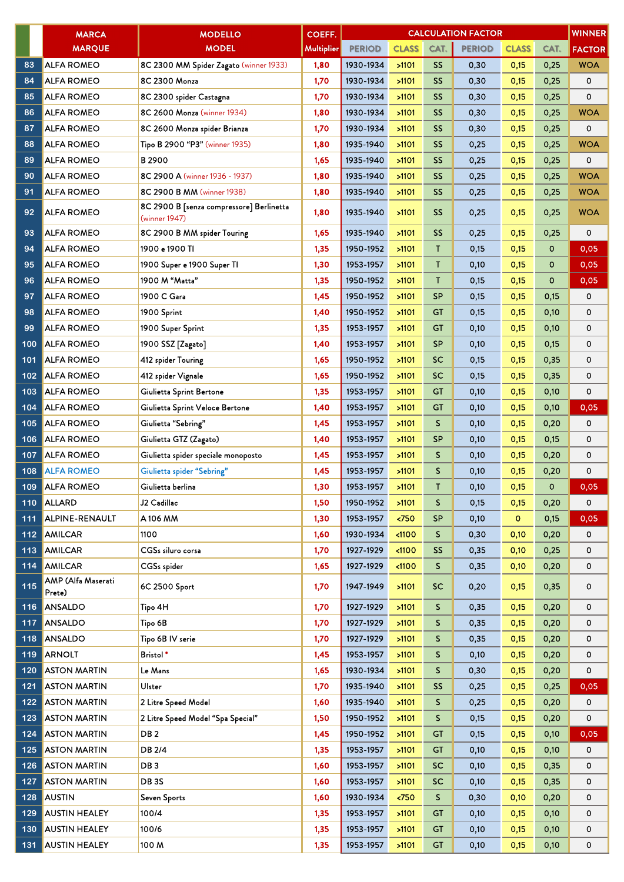|     | <b>MARCA</b>                 | <b>MODELLO</b>                                            | COEFF.            |               |              |              | <b>CALCULATION FACTOR</b> |              |             | <b>WINNER</b> |
|-----|------------------------------|-----------------------------------------------------------|-------------------|---------------|--------------|--------------|---------------------------|--------------|-------------|---------------|
|     | <b>MARQUE</b>                | <b>MODEL</b>                                              | <b>Multiplier</b> | <b>PERIOD</b> | <b>CLASS</b> | CAT.         | <b>PERIOD</b>             | <b>CLASS</b> | CAT.        | <b>FACTOR</b> |
| 83  | <b>ALFA ROMEO</b>            | 8C 2300 MM Spider Zagato (winner 1933)                    | 1,80              | 1930-1934     | >1101        | <b>SS</b>    | 0,30                      | 0,15         | 0,25        | <b>WOA</b>    |
| 84  | <b>ALFA ROMEO</b>            | 8C 2300 Monza                                             | 1,70              | 1930-1934     | >1101        | <b>SS</b>    | 0,30                      | 0,15         | 0,25        | 0             |
| 85  | <b>ALFA ROMEO</b>            | 8C 2300 spider Castagna                                   | 1,70              | 1930-1934     | >1101        | SS           | 0,30                      | 0,15         | 0,25        | 0             |
| 86  | <b>ALFA ROMEO</b>            | 8C 2600 Monza (winner 1934)                               | 1,80              | 1930-1934     | >1101        | <b>SS</b>    | 0,30                      | 0,15         | 0,25        | <b>WOA</b>    |
| 87  | <b>ALFA ROMEO</b>            | 8C 2600 Monza spider Brianza                              | 1,70              | 1930-1934     | >1101        | <b>SS</b>    | 0,30                      | 0,15         | 0,25        | 0             |
| 88  | <b>ALFA ROMEO</b>            | Tipo B 2900 "P3" (winner 1935)                            | 1,80              | 1935-1940     | >1101        | <b>SS</b>    | 0,25                      | 0,15         | 0,25        | <b>WOA</b>    |
| 89  | <b>ALFA ROMEO</b>            | B <sub>2900</sub>                                         | 1,65              | 1935-1940     | >1101        | SS           | 0,25                      | 0,15         | 0,25        | 0             |
| 90  | <b>ALFA ROMEO</b>            | 8C 2900 A (winner 1936 - 1937)                            | 1,80              | 1935-1940     | >1101        | <b>SS</b>    | 0,25                      | 0,15         | 0,25        | <b>WOA</b>    |
| 91  | <b>ALFA ROMEO</b>            | 8C 2900 B MM (winner 1938)                                | 1,80              | 1935-1940     | >1101        | <b>SS</b>    | 0,25                      | 0,15         | 0,25        | <b>WOA</b>    |
| 92  | <b>ALFA ROMEO</b>            | 8C 2900 B [senza compressore] Berlinetta<br>(winner 1947) | 1,80              | 1935-1940     | >1101        | <b>SS</b>    | 0,25                      | 0,15         | 0,25        | <b>WOA</b>    |
| 93  | <b>ALFA ROMEO</b>            | 8C 2900 B MM spider Touring                               | 1,65              | 1935-1940     | >1101        | <b>SS</b>    | 0,25                      | 0,15         | 0,25        | 0             |
| 94  | <b>ALFA ROMEO</b>            | 1900 e 1900 TI                                            | 1,35              | 1950-1952     | >1101        | Τ            | 0,15                      | 0,15         | $\mathbf 0$ | 0,05          |
| 95  | <b>ALFA ROMEO</b>            | 1900 Super e 1900 Super TI                                | 1,30              | 1953-1957     | >1101        | T            | 0,10                      | 0,15         | $\mathbf 0$ | 0,05          |
| 96  | <b>ALFA ROMEO</b>            | 1900 M "Matta"                                            | 1,35              | 1950-1952     | >1101        | T            | 0,15                      | 0,15         | $\circ$     | 0,05          |
| 97  | <b>ALFA ROMEO</b>            | 1900 C Gara                                               | 1,45              | 1950-1952     | >1101        | <b>SP</b>    | 0,15                      | 0,15         | 0,15        | 0             |
| 98  | <b>ALFA ROMEO</b>            | 1900 Sprint                                               | 1,40              | 1950-1952     | >1101        | <b>GT</b>    | 0,15                      | 0,15         | 0,10        | 0             |
| 99  | <b>ALFA ROMEO</b>            | 1900 Super Sprint                                         | 1,35              | 1953-1957     | >1101        | <b>GT</b>    | 0,10                      | 0,15         | 0,10        | 0             |
| 100 | <b>ALFA ROMEO</b>            | 1900 SSZ [Zagato]                                         | 1,40              | 1953-1957     | >1101        | <b>SP</b>    | 0,10                      | 0,15         | 0,15        | 0             |
| 101 | ALFA ROMEO                   | 412 spider Touring                                        | 1,65              | 1950-1952     | >1101        | <b>SC</b>    | 0,15                      | 0,15         | 0,35        | 0             |
| 102 | <b>ALFA ROMEO</b>            | 412 spider Vignale                                        | 1,65              | 1950-1952     | >1101        | <b>SC</b>    | 0,15                      | 0,15         | 0,35        | 0             |
| 103 | ALFA ROMEO                   | Giulietta Sprint Bertone                                  | 1,35              | 1953-1957     | >1101        | <b>GT</b>    | 0,10                      | 0,15         | 0,10        | 0             |
| 104 | <b>ALFA ROMEO</b>            | Giulietta Sprint Veloce Bertone                           | 1,40              | 1953-1957     | >1101        | <b>GT</b>    | 0,10                      | 0,15         | 0,10        | 0,05          |
| 105 | <b>ALFA ROMEO</b>            | Giulietta "Sebring"                                       | 1,45              | 1953-1957     | >1101        | S            | 0,10                      | 0,15         | 0,20        | 0             |
| 106 | <b>ALFA ROMEO</b>            | Giulietta GTZ (Zagato)                                    | 1,40              | 1953-1957     | >1101        | <b>SP</b>    | 0,10                      | 0,15         | 0,15        | 0             |
| 107 | <b>ALFA ROMEO</b>            | Giulietta spider speciale monoposto                       | 1,45              | 1953-1957     | >1101        | S            | 0,10                      | 0,15         | 0,20        | 0             |
| 108 | <b>ALFA ROMEO</b>            | Giulietta spider "Sebring"                                | 1,45              | 1953-1957     | >1101        | $\mathsf{S}$ | 0,10                      | 0,15         | 0,20        | 0             |
| 109 | <b>ALFA ROMEO</b>            | Giulietta berlina                                         | 1,30              | 1953-1957     | >1101        | T            | 0,10                      | 0,15         | $\mathbf 0$ | 0,05          |
| 110 | <b>ALLARD</b>                | J2 Cadillac                                               | 1,50              | 1950-1952     | >1101        | S            | 0,15                      | 0,15         | 0,20        | 0             |
| 111 | ALPINE-RENAULT               | A106 MM                                                   | 1,30              | 1953-1957     | $750$        | <b>SP</b>    | 0,10                      | $\circ$      | 0,15        | 0,05          |
| 112 | <b>AMILCAR</b>               | 1100                                                      | 1,60              | 1930-1934     | $1100$       | S            | 0,30                      | 0,10         | 0,20        | 0             |
| 113 | <b>AMILCAR</b>               | CGSs siluro corsa                                         | 1,70              | 1927-1929     | < 1100       | <b>SS</b>    | 0,35                      | 0,10         | 0,25        | 0             |
| 114 | <b>AMILCAR</b>               | CGSs spider                                               | 1,65              | 1927-1929     | < 1100       | S            | 0,35                      | 0,10         | 0,20        | 0             |
| 115 | AMP (Alfa Maserati<br>Prete) | 6C 2500 Sport                                             | 1,70              | 1947-1949     | >1101        | <b>SC</b>    | 0,20                      | 0,15         | 0,35        | 0             |
| 116 | ANSALDO                      | Tipo 4H                                                   | 1,70              | 1927-1929     | >1101        | S            | 0,35                      | 0,15         | 0,20        | 0             |
| 117 | <b>ANSALDO</b>               | Tipo 6B                                                   | 1,70              | 1927-1929     | >1101        | S.           | 0,35                      | 0,15         | 0,20        | 0             |
| 118 | <b>ANSALDO</b>               | Tipo 6B IV serie                                          | 1,70              | 1927-1929     | >1101        | S            | 0,35                      | 0,15         | 0,20        | 0             |
| 119 | <b>ARNOLT</b>                | Bristol <sup>*</sup>                                      | 1,45              | 1953-1957     | >1101        | S.           | 0,10                      | 0,15         | 0,20        | 0             |
| 120 | <b>ASTON MARTIN</b>          | Le Mans                                                   | 1,65              | 1930-1934     | >1101        | S.           | 0,30                      | 0,15         | 0,20        | 0             |
| 121 | <b>ASTON MARTIN</b>          | Ulster                                                    | 1,70              | 1935-1940     | >1101        | <b>SS</b>    | 0,25                      | 0,15         | 0,25        | 0,05          |
| 122 | <b>ASTON MARTIN</b>          | 2 Litre Speed Model                                       | 1,60              | 1935-1940     | >1101        | S.           | 0,25                      | 0,15         | 0,20        | 0             |
| 123 | <b>ASTON MARTIN</b>          | 2 Litre Speed Model "Spa Special"                         | 1,50              | 1950-1952     | >1101        | S            | 0,15                      | 0,15         | 0,20        | 0             |
| 124 | <b>ASTON MARTIN</b>          | DB <sub>2</sub>                                           | 1,45              | 1950-1952     | >1101        | <b>GT</b>    | 0,15                      | 0,15         | 0,10        | 0,05          |
| 125 | <b>ASTON MARTIN</b>          | DB 2/4                                                    | 1,35              | 1953-1957     | >1101        | GT           | 0,10                      | 0,15         | 0,10        | 0             |
| 126 | <b>ASTON MARTIN</b>          | DB <sub>3</sub>                                           | 1,60              | 1953-1957     | >1101        | <b>SC</b>    | 0,10                      | 0,15         | 0,35        | 0             |
| 127 | <b>ASTON MARTIN</b>          | DB <sub>3</sub> S                                         | 1,60              | 1953-1957     | >1101        | SC           | 0,10                      | 0,15         | 0,35        | 0             |
| 128 | <b>AUSTIN</b>                | Seven Sports                                              | 1,60              | 1930-1934     | < 750        | S.           | 0,30                      | 0,10         | 0,20        | 0             |
| 129 | <b>AUSTIN HEALEY</b>         | 100/4                                                     | 1,35              | 1953-1957     | >1101        | GT           | 0,10                      | 0,15         | 0,10        | 0             |
| 130 | <b>AUSTIN HEALEY</b>         | 100/6                                                     | 1,35              | 1953-1957     | >1101        | GT           | 0,10                      | 0,15         | 0,10        | 0             |
| 131 | <b>AUSTIN HEALEY</b>         | 100 M                                                     | 1,35              | 1953-1957     | >1101        | <b>GT</b>    | 0,10                      | 0,15         | 0,10        | 0             |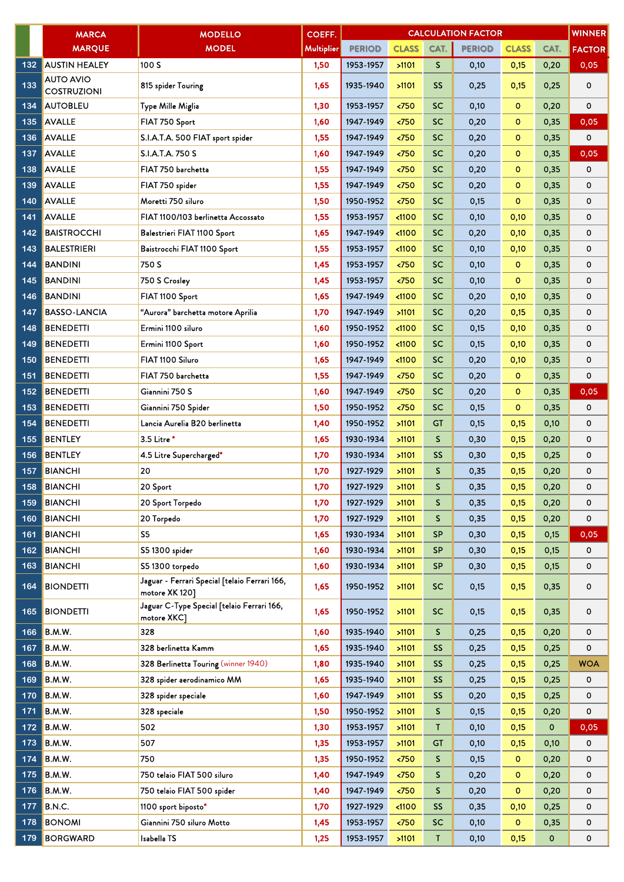|     | <b>MARCA</b>                           | <b>MODELLO</b>                                                  | <b>COEFF.</b>     |               |               |           | <b>CALCULATION FACTOR</b> |              |             | <b>WINNER</b> |
|-----|----------------------------------------|-----------------------------------------------------------------|-------------------|---------------|---------------|-----------|---------------------------|--------------|-------------|---------------|
|     | <b>MARQUE</b>                          | <b>MODEL</b>                                                    | <b>Multiplier</b> | <b>PERIOD</b> | <b>CLASS</b>  | CAT.      | <b>PERIOD</b>             | <b>CLASS</b> | CAT.        | <b>FACTOR</b> |
| 132 | <b>AUSTIN HEALEY</b>                   | 100 S                                                           | 1,50              | 1953-1957     | >1101         | S.        | 0,10                      | 0,15         | 0,20        | 0,05          |
| 133 | <b>AUTO AVIO</b><br><b>COSTRUZIONI</b> | 815 spider Touring                                              | 1,65              | 1935-1940     | >1101         | <b>SS</b> | 0,25                      | 0,15         | 0,25        | 0             |
| 134 | <b>AUTOBLEU</b>                        | Type Mille Miglia                                               | 1,30              | 1953-1957     | < 750         | <b>SC</b> | 0,10                      | $\mathbf{o}$ | 0,20        | 0             |
| 135 | <b>AVALLE</b>                          | FIAT 750 Sport                                                  | 1,60              | 1947-1949     | < 750         | <b>SC</b> | 0,20                      | o            | 0,35        | 0,05          |
| 136 | <b>AVALLE</b>                          | S.I.A.T.A. 500 FIAT sport spider                                | 1,55              | 1947-1949     | < 750         | <b>SC</b> | 0,20                      | $\mathbf{o}$ | 0,35        | 0             |
| 137 | <b>AVALLE</b>                          | S.I.A.T.A. 750 S                                                | 1,60              | 1947-1949     | < 750         | <b>SC</b> | 0,20                      | $\circ$      | 0,35        | 0,05          |
| 138 | <b>AVALLE</b>                          | FIAT 750 barchetta                                              | 1,55              | 1947-1949     | < 750         | <b>SC</b> | 0,20                      | $\circ$      | 0,35        | 0             |
| 139 | <b>AVALLE</b>                          | FIAT 750 spider                                                 | 1,55              | 1947-1949     | < 750         | <b>SC</b> | 0,20                      | $\circ$      | 0,35        | 0             |
| 140 | <b>AVALLE</b>                          | Moretti 750 siluro                                              | 1,50              | 1950-1952     | < 750         | <b>SC</b> | 0,15                      | $\circ$      | 0,35        | 0             |
| 141 | <b>AVALLE</b>                          | FIAT 1100/103 berlinetta Accossato                              | 1,55              | 1953-1957     | $1100$        | <b>SC</b> | 0,10                      | 0,10         | 0,35        | 0             |
| 142 | <b>BAISTROCCHI</b>                     | Balestrieri FIAT 1100 Sport                                     | 1,65              | 1947-1949     | < 1100        | <b>SC</b> | 0,20                      | 0,10         | 0,35        | 0             |
| 143 | <b>BALESTRIERI</b>                     | Baistrocchi FIAT 1100 Sport                                     | 1,55              | 1953-1957     | $1100$        | <b>SC</b> | 0,10                      | 0,10         | 0,35        | 0             |
| 144 | <b>BANDINI</b>                         | 750 S                                                           | 1,45              | 1953-1957     | $750$         | <b>SC</b> | 0,10                      | $\mathbf 0$  | 0,35        | 0             |
| 145 | <b>BANDINI</b>                         | 750 S Crosley                                                   | 1,45              | 1953-1957     | < 750         | <b>SC</b> | 0,10                      | $\circ$      | 0,35        | 0             |
| 146 | <b>BANDINI</b>                         | FIAT 1100 Sport                                                 | 1,65              | 1947-1949     | $1100$        | <b>SC</b> | 0,20                      | 0,10         | 0,35        | 0             |
| 147 | <b>BASSO-LANCIA</b>                    | "Aurora" barchetta motore Aprilia                               | 1,70              | 1947-1949     | >1101         | <b>SC</b> | 0,20                      | 0,15         | 0,35        | 0             |
| 148 | <b>BENEDETTI</b>                       | Ermini 1100 siluro                                              | 1,60              | 1950-1952     | $1100$        | <b>SC</b> | 0,15                      | 0,10         | 0,35        | 0             |
| 149 | <b>BENEDETTI</b>                       | Ermini 1100 Sport                                               | 1,60              | 1950-1952     | < 1100        | <b>SC</b> | 0,15                      | 0,10         | 0,35        | 0             |
| 150 | <b>BENEDETTI</b>                       | FIAT 1100 Siluro                                                | 1,65              | 1947-1949     | $1100$        | <b>SC</b> | 0,20                      | 0,10         | 0,35        | 0             |
| 151 | <b>BENEDETTI</b>                       | FIAT 750 barchetta                                              | 1,55              | 1947-1949     | < 750         | <b>SC</b> | 0,20                      | $\mathbf{o}$ | 0,35        | 0             |
| 152 | <b>BENEDETTI</b>                       | Giannini 750 S                                                  | 1,60              | 1947-1949     | < 750         | <b>SC</b> | 0,20                      | $\circ$      | 0,35        | 0,05          |
| 153 | <b>BENEDETTI</b>                       | Giannini 750 Spider                                             | 1,50              | 1950-1952     | < 750         | <b>SC</b> | 0,15                      | $\circ$      | 0,35        | 0             |
| 154 | <b>BENEDETTI</b>                       | Lancia Aurelia B20 berlinetta                                   | 1,40              | 1950-1952     | >1101         | <b>GT</b> | 0,15                      | 0,15         | 0,10        | 0             |
| 155 | <b>BENTLEY</b>                         | 3.5 Litre *                                                     | 1,65              | 1930-1934     | >1101         | S.        | 0,30                      | 0,15         | 0,20        | 0             |
| 156 | <b>BENTLEY</b>                         | 4.5 Litre Supercharged*                                         | 1,70              | 1930-1934     | >1101         | SS        | 0,30                      | 0,15         | 0,25        | 0             |
| 157 | <b>BIANCHI</b>                         | 20                                                              | 1,70              | 1927-1929     | >1101         | S.        | 0,35                      | 0,15         | 0,20        | 0             |
| 158 | <b>BIANCHI</b>                         | 20 Sport                                                        | 1,70              | 1927-1929     | >1101         | S.        | 0,35                      | 0,15         | 0,20        | 0             |
| 159 | <b>BIANCHI</b>                         | 20 Sport Torpedo                                                | 1,70              | 1927-1929     | >1101         | S         | 0,35                      | 0,15         | 0,20        | 0             |
| 160 | <b>BIANCHI</b>                         | 20 Torpedo                                                      | 1,70              | 1927-1929     | >1101         | S.        | 0,35                      | 0,15         | 0,20        | 0             |
| 161 | <b>BIANCHI</b>                         | S <sub>5</sub>                                                  | 1,65              | 1930-1934     | 51101         | <b>SP</b> | 0,30                      | 0,15         | 0,15        | 0,05          |
| 162 | <b>BIANCHI</b>                         | S5 1300 spider                                                  | 1,60              | 1930-1934     | >1101         | <b>SP</b> | 0,30                      | 0,15         | 0,15        | 0             |
| 163 | <b>BIANCHI</b>                         | S5 1300 torpedo                                                 | 1,60              | 1930-1934     | >1101         | <b>SP</b> | 0,30                      | 0,15         | 0,15        | 0             |
| 164 | <b>BIONDETTI</b>                       | Jaguar - Ferrari Special [telaio Ferrari 166,<br>motore XK 120] | 1,65              | 1950-1952     | >1101         | <b>SC</b> | 0,15                      | 0,15         | 0,35        | 0             |
| 165 | <b>BIONDETTI</b>                       | Jaguar C-Type Special [telaio Ferrari 166,<br>motore XKC]       | 1,65              | 1950-1952     | >1101         | <b>SC</b> | 0,15                      | 0,15         | 0,35        | 0             |
| 166 | B.M.W.                                 | 328                                                             | 1,60              | 1935-1940     | >1101         | S         | 0,25                      | 0,15         | 0,20        | 0             |
| 167 | B.M.W.                                 | 328 berlinetta Kamm                                             | 1,65              | 1935-1940     | >1101         | <b>SS</b> | 0,25                      | 0,15         | 0,25        | 0             |
| 168 | B.M.W.                                 | 328 Berlinetta Touring (winner 1940)                            | 1,80              | 1935-1940     | >1101         | SS        | 0,25                      | 0,15         | 0,25        | <b>WOA</b>    |
| 169 | B.M.W.                                 | 328 spider aerodinamico MM                                      | 1,65              | 1935-1940     | >1101         | <b>SS</b> | 0,25                      | 0,15         | 0,25        | 0             |
| 170 | B.M.W.                                 | 328 spider speciale                                             | 1,60              | 1947-1949     | >1101         | <b>SS</b> | 0,20                      | 0,15         | 0,25        | 0             |
| 171 | B.M.W.                                 | 328 speciale                                                    | 1,50              | 1950-1952     | >1101         | S.        | 0,15                      | 0,15         | 0,20        | 0             |
| 172 | B.M.W.                                 | 502                                                             | 1,30              | 1953-1957     | >1101         | Т         | 0,10                      | 0,15         | $\mathbf 0$ | 0,05          |
| 173 | B.M.W.                                 | 507                                                             | 1,35              | 1953-1957     | >1101         | <b>GT</b> | 0,10                      | 0,15         | 0,10        | 0             |
| 174 | B.M.W.                                 | 750                                                             | 1,35              | 1950-1952     | $\langle 750$ | S         | 0,15                      | $\mathbf{o}$ | 0,20        | 0             |
| 175 | B.M.W.                                 | 750 telaio FIAT 500 siluro                                      | 1,40              | 1947-1949     | $750$         | S.        | 0,20                      | o            | 0,20        | 0             |
| 176 | B.M.W.                                 | 750 telaio FIAT 500 spider                                      | 1,40              | 1947-1949     | $750$         | S.        | 0,20                      | $\mathbf{o}$ | 0,20        | 0             |
| 177 | <b>B.N.C.</b>                          | 1100 sport biposto*                                             | 1,70              | 1927-1929     | $1100$        | <b>SS</b> | 0,35                      | 0,10         | 0,25        | 0             |
| 178 | <b>BONOMI</b>                          | Giannini 750 siluro Motto                                       | 1,45              | 1953-1957     | $750$         | <b>SC</b> | 0,10                      | o            | 0,35        | 0             |
| 179 | <b>BORGWARD</b>                        | Isabella TS                                                     | 1,25              | 1953-1957     | >1101         | Т         | 0,10                      | 0,15         | $\mathbf 0$ | 0             |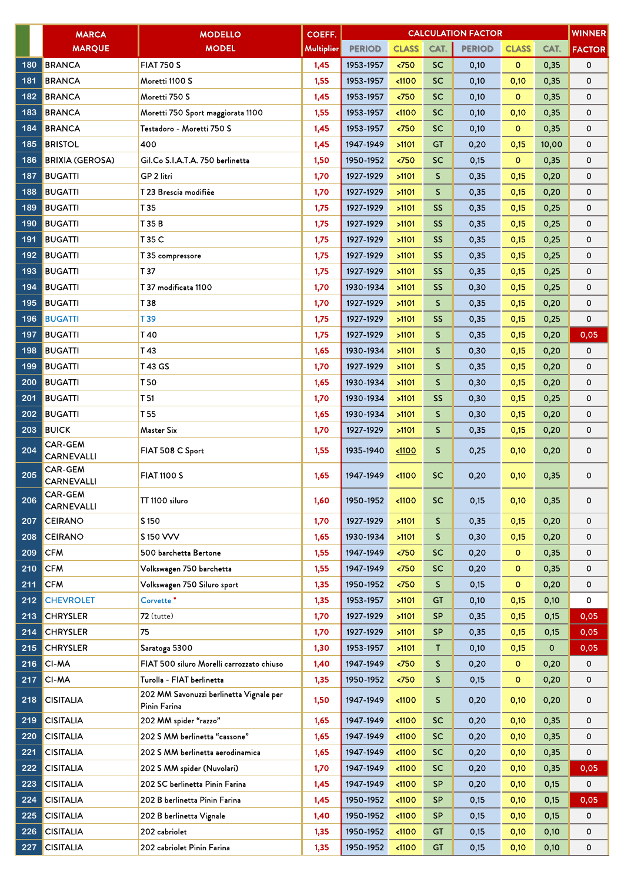|     | <b>MARCA</b>                        | <b>MODELLO</b>                                          | COEFF.            |               |                       |           | <b>CALCULATION FACTOR</b> |              |       | <b>WINNER</b> |
|-----|-------------------------------------|---------------------------------------------------------|-------------------|---------------|-----------------------|-----------|---------------------------|--------------|-------|---------------|
|     | <b>MARQUE</b>                       | <b>MODEL</b>                                            | <b>Multiplier</b> | <b>PERIOD</b> | <b>CLASS</b>          | CAT.      | <b>PERIOD</b>             | <b>CLASS</b> | CAT.  | <b>FACTOR</b> |
| 180 | <b>BRANCA</b>                       | <b>FIAT 750 S</b>                                       | 1,45              | 1953-1957     | < 750                 | <b>SC</b> | 0,10                      | $\mathbf 0$  | 0,35  | 0             |
| 181 | <b>BRANCA</b>                       | Moretti 1100 S                                          | 1,55              | 1953-1957     | $1100$                | <b>SC</b> | 0,10                      | 0,10         | 0,35  | 0             |
| 182 | <b>BRANCA</b>                       | Moretti 750 S                                           | 1,45              | 1953-1957     | < 750                 | <b>SC</b> | 0,10                      | $\circ$      | 0,35  | 0             |
| 183 | <b>BRANCA</b>                       | Moretti 750 Sport maggiorata 1100                       | 1,55              | 1953-1957     | $1100$                | SC        | 0,10                      | 0,10         | 0,35  | 0             |
| 184 | <b>BRANCA</b>                       | Testadoro - Moretti 750 S                               | 1,45              | 1953-1957     | < 750                 | <b>SC</b> | 0,10                      | $\circ$      | 0,35  | 0             |
| 185 | <b>BRISTOL</b>                      | 400                                                     | 1,45              | 1947-1949     | >1101                 | <b>GT</b> | 0,20                      | 0,15         | 10,00 | 0             |
| 186 | <b>BRIXIA (GEROSA)</b>              | Gil.Co S.I.A.T.A. 750 berlinetta                        | 1,50              | 1950-1952     | $750$                 | <b>SC</b> | 0,15                      | $\circ$      | 0,35  | 0             |
| 187 | <b>BUGATTI</b>                      | GP 2 litri                                              | 1,70              | 1927-1929     | >1101                 | S         | 0,35                      | 0,15         | 0,20  | 0             |
| 188 | <b>BUGATTI</b>                      | T 23 Brescia modifiée                                   | 1,70              | 1927-1929     | >1101                 | S         | 0,35                      | 0,15         | 0,20  | 0             |
| 189 | <b>BUGATTI</b>                      | T 35                                                    | 1,75              | 1927-1929     | >1101                 | <b>SS</b> | 0,35                      | 0,15         | 0,25  | 0             |
| 190 | <b>BUGATTI</b>                      | T 35 B                                                  | 1,75              | 1927-1929     | >1101                 | <b>SS</b> | 0,35                      | 0,15         | 0,25  | 0             |
| 191 | <b>BUGATTI</b>                      | T 35 C                                                  | 1,75              | 1927-1929     | >1101                 | <b>SS</b> | 0,35                      | 0,15         | 0,25  | 0             |
| 192 | <b>BUGATTI</b>                      | T 35 compressore                                        | 1,75              | 1927-1929     | >1101                 | <b>SS</b> | 0,35                      | 0,15         | 0,25  | 0             |
| 193 | <b>BUGATTI</b>                      | T 37                                                    | 1,75              | 1927-1929     | >1101                 | <b>SS</b> | 0,35                      | 0,15         | 0,25  | 0             |
| 194 | <b>BUGATTI</b>                      | T 37 modificata 1100                                    | 1,70              | 1930-1934     | >1101                 | <b>SS</b> | 0,30                      | 0,15         | 0,25  | 0             |
| 195 | <b>BUGATTI</b>                      | T 38                                                    | 1,70              | 1927-1929     | >1101                 | S         | 0,35                      | 0,15         | 0,20  | 0             |
| 196 | <b>BUGATTI</b>                      | T 39                                                    | 1,75              | 1927-1929     | >1101                 | <b>SS</b> | 0,35                      | 0,15         | 0,25  | 0             |
| 197 | <b>BUGATTI</b>                      | T40                                                     | 1,75              | 1927-1929     | >1101                 | S         | 0,35                      | 0,15         | 0,20  | 0,05          |
| 198 | <b>BUGATTI</b>                      | T 43                                                    | 1,65              | 1930-1934     | >1101                 | S         | 0,30                      | 0,15         | 0,20  | 0             |
| 199 | <b>BUGATTI</b>                      | T 43 GS                                                 | 1,70              | 1927-1929     | >1101                 | S         | 0,35                      | 0,15         | 0,20  | 0             |
| 200 | <b>BUGATTI</b>                      | T <sub>50</sub>                                         | 1,65              | 1930-1934     | >1101                 | S         | 0,30                      | 0,15         | 0,20  | 0             |
| 201 | <b>BUGATTI</b>                      | T 51                                                    | 1,70              | 1930-1934     | >1101                 | <b>SS</b> | 0,30                      | 0,15         | 0,25  | 0             |
| 202 | <b>BUGATTI</b>                      | T <sub>55</sub>                                         | 1,65              | 1930-1934     | >1101                 | S         | 0,30                      | 0,15         | 0,20  | 0             |
| 203 | <b>BUICK</b>                        | Master Six                                              | 1,70              | 1927-1929     | >1101                 | S         | 0,35                      | 0,15         | 0,20  | 0             |
| 204 | <b>CAR-GEM</b><br><b>CARNEVALLI</b> | FIAT 508 C Sport                                        | 1,55              | 1935-1940     | 1100                  | S         | 0,25                      | 0,10         | 0,20  | 0             |
| 205 | <b>CAR-GEM</b><br><b>CARNEVALLI</b> | <b>FIAT 1100 S</b>                                      | 1,65              | 1947-1949     | < 1100                | <b>SC</b> | 0,20                      | 0,10         | 0,35  | 0             |
| 206 | <b>CAR-GEM</b><br>CARNEVALLI        | TT 1100 siluro                                          | 1,60              | 1950-1952     | < 1100                | <b>SC</b> | 0,15                      | 0,10         | 0,35  | 0             |
| 207 | <b>CEIRANO</b>                      | S <sub>150</sub>                                        | 1,70              | 1927-1929     | >1101                 | S.        | 0,35                      | 0,15         | 0,20  | 0             |
| 208 | <b>CEIRANO</b>                      | S 150 VVV                                               | 1,65              | 1930-1934     | >1101                 | S.        | 0,30                      | 0,15         | 0,20  | 0             |
| 209 | <b>CFM</b>                          | 500 barchetta Bertone                                   | 1,55              | 1947-1949     | < 750                 | <b>SC</b> | 0,20                      | $\mathbf{O}$ | 0,35  | 0             |
| 210 | <b>CFM</b>                          | Volkswagen 750 barchetta                                | 1,55              | 1947-1949     | $\langle 750$         | <b>SC</b> | 0,20                      | $\mathbf{0}$ | 0,35  | 0             |
| 211 | <b>CFM</b>                          | Volkswagen 750 Siluro sport                             | 1,35              | 1950-1952     | 550                   | S.        | 0,15                      | $\mathbf{O}$ | 0,20  | 0             |
| 212 | <b>CHEVROLET</b>                    | Corvette <sup>*</sup>                                   | 1,35              | 1953-1957     | >1101                 | <b>GT</b> | 0,10                      | 0,15         | 0,10  | 0             |
| 213 | <b>CHRYSLER</b>                     | $72$ (tutte)                                            | 1,70              | 1927-1929     | >1101                 | <b>SP</b> | 0,35                      | 0,15         | 0,15  | 0,05          |
| 214 | <b>CHRYSLER</b>                     | 75                                                      | 1,70              | 1927-1929     | >1101                 | <b>SP</b> | 0,35                      | 0,15         | 0,15  | 0,05          |
| 215 | <b>CHRYSLER</b>                     | Saratoga 5300                                           | 1,30              | 1953-1957     | >1101                 | T.        | 0,10                      | 0,15         | 0     | 0,05          |
| 216 | <b>CI-MA</b>                        | FIAT 500 siluro Morelli carrozzato chiuso               | 1,40              | 1947-1949     | $750$                 | S.        | 0,20                      | $\mathbf{O}$ | 0,20  | 0             |
| 217 | <b>CI-MA</b>                        | Turolla - FIAT berlinetta                               | 1,35              | 1950-1952     | $\langle 750 \rangle$ | S.        | 0,15                      | $\mathbf 0$  | 0,20  | 0             |
| 218 | <b>CISITALIA</b>                    | 202 MM Savonuzzi berlinetta Vignale per<br>Pinin Farina | 1,50              | 1947-1949     | < 1100                | S.        | 0,20                      | 0,10         | 0,20  | 0             |
| 219 | <b>CISITALIA</b>                    | 202 MM spider "razzo"                                   | 1,65              | 1947-1949     | < 1100                | <b>SC</b> | 0,20                      | 0,10         | 0,35  | 0             |
| 220 | <b>CISITALIA</b>                    | 202 S MM berlinetta "cassone"                           | 1,65              | 1947-1949     | < 1100                | <b>SC</b> | 0,20                      | 0,10         | 0,35  | 0             |
| 221 | <b>CISITALIA</b>                    | 202 S MM berlinetta aerodinamica                        | 1,65              | 1947-1949     | $1100$                | <b>SC</b> | 0,20                      | 0,10         | 0,35  | 0             |
| 222 | <b>CISITALIA</b>                    | 202 S MM spider (Nuvolari)                              | 1,70              | 1947-1949     | < 1100                | <b>SC</b> | 0,20                      | 0,10         | 0,35  | 0,05          |
| 223 | <b>CISITALIA</b>                    | 202 SC berlinetta Pinin Farina                          | 1,45              | 1947-1949     | $1100$                | <b>SP</b> | 0,20                      | 0,10         | 0,15  | 0             |
| 224 | <b>CISITALIA</b>                    | 202 B berlinetta Pinin Farina                           | 1,45              | 1950-1952     | < 1100                | <b>SP</b> | 0,15                      | 0,10         | 0,15  | 0,05          |
| 225 | <b>CISITALIA</b>                    | 202 B berlinetta Vignale                                | 1,40              | 1950-1952     | < 1100                | <b>SP</b> | 0,15                      | 0,10         | 0,15  | 0             |
| 226 | <b>CISITALIA</b>                    | 202 cabriolet                                           | 1,35              | 1950-1952     | < 1100                | <b>GT</b> | 0,15                      | 0,10         | 0,10  | 0             |
| 227 | <b>CISITALIA</b>                    | 202 cabriolet Pinin Farina                              | 1,35              | 1950-1952     | $1100$                | <b>GT</b> | 0,15                      | 0,10         | 0,10  | 0             |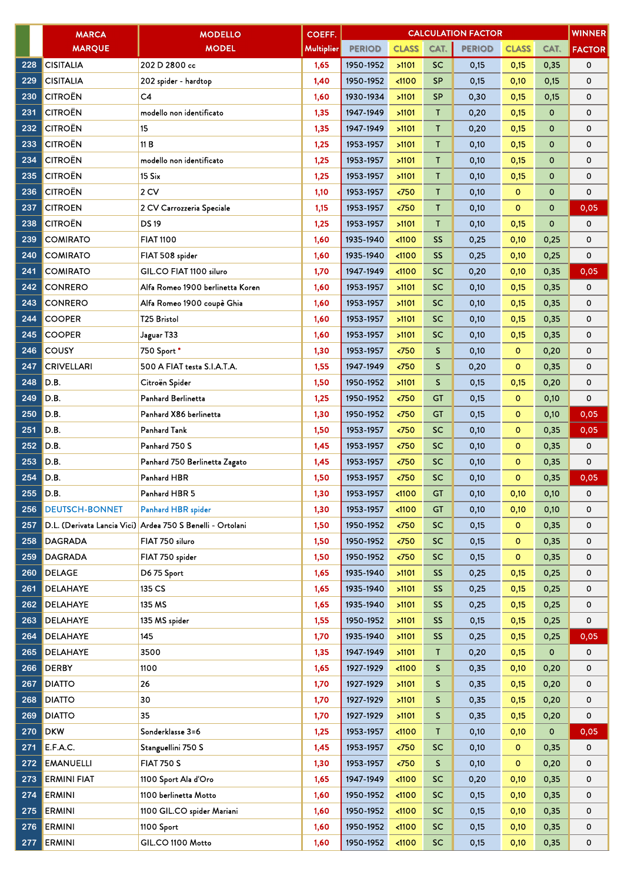|     | <b>MARCA</b>          | <b>MODELLO</b>                                             | COEFF.            |               |                 |              | <b>CALCULATION FACTOR</b> |              |             | <b>WINNER</b> |
|-----|-----------------------|------------------------------------------------------------|-------------------|---------------|-----------------|--------------|---------------------------|--------------|-------------|---------------|
|     | <b>MARQUE</b>         | <b>MODEL</b>                                               | <b>Multiplier</b> | <b>PERIOD</b> | <b>CLASS</b>    | CAT.         | <b>PERIOD</b>             | <b>CLASS</b> | CAT.        | <b>FACTOR</b> |
| 228 | <b>CISITALIA</b>      | 202 D 2800 cc                                              | 1,65              | 1950-1952     | >1101           | <b>SC</b>    | 0,15                      | 0,15         | 0,35        | 0             |
| 229 | <b>CISITALIA</b>      | 202 spider - hardtop                                       | 1,40              | 1950-1952     | < 1100          | <b>SP</b>    | 0,15                      | 0,10         | 0,15        | 0             |
| 230 | <b>CITROËN</b>        | C4                                                         | 1,60              | 1930-1934     | >1101           | <b>SP</b>    | 0,30                      | 0,15         | 0,15        | 0             |
| 231 | <b>CITROËN</b>        | modello non identificato                                   | 1,35              | 1947-1949     | >1101           | T.           | 0,20                      | 0,15         | 0           | 0             |
| 232 | <b>CITROËN</b>        | 15                                                         | 1,35              | 1947-1949     | >1101           | Τ            | 0,20                      | 0,15         | 0           | 0             |
| 233 | <b>CITROËN</b>        | 11 B                                                       | 1,25              | 1953-1957     | >1101           | T            | 0,10                      | 0,15         | 0           | 0             |
| 234 | <b>CITROËN</b>        | modello non identificato                                   | 1,25              | 1953-1957     | >1101           | T            | 0,10                      | 0,15         | 0           | 0             |
| 235 | <b>CITROËN</b>        | 15 Six                                                     | 1,25              | 1953-1957     | >1101           | T            | 0,10                      | 0,15         | 0           | 0             |
| 236 | <b>CITROËN</b>        | 2 CV                                                       | 1,10              | 1953-1957     | < 750           | $\mathsf{T}$ | 0,10                      | $\circ$      | 0           | 0             |
| 237 | <b>CITROEN</b>        | 2 CV Carrozzeria Speciale                                  | 1,15              | 1953-1957     | < 750           | T            | 0,10                      | $\circ$      | $\mathbf 0$ | 0,05          |
| 238 | <b>CITROËN</b>        | <b>DS19</b>                                                | 1,25              | 1953-1957     | >1101           | T            | 0,10                      | 0,15         | $\mathbf 0$ | 0             |
| 239 | <b>COMIRATO</b>       | <b>FIAT 1100</b>                                           | 1,60              | 1935-1940     | < 1100          | <b>SS</b>    | 0,25                      | 0,10         | 0,25        | 0             |
| 240 | <b>COMIRATO</b>       | FIAT 508 spider                                            | 1,60              | 1935-1940     | $1100$          | <b>SS</b>    | 0,25                      | 0,10         | 0,25        | 0             |
| 241 | <b>COMIRATO</b>       | GIL.CO FIAT 1100 siluro                                    | 1,70              | 1947-1949     | < 1100          | <b>SC</b>    | 0,20                      | 0,10         | 0,35        | 0,05          |
| 242 | <b>CONRERO</b>        | Alfa Romeo 1900 berlinetta Koren                           | 1,60              | 1953-1957     | >1101           | <b>SC</b>    | 0,10                      | 0,15         | 0,35        | 0             |
| 243 | <b>CONRERO</b>        | Alfa Romeo 1900 coupè Ghia                                 | 1,60              | 1953-1957     | >1101           | <b>SC</b>    | 0,10                      | 0,15         | 0,35        | 0             |
| 244 | <b>COOPER</b>         | <b>T25 Bristol</b>                                         | 1,60              | 1953-1957     | >1101           | <b>SC</b>    | 0,10                      | 0,15         | 0,35        | 0             |
| 245 | <b>COOPER</b>         | Jaguar T33                                                 | 1,60              | 1953-1957     | >1101           | <b>SC</b>    | 0,10                      | 0,15         | 0,35        | 0             |
| 246 | <b>COUSY</b>          | 750 Sport *                                                | 1,30              | 1953-1957     | 50              | $\mathsf{S}$ | 0,10                      | $\mathbf 0$  | 0,20        | 0             |
| 247 | <b>CRIVELLARI</b>     | 500 A FIAT testa S.I.A.T.A.                                | 1,55              | 1947-1949     | < 750           | $\mathsf S$  | 0,20                      | $\circ$      | 0,35        | 0             |
| 248 | D.B.                  | Citroën Spider                                             | 1,50              | 1950-1952     | >1101           | S            | 0,15                      | 0,15         | 0,20        | 0             |
| 249 | D.B.                  | Panhard Berlinetta                                         | 1,25              | 1950-1952     | < 750           | <b>GT</b>    | 0,15                      | o            | 0,10        | 0             |
| 250 | D.B.                  | Panhard X86 berlinetta                                     | 1,30              | 1950-1952     | $750$           | <b>GT</b>    | 0,15                      | $\mathbf 0$  | 0,10        | 0,05          |
| 251 | D.B.                  | Panhard Tank                                               | 1,50              | 1953-1957     | $750$           | <b>SC</b>    | 0,10                      | $\circ$      | 0,35        | 0,05          |
| 252 | D.B.                  | Panhard 750 S                                              | 1,45              | 1953-1957     | < 750           | <b>SC</b>    | 0,10                      | $\mathbf{o}$ | 0,35        | 0             |
| 253 | D.B.                  | Panhard 750 Berlinetta Zagato                              | 1,45              | 1953-1957     | < 750           | <b>SC</b>    | 0,10                      | $\mathbf{o}$ | 0,35        | 0             |
| 254 | D.B.                  | Panhard HBR                                                | 1,50              | 1953-1957     | < 750           | <b>SC</b>    | 0,10                      | $\circ$      | 0,35        | 0,05          |
| 255 | D.B                   | Panhard HBR 5                                              | 1,30              | 1953-1957     | $1100$          | <b>GT</b>    | 0,10                      | 0,10         | 0,10        | 0             |
| 256 | <b>DEUTSCH-BONNET</b> | Panhard HBR spider                                         | 1,30              | 1953-1957     | $1100$          | GT           | 0,10                      | 0,10         | 0,10        | 0             |
| 257 |                       | D.L. (Derivata Lancia Vici) Ardea 750 S Benelli - Ortolani | 1,50              | 1950-1952     | < 750           | <b>SC</b>    | 0,15                      | $\mathbf{O}$ | 0,35        | 0             |
| 258 | <b>DAGRADA</b>        | FIAT 750 siluro                                            | 1,50              | 1950-1952     | 50 <sub>2</sub> | <b>SC</b>    | 0,15                      | $\circ$      | 0,35        | 0             |
| 259 | <b>DAGRADA</b>        | FIAT 750 spider                                            | 1,50              | 1950-1952     | $750$           | <b>SC</b>    | 0,15                      | $\mathbf{o}$ | 0,35        | 0             |
| 260 | <b>DELAGE</b>         | D675 Sport                                                 | 1,65              | 1935-1940     | >1101           | <b>SS</b>    | 0,25                      | 0,15         | 0,25        | 0             |
| 261 | <b>DELAHAYE</b>       | 135 CS                                                     | 1,65              | 1935-1940     | >1101           | <b>SS</b>    | 0,25                      | 0,15         | 0,25        | 0             |
| 262 | <b>DELAHAYE</b>       | 135 MS                                                     | 1,65              | 1935-1940     | >1101           | SS.          | 0,25                      | 0,15         | 0,25        | 0             |
| 263 | <b>DELAHAYE</b>       | 135 MS spider                                              | 1,55              | 1950-1952     | >1101           | <b>SS</b>    | 0,15                      | 0,15         | 0,25        | 0             |
| 264 | <b>DELAHAYE</b>       | 145                                                        | 1,70              | 1935-1940     | >1101           | SS.          | 0,25                      | 0,15         | 0,25        | 0,05          |
| 265 | <b>DELAHAYE</b>       | 3500                                                       | 1,35              | 1947-1949     | >1101           | T            | 0,20                      | 0,15         | 0           | 0             |
| 266 | <b>DERBY</b>          | 1100                                                       | 1,65              | 1927-1929     | $1100$          | S.           | 0,35                      | 0,10         | 0,20        | 0             |
| 267 | <b>DIATTO</b>         | 26                                                         | 1,70              | 1927-1929     | >1101           | S.           | 0,35                      | 0,15         | 0,20        | 0             |
| 268 | <b>DIATTO</b>         | 30                                                         | 1,70              | 1927-1929     | >1101           | S.           | 0,35                      | 0,15         | 0,20        | 0             |
| 269 | <b>DIATTO</b>         | 35                                                         | 1,70              | 1927-1929     | >1101           | S.           | 0,35                      | 0,15         | 0,20        | 0             |
| 270 | <b>DKW</b>            | Sonderklasse 3=6                                           | 1,25              | 1953-1957     | < 1100          | $\mathsf{T}$ | 0,10                      | 0,10         | 0           | 0,05          |
| 271 | E.F.A.C.              | Stanguellini 750 S                                         | 1,45              | 1953-1957     | $750$           | <b>SC</b>    | 0,10                      | $\mathbf{O}$ | 0,35        | 0             |
| 272 | <b>EMANUELLI</b>      | <b>FIAT 750 S</b>                                          | 1,30              | 1953-1957     | < 750           | S.           | 0,10                      | $\mathbf{O}$ | 0,20        | 0             |
| 273 | <b>ERMINI FIAT</b>    | 1100 Sport Ala d'Oro                                       | 1,65              | 1947-1949     | $1100$          | <b>SC</b>    | 0,20                      | 0,10         | 0,35        | 0             |
| 274 | <b>ERMINI</b>         | 1100 berlinetta Motto                                      | 1,60              | 1950-1952     | < 1100          | <b>SC</b>    | 0,15                      | 0,10         | 0,35        | 0             |
| 275 | <b>ERMINI</b>         | 1100 GIL.CO spider Mariani                                 | 1,60              | 1950-1952     | < 1100          | <b>SC</b>    | 0,15                      | 0,10         | 0,35        | 0             |
| 276 | <b>ERMINI</b>         | 1100 Sport                                                 | 1,60              | 1950-1952     | $1100$          | <b>SC</b>    | 0,15                      | 0,10         | 0,35        | 0             |
| 277 | <b>ERMINI</b>         | GIL.CO 1100 Motto                                          | 1,60              | 1950-1952     | < 1100          | <b>SC</b>    | 0,15                      | 0,10         | 0,35        | 0             |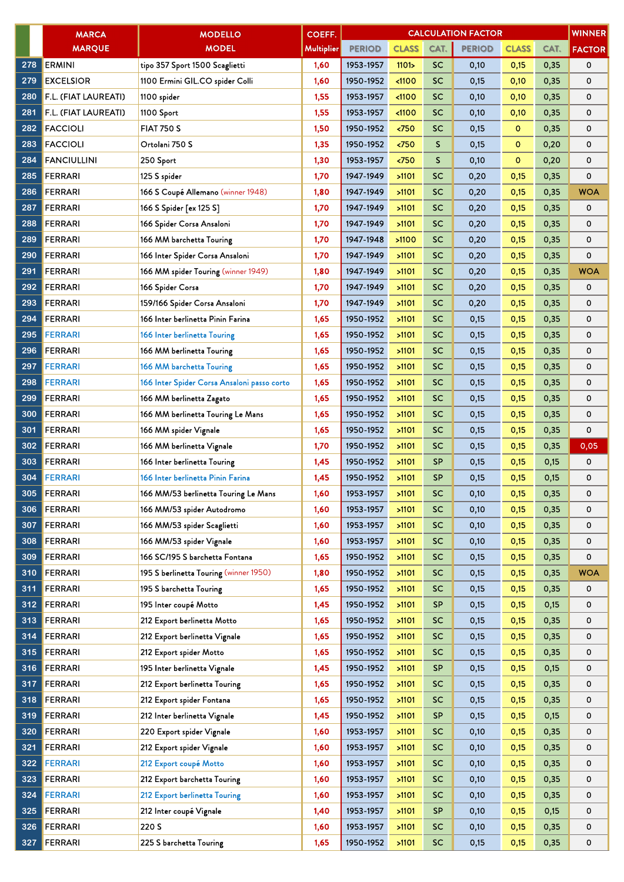|     | <b>MARCA</b>         | <b>MODELLO</b>                              | COEFF.     |               |                      |              | <b>CALCULATION FACTOR</b> |              |      | <b>WINNER</b> |
|-----|----------------------|---------------------------------------------|------------|---------------|----------------------|--------------|---------------------------|--------------|------|---------------|
|     | <b>MARQUE</b>        | <b>MODEL</b>                                | Multiplier | <b>PERIOD</b> | <b>CLASS</b>         | CAT.         | <b>PERIOD</b>             | <b>CLASS</b> | CAT. | <b>FACTOR</b> |
| 278 | <b>ERMINI</b>        | tipo 357 Sport 1500 Scaglietti              | 1,60       | 1953-1957     | 1101 <sub>&gt;</sub> | <b>SC</b>    | 0,10                      | 0,15         | 0,35 | 0             |
| 279 | <b>EXCELSIOR</b>     | 1100 Ermini GIL.CO spider Colli             | 1,60       | 1950-1952     | < 1100               | <b>SC</b>    | 0,15                      | 0,10         | 0,35 | 0             |
| 280 | F.L. (FIAT LAUREATI) | 1100 spider                                 | 1,55       | 1953-1957     | < 1100               | SC           | 0,10                      | 0,10         | 0,35 | 0             |
| 281 | F.L. (FIAT LAUREATI) | 1100 Sport                                  | 1,55       | 1953-1957     | < 1100               | <b>SC</b>    | 0,10                      | 0,10         | 0,35 | 0             |
| 282 | <b>FACCIOLI</b>      | <b>FIAT 750 S</b>                           | 1,50       | 1950-1952     | < 750                | SC           | 0,15                      | $\mathbf{O}$ | 0,35 | 0             |
| 283 | <b>FACCIOLI</b>      | Ortolani 750 S                              | 1,35       | 1950-1952     | $\overline{50}$      | S            | 0,15                      | $\mathbf{0}$ | 0,20 | 0             |
| 284 | <b>FANCIULLINI</b>   | 250 Sport                                   | 1,30       | 1953-1957     | $750$                | $\mathsf{S}$ | 0,10                      | $\circ$      | 0,20 | 0             |
| 285 | <b>FERRARI</b>       | 125 S spider                                | 1,70       | 1947-1949     | >1101                | <b>SC</b>    | 0,20                      | 0,15         | 0,35 | 0             |
| 286 | <b>FERRARI</b>       | 166 S Coupé Allemano (winner 1948)          | 1,80       | 1947-1949     | >1101                | <b>SC</b>    | 0,20                      | 0,15         | 0,35 | <b>WOA</b>    |
| 287 | <b>FERRARI</b>       | 166 S Spider [ex 125 S]                     | 1,70       | 1947-1949     | >1101                | <b>SC</b>    | 0,20                      | 0,15         | 0,35 | 0             |
| 288 | <b>FERRARI</b>       | 166 Spider Corsa Ansaloni                   | 1,70       | 1947-1949     | >1101                | <b>SC</b>    | 0,20                      | 0,15         | 0,35 | 0             |
| 289 | <b>FERRARI</b>       | 166 MM barchetta Touring                    | 1,70       | 1947-1948     | >1100                | <b>SC</b>    | 0,20                      | 0,15         | 0,35 | 0             |
| 290 | <b>FERRARI</b>       | 166 Inter Spider Corsa Ansaloni             | 1,70       | 1947-1949     | >1101                | <b>SC</b>    | 0,20                      | 0,15         | 0,35 | 0             |
| 291 | <b>FERRARI</b>       | 166 MM spider Touring (winner 1949)         | 1,80       | 1947-1949     | >1101                | <b>SC</b>    | 0,20                      | 0,15         | 0,35 | <b>WOA</b>    |
| 292 | <b>FERRARI</b>       | 166 Spider Corsa                            | 1,70       | 1947-1949     | >1101                | <b>SC</b>    | 0,20                      | 0,15         | 0,35 | 0             |
| 293 | <b>FERRARI</b>       | 159/166 Spider Corsa Ansaloni               | 1,70       | 1947-1949     | >1101                | <b>SC</b>    | 0,20                      | 0,15         | 0,35 | 0             |
| 294 | <b>FERRARI</b>       | 166 Inter berlinetta Pinin Farina           | 1,65       | 1950-1952     | >1101                | <b>SC</b>    | 0,15                      | 0,15         | 0,35 | 0             |
| 295 | <b>FERRARI</b>       | 166 Inter berlinetta Touring                | 1,65       | 1950-1952     | >1101                | SC           | 0,15                      | 0,15         | 0,35 | 0             |
| 296 | <b>FERRARI</b>       | 166 MM berlinetta Touring                   | 1,65       | 1950-1952     | >1101                | <b>SC</b>    | 0,15                      | 0,15         | 0,35 | 0             |
| 297 | <b>FERRARI</b>       | 166 MM barchetta Touring                    | 1,65       | 1950-1952     | >1101                | <b>SC</b>    | 0,15                      | 0,15         | 0,35 | 0             |
| 298 | <b>FERRARI</b>       | 166 Inter Spider Corsa Ansaloni passo corto | 1,65       | 1950-1952     | >1101                | <b>SC</b>    | 0,15                      | 0.15         | 0,35 | 0             |
| 299 | <b>FERRARI</b>       | 166 MM berlinetta Zagato                    | 1,65       | 1950-1952     | >1101                | SC           | 0,15                      | 0,15         | 0,35 | 0             |
| 300 | <b>FERRARI</b>       | 166 MM berlinetta Touring Le Mans           | 1,65       | 1950-1952     | >1101                | <b>SC</b>    | 0,15                      | 0,15         | 0,35 | 0             |
| 301 | <b>FERRARI</b>       | 166 MM spider Vignale                       | 1,65       | 1950-1952     | >1101                | <b>SC</b>    | 0,15                      | 0,15         | 0,35 | 0             |
| 302 | <b>FERRARI</b>       | 166 MM berlinetta Vignale                   | 1,70       | 1950-1952     | >1101                | <b>SC</b>    | 0,15                      | 0,15         | 0,35 | 0,05          |
| 303 | <b>FERRARI</b>       | 166 Inter berlinetta Touring                | 1,45       | 1950-1952     | >1101                | <b>SP</b>    | 0,15                      | 0,15         | 0,15 | 0             |
| 304 | <b>FERRARI</b>       | 166 Inter berlinetta Pinin Farina           | 1,45       | 1950-1952     | >1101                | <b>SP</b>    | 0,15                      | 0,15         | 0,15 | 0             |
| 305 | <b>FERRARI</b>       | 166 MM/53 berlinetta Touring Le Mans        | 1,60       | 1953-1957     | $>1101$              | SC           | 0,10                      | 0,15         | 0,35 | 0             |
| 306 | <b>FERRARI</b>       | 166 MM/53 spider Autodromo                  | 1,60       | 1953-1957     | >1101                | SC           | 0,10                      | 0,15         | 0,35 | 0             |
| 307 | <b>FERRARI</b>       | 166 MM/53 spider Scaglietti                 | 1,60       | 1953-1957     | >1101                | <b>SC</b>    | 0,10                      | 0,15         | 0,35 | 0             |
| 308 | <b>FERRARI</b>       | 166 MM/53 spider Vignale                    | 1,60       | 1953-1957     | >1101                | <b>SC</b>    | 0,10                      | 0,15         | 0,35 | 0             |
| 309 | <b>FERRARI</b>       | 166 SC/195 S barchetta Fontana              | 1,65       | 1950-1952     | >1101                | <b>SC</b>    | 0,15                      | 0,15         | 0,35 | 0             |
| 310 | <b>FERRARI</b>       | 195 S berlinetta Touring (winner 1950)      | 1,80       | 1950-1952     | >1101                | <b>SC</b>    | 0,15                      | 0,15         | 0,35 | <b>WOA</b>    |
| 311 | <b>FERRARI</b>       | 195 S barchetta Touring                     | 1,65       | 1950-1952     | >1101                | <b>SC</b>    | 0,15                      | 0,15         | 0,35 | 0             |
| 312 | <b>FERRARI</b>       | 195 Inter coupé Motto                       | 1,45       | 1950-1952     | >1101                | <b>SP</b>    | 0,15                      | 0,15         | 0,15 | 0             |
| 313 | <b>FERRARI</b>       | 212 Export berlinetta Motto                 | 1,65       | 1950-1952     | >1101                | <b>SC</b>    | 0,15                      | 0,15         | 0,35 | 0             |
| 314 | <b>FERRARI</b>       | 212 Export berlinetta Vignale               | 1,65       | 1950-1952     | >1101                | <b>SC</b>    | 0,15                      | 0,15         | 0,35 | 0             |
| 315 | <b>FERRARI</b>       | 212 Export spider Motto                     | 1,65       | 1950-1952     | >1101                | <b>SC</b>    | 0,15                      | 0,15         | 0,35 | 0             |
| 316 | <b>FERRARI</b>       | 195 Inter berlinetta Vignale                | 1,45       | 1950-1952     | >1101                | <b>SP</b>    | 0,15                      | 0,15         | 0,15 | 0             |
| 317 | <b>FERRARI</b>       | 212 Export berlinetta Touring               | 1,65       | 1950-1952     | >1101                | <b>SC</b>    | 0,15                      | 0,15         | 0,35 | 0             |
| 318 | <b>FERRARI</b>       | 212 Export spider Fontana                   | 1,65       | 1950-1952     | >1101                | SC           | 0,15                      | 0,15         | 0,35 | 0             |
| 319 | <b>FERRARI</b>       | 212 Inter berlinetta Vignale                | 1,45       | 1950-1952     | >1101                | <b>SP</b>    | 0,15                      | 0,15         | 0,15 | 0             |
| 320 | <b>FERRARI</b>       | 220 Export spider Vignale                   | 1,60       | 1953-1957     | >1101                | SC           | 0,10                      | 0,15         | 0,35 | 0             |
| 321 | <b>FERRARI</b>       | 212 Export spider Vignale                   | 1,60       | 1953-1957     | >1101                | SC           | 0,10                      | 0,15         | 0,35 | 0             |
| 322 | <b>FERRARI</b>       | 212 Export coupé Motto                      | 1,60       | 1953-1957     | >1101                | <b>SC</b>    | 0,10                      | 0,15         | 0,35 | 0             |
| 323 | <b>FERRARI</b>       | 212 Export barchetta Touring                | 1,60       | 1953-1957     | >1101                | <b>SC</b>    | 0,10                      | 0,15         | 0,35 | 0             |
| 324 | <b>FERRARI</b>       | 212 Export berlinetta Touring               | 1,60       | 1953-1957     | >1101                | <b>SC</b>    | 0,10                      | 0,15         | 0,35 | 0             |
| 325 | <b>FERRARI</b>       | 212 Inter coupé Vignale                     | 1,40       | 1953-1957     | >1101                | <b>SP</b>    | 0,10                      | 0,15         | 0,15 | 0             |
| 326 | <b>FERRARI</b>       | 220 S                                       | 1,60       | 1953-1957     | >1101                | <b>SC</b>    | 0,10                      | 0,15         | 0,35 | 0             |
| 327 | <b>FERRARI</b>       | 225 S barchetta Touring                     | 1,65       | 1950-1952     | >1101                | <b>SC</b>    | 0,15                      | 0,15         | 0,35 | 0             |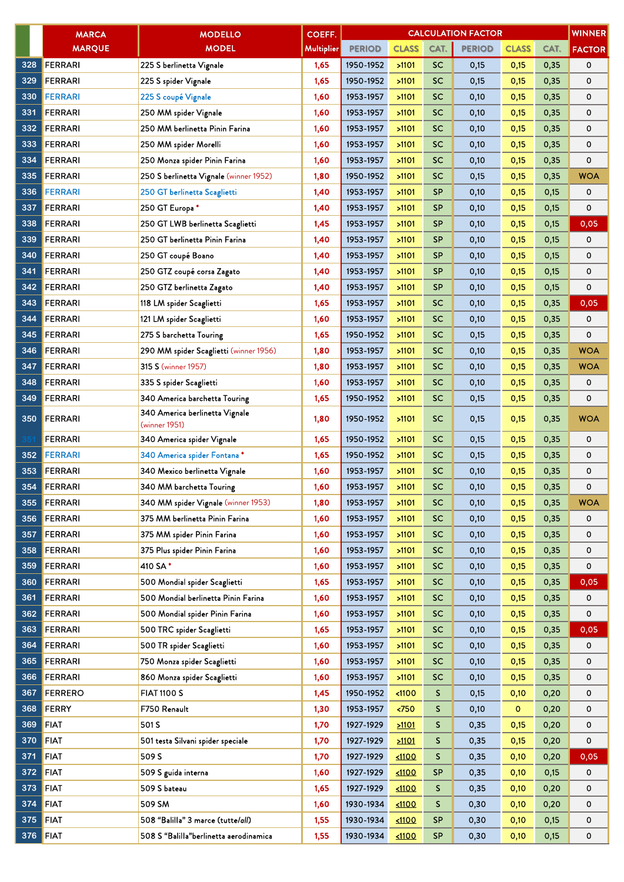|     | <b>MARCA</b>   | <b>MODELLO</b>                                  | <b>COEFF.</b>     |               |              |           | <b>CALCULATION FACTOR</b> |              |      | <b>WINNER</b> |
|-----|----------------|-------------------------------------------------|-------------------|---------------|--------------|-----------|---------------------------|--------------|------|---------------|
|     | <b>MARQUE</b>  | <b>MODEL</b>                                    | <b>Multiplier</b> | <b>PERIOD</b> | <b>CLASS</b> | CAT.      | <b>PERIOD</b>             | <b>CLASS</b> | CAT. | <b>FACTOR</b> |
| 328 | <b>FERRARI</b> | 225 S berlinetta Vignale                        | 1,65              | 1950-1952     | >1101        | <b>SC</b> | 0,15                      | 0,15         | 0,35 | 0             |
| 329 | <b>FERRARI</b> | 225 S spider Vignale                            | 1,65              | 1950-1952     | >1101        | <b>SC</b> | 0,15                      | 0,15         | 0,35 | 0             |
| 330 | <b>FERRARI</b> | 225 S coupé Vignale                             | 1,60              | 1953-1957     | >1101        | <b>SC</b> | 0,10                      | 0,15         | 0,35 | 0             |
| 331 | <b>FERRARI</b> | 250 MM spider Vignale                           | 1,60              | 1953-1957     | >1101        | <b>SC</b> | 0,10                      | 0,15         | 0,35 | 0             |
| 332 | <b>FERRARI</b> | 250 MM berlinetta Pinin Farina                  | 1,60              | 1953-1957     | >1101        | <b>SC</b> | 0,10                      | 0,15         | 0,35 | 0             |
| 333 | <b>FERRARI</b> | 250 MM spider Morelli                           | 1,60              | 1953-1957     | >1101        | <b>SC</b> | 0,10                      | 0,15         | 0,35 | 0             |
| 334 | <b>FERRARI</b> | 250 Monza spider Pinin Farina                   | 1,60              | 1953-1957     | >1101        | <b>SC</b> | 0,10                      | 0,15         | 0,35 | 0             |
| 335 | <b>FERRARI</b> | 250 S berlinetta Vignale (winner 1952)          | 1,80              | 1950-1952     | >1101        | <b>SC</b> | 0,15                      | 0,15         | 0,35 | <b>WOA</b>    |
| 336 | <b>FERRARI</b> | 250 GT berlinetta Scaglietti                    | 1,40              | 1953-1957     | >1101        | <b>SP</b> | 0,10                      | 0,15         | 0,15 | 0             |
| 337 | <b>FERRARI</b> | 250 GT Europa *                                 | 1,40              | 1953-1957     | >1101        | <b>SP</b> | 0,10                      | 0,15         | 0,15 | 0             |
| 338 | <b>FERRARI</b> | 250 GT LWB berlinetta Scaglietti                | 1,45              | 1953-1957     | >1101        | <b>SP</b> | 0,10                      | 0,15         | 0,15 | 0,05          |
| 339 | <b>FERRARI</b> | 250 GT berlinetta Pinin Farina                  | 1,40              | 1953-1957     | >1101        | <b>SP</b> | 0,10                      | 0,15         | 0,15 | 0             |
| 340 | <b>FERRARI</b> | 250 GT coupé Boano                              | 1,40              | 1953-1957     | >1101        | <b>SP</b> | 0,10                      | 0,15         | 0,15 | 0             |
| 341 | <b>FERRARI</b> | 250 GTZ coupé corsa Zagato                      | 1,40              | 1953-1957     | >1101        | <b>SP</b> | 0,10                      | 0,15         | 0,15 | 0             |
| 342 | <b>FERRARI</b> | 250 GTZ berlinetta Zagato                       | 1,40              | 1953-1957     | >1101        | <b>SP</b> | 0,10                      | 0,15         | 0,15 | 0             |
| 343 | FERRARI        | 118 LM spider Scaglietti                        | 1,65              | 1953-1957     | >1101        | <b>SC</b> | 0,10                      | 0,15         | 0,35 | 0,05          |
| 344 | <b>FERRARI</b> | 121 LM spider Scaglietti                        | 1,60              | 1953-1957     | >1101        | <b>SC</b> | 0,10                      | 0,15         | 0,35 | 0             |
| 345 | <b>FERRARI</b> | 275 S barchetta Touring                         | 1,65              | 1950-1952     | >1101        | <b>SC</b> | 0,15                      | 0,15         | 0,35 | 0             |
| 346 | <b>FERRARI</b> | 290 MM spider Scaglietti (winner 1956)          | 1,80              | 1953-1957     | >1101        | <b>SC</b> | 0,10                      | 0,15         | 0,35 | <b>WOA</b>    |
| 347 | <b>FERRARI</b> | <b>315 S (winner 1957)</b>                      | 1,80              | 1953-1957     | >1101        | <b>SC</b> | 0,10                      | 0,15         | 0,35 | WOA           |
| 348 | <b>FERRARI</b> | 335 S spider Scaglietti                         | 1,60              | 1953-1957     | >1101        | <b>SC</b> | 0,10                      | 0,15         | 0,35 | 0             |
| 349 | <b>FERRARI</b> | 340 America barchetta Touring                   | 1,65              | 1950-1952     | >1101        | <b>SC</b> | 0,15                      | 0,15         | 0,35 | 0             |
| 350 | <b>FERRARI</b> | 340 America berlinetta Vignale<br>(winner 1951) | 1,80              | 1950-1952     | >1101        | <b>SC</b> | 0,15                      | 0,15         | 0,35 | <b>WOA</b>    |
|     | <b>FERRARI</b> | 340 America spider Vignale                      | 1,65              | 1950-1952     | >1101        | <b>SC</b> | 0,15                      | 0,15         | 0,35 | 0             |
| 352 | <b>FERRARI</b> | 340 America spider Fontana*                     | 1,65              | 1950-1952     | >1101        | <b>SC</b> | 0,15                      | 0,15         | 0,35 | 0             |
| 353 | <b>FERRARI</b> | 340 Mexico berlinetta Vignale                   | 1,60              | 1953-1957     | >1101        | <b>SC</b> | 0,10                      | 0,15         | 0,35 | 0             |
| 354 | FERRARI        | 340 MM barchetta Touring                        | 1,60              | 1953-1957     | >1101        | <b>SC</b> | 0,10                      | 0,15         | 0,35 | 0             |
| 355 | FERRARI        | 340 MM spider Vignale (winner 1953)             | 1,80              | 1953-1957     | >1101        | <b>SC</b> | 0,10                      | 0,15         | 0,35 | <b>WOA</b>    |
| 356 | FERRARI        | 375 MM berlinetta Pinin Farina                  | 1,60              | 1953-1957     | >1101        | <b>SC</b> | 0,10                      | 0,15         | 0,35 | 0             |
| 357 | FERRARI        | 375 MM spider Pinin Farina                      | 1,60              | 1953-1957     | >1101        | <b>SC</b> | 0,10                      | 0,15         | 0,35 | 0             |
| 358 | FERRARI        | 375 Plus spider Pinin Farina                    | 1,60              | 1953-1957     | >1101        | <b>SC</b> | 0,10                      | 0,15         | 0,35 | 0             |
| 359 | <b>FERRARI</b> | 410 SA*                                         | 1,60              | 1953-1957     | >1101        | <b>SC</b> | 0,10                      | 0,15         | 0,35 | 0             |
| 360 | FERRARI        | 500 Mondial spider Scaglietti                   | 1,65              | 1953-1957     | >1101        | <b>SC</b> | 0,10                      | 0,15         | 0,35 | 0,05          |
| 361 | <b>FERRARI</b> | 500 Mondial berlinetta Pinin Farina             | 1,60              | 1953-1957     | >1101        | <b>SC</b> | 0,10                      | 0,15         | 0,35 | 0             |
| 362 | FERRARI        | 500 Mondial spider Pinin Farina                 | 1,60              | 1953-1957     | >1101        | <b>SC</b> | 0,10                      | 0,15         | 0,35 | 0             |
| 363 | <b>FERRARI</b> | 500 TRC spider Scaglietti                       | 1,65              | 1953-1957     | >1101        | <b>SC</b> | 0,10                      | 0,15         | 0,35 | 0,05          |
| 364 | FERRARI        | 500 TR spider Scaglietti                        | 1,60              | 1953-1957     | >1101        | <b>SC</b> | 0,10                      | 0,15         | 0,35 | 0             |
| 365 | FERRARI        | 750 Monza spider Scaglietti                     | 1,60              | 1953-1957     | >1101        | <b>SC</b> | 0,10                      | 0,15         | 0,35 | 0             |
| 366 | FERRARI        | 860 Monza spider Scaglietti                     | 1,60              | 1953-1957     | >1101        | <b>SC</b> | 0,10                      | 0,15         | 0,35 | 0             |
| 367 | <b>FERRERO</b> | <b>FIAT 1100 S</b>                              | 1,45              | 1950-1952     | $1100$       | S.        | 0,15                      | 0,10         | 0,20 | 0             |
| 368 | FERRY          | F750 Renault                                    | 1,30              | 1953-1957     | $750$        | S.        | 0,10                      | $\mathbf{o}$ | 0,20 | 0             |
| 369 | <b>FIAT</b>    | 501 S                                           | 1,70              | 1927-1929     | 21101        | S         | 0,35                      | 0,15         | 0,20 | 0             |
| 370 | <b>FIAT</b>    | 501 testa Silvani spider speciale               | 1,70              | 1927-1929     | 21101        | S.        | 0,35                      | 0,15         | 0,20 | 0             |
| 371 | <b>FIAT</b>    | 509 S                                           | 1,70              | 1927-1929     | 1100         | S         | 0,35                      | 0,10         | 0,20 | 0,05          |
| 372 | <b>FIAT</b>    | 509 S guida interna                             | 1,60              | 1927-1929     | 1100         | <b>SP</b> | 0,35                      | 0,10         | 0,15 | 0             |
| 373 | <b>FIAT</b>    | 509 S bateau                                    | 1,65              | 1927-1929     | $1100$       | S.        | 0,35                      | 0,10         | 0,20 | 0             |
| 374 | <b>FIAT</b>    | 509 SM                                          | 1,60              | 1930-1934     | 1100         | S.        | 0,30                      | 0,10         | 0,20 | 0             |
| 375 | <b>FIAT</b>    | 508 "Balilla" 3 marce (tutte/all)               | 1,55              | 1930-1934     | 1100         | <b>SP</b> | 0,30                      | 0,10         | 0,15 | 0             |
| 376 | <b>FIAT</b>    | 508 S "Balilla"berlinetta aerodinamica          | 1,55              | 1930-1934     | 1100         | <b>SP</b> | 0,30                      | 0,10         | 0,15 | 0             |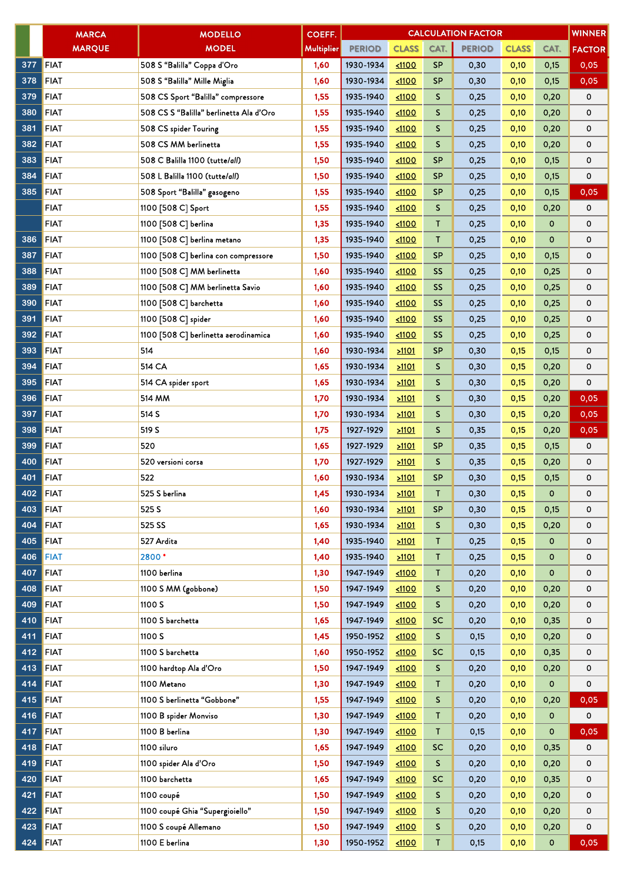|     | <b>MARCA</b>  | <b>MODELLO</b>                          | <b>COEFF.</b>     |               |              |           | <b>CALCULATION FACTOR</b> |              |              | <b>WINNER</b> |
|-----|---------------|-----------------------------------------|-------------------|---------------|--------------|-----------|---------------------------|--------------|--------------|---------------|
|     | <b>MARQUE</b> | <b>MODEL</b>                            | <b>Multiplier</b> | <b>PERIOD</b> | <b>CLASS</b> | CAT.      | <b>PERIOD</b>             | <b>CLASS</b> | CAT.         | <b>FACTOR</b> |
| 377 | <b>FIAT</b>   | 508 S "Balilla" Coppa d'Oro             | 1,60              | 1930-1934     | 1100         | <b>SP</b> | 0,30                      | 0,10         | 0,15         | 0,05          |
| 378 | <b>FIAT</b>   | 508 S "Balilla" Mille Miglia            | 1,60              | 1930-1934     | 1100         | <b>SP</b> | 0,30                      | 0,10         | 0,15         | 0,05          |
| 379 | <b>FIAT</b>   | 508 CS Sport "Balilla" compressore      | 1,55              | 1935-1940     | $1100$       | S         | 0,25                      | 0,10         | 0,20         | 0             |
| 380 | <b>FIAT</b>   | 508 CS S "Balilla" berlinetta Ala d'Oro | 1,55              | 1935-1940     | 1100         | S         | 0,25                      | 0,10         | 0,20         | 0             |
| 381 | <b>FIAT</b>   | 508 CS spider Touring                   | 1,55              | 1935-1940     | 1100         | S         | 0,25                      | 0,10         | 0,20         | 0             |
| 382 | <b>FIAT</b>   | 508 CS MM berlinetta                    | 1,55              | 1935-1940     | $1100$       | S         | 0,25                      | 0,10         | 0,20         | 0             |
| 383 | <b>FIAT</b>   | 508 C Balilla 1100 (tutte/all)          | 1,50              | 1935-1940     | 1100         | <b>SP</b> | 0,25                      | 0,10         | 0,15         | 0             |
| 384 | <b>FIAT</b>   | 508 L Balilla 1100 (tutte/all)          | 1,50              | 1935-1940     | < 1100       | <b>SP</b> | 0,25                      | 0,10         | 0,15         | 0             |
| 385 | <b>FIAT</b>   | 508 Sport "Balilla" gasogeno            | 1,55              | 1935-1940     | 1100         | <b>SP</b> | 0,25                      | 0,10         | 0,15         | 0,05          |
|     | <b>FIAT</b>   | 1100 [508 C] Sport                      | 1,55              | 1935-1940     | 1100         | S         | 0,25                      | 0,10         | 0,20         | 0             |
|     | <b>FIAT</b>   | 1100 [508 C] berlina                    | 1,35              | 1935-1940     | 1100         | T         | 0,25                      | 0,10         | $\mathbf 0$  | 0             |
| 386 | <b>FIAT</b>   | 1100 [508 C] berlina metano             | 1,35              | 1935-1940     | < 1100       | T         | 0,25                      | 0,10         | 0            | 0             |
| 387 | <b>FIAT</b>   | 1100 [508 C] berlina con compressore    | 1,50              | 1935-1940     | < 1100       | SP        | 0,25                      | 0,10         | 0,15         | 0             |
| 388 | <b>FIAT</b>   | 1100 [508 C] MM berlinetta              | 1,60              | 1935-1940     | 1100         | <b>SS</b> | 0,25                      | 0,10         | 0,25         | 0             |
| 389 | <b>FIAT</b>   | 1100 [508 C] MM berlinetta Savio        | 1,60              | 1935-1940     | $1100$       | <b>SS</b> | 0,25                      | 0,10         | 0,25         | 0             |
| 390 | <b>FIAT</b>   | 1100 [508 C] barchetta                  | 1,60              | 1935-1940     | 1100         | <b>SS</b> | 0,25                      | 0,10         | 0,25         | 0             |
| 391 | <b>FIAT</b>   | 1100 [508 C] spider                     | 1,60              | 1935-1940     | 1100         | <b>SS</b> | 0,25                      | 0,10         | 0,25         | 0             |
| 392 | <b>FIAT</b>   | 1100 [508 C] berlinetta aerodinamica    | 1,60              | 1935-1940     | 1100         | <b>SS</b> | 0,25                      | 0,10         | 0,25         | 0             |
| 393 | <b>FIAT</b>   | 514                                     | 1,60              | 1930-1934     | 21101        | <b>SP</b> | 0,30                      | 0,15         | 0,15         | 0             |
| 394 | <b>FIAT</b>   | 514 CA                                  | 1,65              | 1930-1934     | 21101        | S         | 0,30                      | 0,15         | 0,20         | 0             |
| 395 | <b>FIAT</b>   | 514 CA spider sport                     | 1,65              | 1930-1934     | 21101        | S         | 0,30                      | 0,15         | 0,20         | 0             |
| 396 | <b>FIAT</b>   | 514 MM                                  | 1,70              | 1930-1934     | 21101        | S         | 0,30                      | 0,15         | 0,20         | 0,05          |
| 397 | <b>FIAT</b>   | 514 S                                   | 1,70              | 1930-1934     | 21101        | S         | 0,30                      | 0,15         | 0,20         | 0,05          |
| 398 | <b>FIAT</b>   | 519 S                                   | 1,75              | 1927-1929     | 51101        | S         | 0,35                      | 0,15         | 0,20         | 0,05          |
| 399 | <b>FIAT</b>   | 520                                     | 1,65              | 1927-1929     | 21101        | <b>SP</b> | 0,35                      | 0,15         | 0,15         | 0             |
| 400 | <b>FIAT</b>   | 520 versioni corsa                      | 1,70              | 1927-1929     | 21101        | S         | 0,35                      | 0,15         | 0,20         | 0             |
| 401 | <b>FIAT</b>   | 522                                     | 1,60              | 1930-1934     | 51101        | <b>SP</b> | 0,30                      | 0,15         | 0,15         | 0             |
| 402 | <b>FIAT</b>   | 525 S berlina                           | 1,45              | 1930-1934     | >1101        | Τ         | 0,30                      | 0,15         | $\mathbf 0$  | 0             |
| 403 | <b>FIAT</b>   | 525 S                                   | 1,60              | 1930-1934     | 21101        | <b>SP</b> | 0,30                      | 0,15         | 0,15         | 0             |
| 404 | <b>FIAT</b>   | 525 SS                                  | 1,65              | 1930-1934     | 21101        | S         | 0,30                      | 0,15         | 0,20         | 0             |
| 405 | <b>FIAT</b>   | 527 Ardita                              | 1,40              | 1935-1940     | 21101        | T         | 0,25                      | 0,15         | $\mathbf 0$  | 0             |
| 406 | <b>FIAT</b>   | 2800*                                   | 1,40              | 1935-1940     | 21101        | Τ         | 0,25                      | 0,15         | $\mathbf{O}$ | 0             |
| 407 | <b>FIAT</b>   | 1100 berlina                            | 1,30              | 1947-1949     | 1100         | T.        | 0,20                      | 0,10         | $\mathbf{0}$ | 0             |
| 408 | <b>FIAT</b>   | 1100 S MM (gobbone)                     | 1,50              | 1947-1949     | 1100         | S         | 0,20                      | 0,10         | 0,20         | 0             |
| 409 | <b>FIAT</b>   | 1100 S                                  | 1,50              | 1947-1949     | 1100         | S         | 0,20                      | 0,10         | 0,20         | 0             |
| 410 | <b>FIAT</b>   | 1100 S barchetta                        | 1,65              | 1947-1949     | 1100         | SC        | 0,20                      | 0,10         | 0,35         | 0             |
| 411 | <b>FIAT</b>   | 1100 S                                  | 1,45              | 1950-1952     | 1100         | S         | 0,15                      | 0,10         | 0,20         | 0             |
| 412 | <b>FIAT</b>   | 1100 S barchetta                        | 1,60              | 1950-1952     | 1100         | <b>SC</b> | 0,15                      | 0,10         | 0,35         | 0             |
| 413 | <b>FIAT</b>   | 1100 hardtop Ala d'Oro                  | 1,50              | 1947-1949     | 1100         | S         | 0,20                      | 0,10         | 0,20         | 0             |
| 414 | <b>FIAT</b>   | 1100 Metano                             | 1,30              | 1947-1949     | 1100         | T         | 0,20                      | 0,10         | $\mathbf{O}$ | 0             |
| 415 | <b>FIAT</b>   | 1100 S berlinetta "Gobbone"             | 1,55              | 1947-1949     | 1100         | S         | 0,20                      | 0,10         | 0,20         | 0,05          |
| 416 | <b>FIAT</b>   | 1100 B spider Monviso                   | 1,30              | 1947-1949     | 1100         | T.        | 0,20                      | 0,10         | 0            | 0             |
| 417 | <b>FIAT</b>   | 1100 B berlina                          | 1,30              | 1947-1949     | 1100         | T.        | 0,15                      | 0,10         | $\mathbf{0}$ | 0,05          |
| 418 | <b>FIAT</b>   | 1100 siluro                             | 1,65              | 1947-1949     | 1100         | <b>SC</b> | 0,20                      | 0,10         | 0,35         | 0             |
| 419 | <b>FIAT</b>   | 1100 spider Ala d'Oro                   | 1,50              | 1947-1949     | 1100         | S         | 0,20                      | 0,10         | 0,20         | 0             |
| 420 | <b>FIAT</b>   | 1100 barchetta                          | 1,65              | 1947-1949     | 1100         | <b>SC</b> | 0,20                      | 0,10         | 0,35         | 0             |
| 421 | <b>FIAT</b>   | 1100 coupé                              | 1,50              | 1947-1949     | 1100         | S         | 0,20                      | 0,10         | 0,20         | 0             |
| 422 | <b>FIAT</b>   | 1100 coupé Ghia "Supergioiello"         | 1,50              | 1947-1949     | 1100         | S         | 0,20                      | 0,10         | 0,20         | 0             |
| 423 | <b>FIAT</b>   | 1100 S coupé Allemano                   | 1,50              | 1947-1949     | 1100         | S         | 0,20                      | 0,10         | 0,20         | 0             |
| 424 | FIAT          | 1100 E berlina                          | 1,30              | 1950-1952     | 1100         | T         | 0,15                      | 0,10         | $\mathbf{O}$ | 0,05          |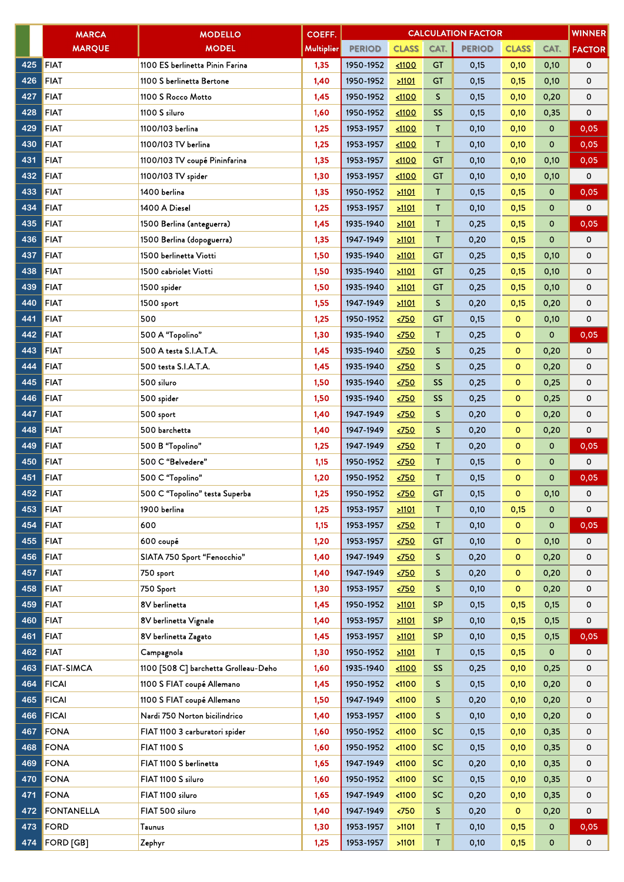|     | <b>MARCA</b>         | <b>MODELLO</b>                       | COEFF.            |               |                       |              | <b>CALCULATION FACTOR</b> |              |             | <b>WINNER</b> |
|-----|----------------------|--------------------------------------|-------------------|---------------|-----------------------|--------------|---------------------------|--------------|-------------|---------------|
|     | <b>MARQUE</b>        | <b>MODEL</b>                         | <b>Multiplier</b> | <b>PERIOD</b> | <b>CLASS</b>          | CAT.         | <b>PERIOD</b>             | <b>CLASS</b> | CAT.        | <b>FACTOR</b> |
| 425 | <b>FIAT</b>          | 1100 ES berlinetta Pinin Farina      | 1,35              | 1950-1952     | 1100                  | <b>GT</b>    | 0,15                      | 0,10         | 0,10        | 0             |
| 426 | <b>FIAT</b>          | 1100 S berlinetta Bertone            | 1,40              | 1950-1952     | >1101                 | GT           | 0,15                      | 0,15         | 0,10        | 0             |
| 427 | <b>FIAT</b>          | 1100 S Rocco Motto                   | 1,45              | 1950-1952     | $1100$                | S.           | 0,15                      | 0,10         | 0,20        | 0             |
| 428 | <b>FIAT</b>          | 1100 S siluro                        | 1,60              | 1950-1952     | 1100                  | <b>SS</b>    | 0,15                      | 0,10         | 0,35        | 0             |
| 429 | <b>FIAT</b>          | 1100/103 berlina                     | 1,25              | 1953-1957     | 1100                  | Τ            | 0,10                      | 0,10         | $\mathbf 0$ | 0,05          |
| 430 | <b>FIAT</b>          | 1100/103 TV berlina                  | 1,25              | 1953-1957     | 1100                  | T            | 0,10                      | 0,10         | 0           | 0,05          |
| 431 | <b>FIAT</b>          | 1100/103 TV coupé Pininfarina        | 1,35              | 1953-1957     | 1100                  | GT           | 0,10                      | 0,10         | 0,10        | 0,05          |
| 432 | <b>FIAT</b>          | 1100/103 TV spider                   | 1,30              | 1953-1957     | 1100                  | <b>GT</b>    | 0,10                      | 0,10         | 0,10        | 0             |
| 433 | <b>FIAT</b>          | 1400 berlina                         | 1,35              | 1950-1952     | 21101                 | T.           | 0,15                      | 0,15         | 0           | 0,05          |
| 434 | <b>FIAT</b>          | 1400 A Diesel                        | 1,25              | 1953-1957     | 51101                 | T            | 0,10                      | 0,15         | 0           | 0             |
| 435 | <b>FIAT</b>          | 1500 Berlina (anteguerra)            | 1,45              | 1935-1940     | $\geq 1101$           | T            | 0,25                      | 0,15         | 0           | 0,05          |
| 436 | <b>FIAT</b>          | 1500 Berlina (dopoguerra)            | 1,35              | 1947-1949     | 51101                 | $\mathsf{T}$ | 0,20                      | 0,15         | $\mathbf 0$ | 0             |
| 437 | <b>FIAT</b>          | 1500 berlinetta Viotti               | 1,50              | 1935-1940     | $\geq 1101$           | <b>GT</b>    | 0,25                      | 0,15         | 0,10        | 0             |
| 438 | <b>FIAT</b>          | 1500 cabriolet Viotti                | 1,50              | 1935-1940     | 21101                 | <b>GT</b>    | 0,25                      | 0,15         | 0,10        | 0             |
| 439 | <b>FIAT</b>          | 1500 spider                          | 1,50              | 1935-1940     | 21101                 | <b>GT</b>    | 0,25                      | 0,15         | 0,10        | 0             |
| 440 | <b>FIAT</b>          | 1500 sport                           | 1,55              | 1947-1949     | 21101                 | S            | 0,20                      | 0,15         | 0,20        | 0             |
| 441 | <b>FIAT</b>          | 500                                  | 1,25              | 1950-1952     | $\times$ 750          | <b>GT</b>    | 0,15                      | $\circ$      | 0,10        | 0             |
| 442 | <b>FIAT</b>          | 500 A "Topolino"                     | 1,30              | 1935-1940     | $\times$ 750          | Τ            | 0,25                      | $\mathbf{o}$ | 0           | 0,05          |
| 443 | <b>FIAT</b>          | 500 A testa S.I.A.T.A.               | 1,45              | 1935-1940     | $\times$ 750          | S.           | 0,25                      | $\circ$      | 0,20        | 0             |
| 444 | <b>FIAT</b>          | 500 testa S.I.A.T.A.                 | 1,45              | 1935-1940     | $\times$ 750          | S            | 0,25                      | $\circ$      | 0,20        | 0             |
| 445 | <b>FIAT</b>          | 500 siluro                           | 1,50              | 1935-1940     | 2750                  | SS           | 0,25                      | $\circ$      | 0,25        | 0             |
| 446 | <b>FIAT</b>          | 500 spider                           | 1,50              | 1935-1940     | $\times$ 750          | <b>SS</b>    | 0,25                      | o            | 0,25        | 0             |
| 447 | <b>FIAT</b>          | 500 sport                            | 1,40              | 1947-1949     | $\times$ 750          | S            | 0,20                      | $\mathbf 0$  | 0,20        | 0             |
| 448 | <b>FIAT</b>          | 500 barchetta                        | 1,40              | 1947-1949     | $\times$ 750          | S            | 0,20                      | $\circ$      | 0,20        | 0             |
| 449 | <b>FIAT</b>          | 500 B "Topolino"                     | 1,25              | 1947-1949     | $\times$ 750          | Τ            | 0,20                      | $\mathbf{o}$ | $\mathbf 0$ | 0,05          |
| 450 | <b>FIAT</b>          | 500 C "Belvedere"                    | 1,15              | 1950-1952     | $\times$ 750          | $\mathsf{T}$ | 0,15                      | $\mathbf 0$  | 0           | 0             |
| 451 | <b>FIAT</b>          | 500 C "Topolino"                     | 1,20              | 1950-1952     | $\times$ 750          | $\mathsf{T}$ | 0,15                      | $\circ$      | 0           | 0,05          |
| 452 | FIAT                 | 500 C "Topolino" testa Superba       | 1,25              | 1950-1952     | $\times$ 750          | <b>GT</b>    | 0,15                      | $\Omega$     | 0,10        | 0             |
| 453 | <b>FIAT</b>          | 1900 berlina                         | 1,25              | 1953-1957     | 21101                 | Τ            | 0,10                      | 0,15         | 0           | 0             |
| 454 | <b>FIAT</b>          | 600                                  | 1,15              | 1953-1957     | $\times$ 750          | Τ            | 0,10                      | $\mathbf{o}$ | 0           | 0,05          |
| 455 | <b>FIAT</b>          | 600 coupé                            | 1,20              | 1953-1957     | $\times$ 750          | <b>GT</b>    | 0,10                      | $\mathbf{o}$ | 0,10        | 0             |
| 456 | <b>FIAT</b>          | SIATA 750 Sport "Fenocchio"          | 1,40              | 1947-1949     | $\times 750$          | S.           | 0,20                      | $\mathbf{o}$ | 0,20        | 0             |
| 457 | <b>FIAT</b>          | 750 sport                            | 1,40              | 1947-1949     | $\times$ 750          | S            | 0,20                      | $\mathbf{o}$ | 0,20        | 0             |
| 458 | <b>FIAT</b>          | 750 Sport                            | 1,30              | 1953-1957     | $\times$ 750          | S.           | 0,10                      | $\circ$      | 0,20        | 0             |
| 459 | <b>FIAT</b>          | 8V berlinetta                        | 1,45              | 1950-1952     | 21101                 | <b>SP</b>    | 0,15                      | 0,15         | 0,15        | 0             |
| 460 | <b>FIAT</b>          | 8V berlinetta Vignale                | 1,40              | 1953-1957     | 21101                 | <b>SP</b>    | 0,10                      | 0,15         | 0,15        | 0             |
| 461 | <b>FIAT</b>          | 8V berlinetta Zagato                 | 1,45              | 1953-1957     | 21101                 | <b>SP</b>    | 0,10                      | 0,15         | 0,15        | 0,05          |
| 462 | <b>FIAT</b>          | Campagnola                           | 1,30              | 1950-1952     | >1101                 | T            | 0,15                      | 0,15         | 0           | 0             |
| 463 | <b>FIAT-SIMCA</b>    | 1100 [508 C] barchetta Grolleau-Deho | 1,60              | 1935-1940     | 1100                  | <b>SS</b>    | 0,25                      | 0,10         | 0,25        | 0             |
| 464 | <b>FICAI</b>         | 1100 S FIAT coupé Allemano           | 1,45              | 1950-1952     | < 1100                | S.           | 0,15                      | 0,10         | 0,20        | 0             |
| 465 | <b>FICAI</b>         | 1100 S FIAT coupé Allemano           | 1,50              | 1947-1949     | < 1100                | S.           | 0,20                      | 0,10         | 0,20        | 0             |
| 466 | <b>FICAI</b>         | Nardi 750 Norton bicilindrico        | 1,40              | 1953-1957     | < 1100                | S.           | 0,10                      | 0,10         | 0,20        | 0             |
| 467 | FONA                 | FIAT 1100 3 carburatori spider       | 1,60              | 1950-1952     | < 1100                | <b>SC</b>    | 0,15                      | 0,10         | 0,35        | 0             |
| 468 | FONA                 | <b>FIAT 1100 S</b>                   | 1,60              | 1950-1952     | < 1100                | <b>SC</b>    | 0,15                      | 0,10         | 0,35        | 0             |
| 469 | <b>FONA</b>          | FIAT 1100 S berlinetta               | 1,65              | 1947-1949     | $1100$                | <b>SC</b>    | 0,20                      | 0,10         | 0,35        | 0             |
| 470 | FONA                 | FIAT 1100 S siluro                   | 1,60              | 1950-1952     | $1100$                | <b>SC</b>    | 0,15                      | 0,10         | 0,35        | 0             |
| 471 | <b>FONA</b>          | FIAT 1100 siluro                     | 1,65              | 1947-1949     | $1100$                | <b>SC</b>    | 0,20                      | 0,10         | 0,35        | 0             |
| 472 | <b>FONTANELLA</b>    | FIAT 500 siluro                      | 1,40              | 1947-1949     | $\langle 750 \rangle$ | S.           | 0,20                      | $\mathbf{o}$ | 0,20        | 0             |
| 473 | FORD                 | Taunus                               | 1,30              | 1953-1957     | >1101                 | Τ            | 0,10                      | 0,15         | 0           | 0,05          |
|     | 474 <b>FORD</b> [GB] | Zephyr                               | 1,25              | 1953-1957     | >1101                 | $\mathsf{T}$ | 0,10                      | 0,15         | 0           | 0             |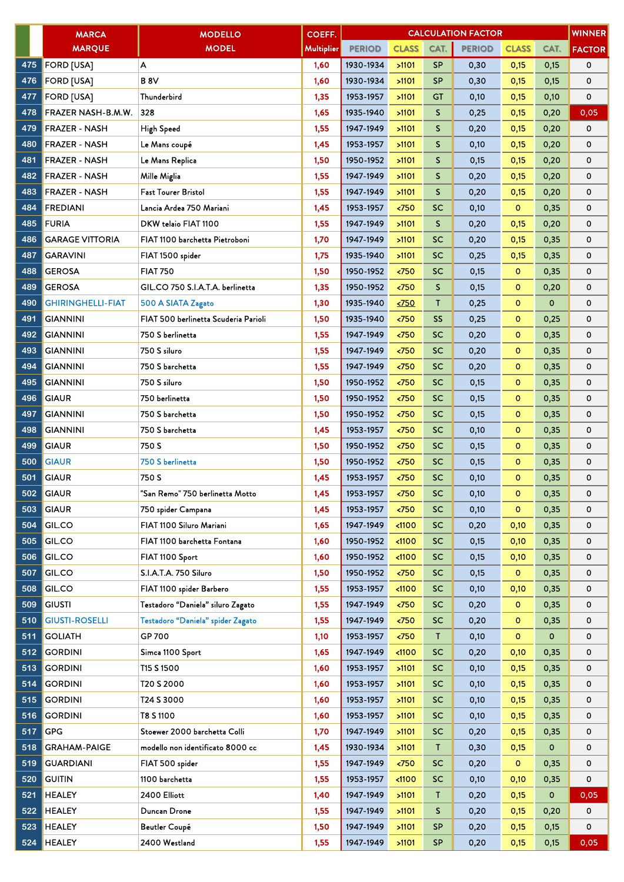|     | <b>MARCA</b>             | <b>MODELLO</b>                       | COEFF.     |               |               |              | <b>CALCULATION FACTOR</b> |              |             | <b>WINNER</b> |
|-----|--------------------------|--------------------------------------|------------|---------------|---------------|--------------|---------------------------|--------------|-------------|---------------|
|     | <b>MARQUE</b>            | <b>MODEL</b>                         | Multiplier | <b>PERIOD</b> | <b>CLASS</b>  | CAT.         | <b>PERIOD</b>             | <b>CLASS</b> | CAT.        | <b>FACTOR</b> |
| 475 | <b>FORD [USA]</b>        | А                                    | 1,60       | 1930-1934     | >1101         | <b>SP</b>    | 0,30                      | 0,15         | 0,15        | 0             |
| 476 | <b>FORD [USA]</b>        | B <sub>8V</sub>                      | 1,60       | 1930-1934     | >1101         | <b>SP</b>    | 0,30                      | 0,15         | 0,15        | 0             |
| 477 | <b>FORD [USA]</b>        | Thunderbird                          | 1,35       | 1953-1957     | >1101         | GT           | 0,10                      | 0,15         | 0,10        | 0             |
| 478 | FRAZER NASH-B.M.W.       | 328                                  | 1,65       | 1935-1940     | >1101         | S.           | 0,25                      | 0,15         | 0,20        | 0,05          |
| 479 | <b>FRAZER - NASH</b>     | High Speed                           | 1,55       | 1947-1949     | >1101         | S            | 0,20                      | 0,15         | 0,20        | 0             |
| 480 | <b>FRAZER - NASH</b>     | Le Mans coupé                        | 1,45       | 1953-1957     | >1101         | S.           | 0,10                      | 0,15         | 0,20        | 0             |
| 481 | <b>FRAZER - NASH</b>     | Le Mans Replica                      | 1,50       | 1950-1952     | >1101         | S.           | 0,15                      | 0,15         | 0,20        | 0             |
| 482 | <b>FRAZER - NASH</b>     | Mille Miglia                         | 1,55       | 1947-1949     | >1101         | S            | 0,20                      | 0,15         | 0,20        | 0             |
| 483 | <b>FRAZER - NASH</b>     | Fast Tourer Bristol                  | 1,55       | 1947-1949     | >1101         | S            | 0,20                      | 0,15         | 0,20        | 0             |
| 484 | <b>FREDIANI</b>          | Lancia Ardea 750 Mariani             | 1,45       | 1953-1957     | < 750         | <b>SC</b>    | 0,10                      | $\mathbf{O}$ | 0,35        | 0             |
| 485 | <b>FURIA</b>             | DKW telaio FIAT 1100                 | 1,55       | 1947-1949     | >1101         | S.           | 0,20                      | 0,15         | 0,20        | 0             |
| 486 | <b>GARAGE VITTORIA</b>   | FIAT 1100 barchetta Pietroboni       | 1,70       | 1947-1949     | >1101         | <b>SC</b>    | 0,20                      | 0,15         | 0,35        | 0             |
| 487 | <b>GARAVINI</b>          | FIAT 1500 spider                     | 1,75       | 1935-1940     | >1101         | <b>SC</b>    | 0,25                      | 0,15         | 0,35        | 0             |
| 488 | <b>GEROSA</b>            | <b>FIAT 750</b>                      | 1,50       | 1950-1952     | < 750         | <b>SC</b>    | 0,15                      | $\mathbf{0}$ | 0,35        | 0             |
| 489 | <b>GEROSA</b>            | GIL.CO 750 S.I.A.T.A. berlinetta     | 1,35       | 1950-1952     | < 750         | $\mathsf{S}$ | 0,15                      | $\circ$      | 0,20        | 0             |
| 490 | <b>GHIRINGHELLI-FIAT</b> | 500 A SIATA Zagato                   | 1,30       | 1935-1940     | $\times$ 750  | T            | 0,25                      | $\mathbf 0$  | $\mathbf 0$ | 0             |
| 491 | <b>GIANNINI</b>          | FIAT 500 berlinetta Scuderia Parioli | 1,50       | 1935-1940     | < 750         | <b>SS</b>    | 0,25                      | $\circ$      | 0,25        | 0             |
| 492 | <b>GIANNINI</b>          | 750 S berlinetta                     | 1,55       | 1947-1949     | < 750         | <b>SC</b>    | 0,20                      | $\mathbf 0$  | 0,35        | 0             |
| 493 | <b>GIANNINI</b>          | 750 S siluro                         | 1,55       | 1947-1949     | < 750         | <b>SC</b>    | 0,20                      | $\circ$      | 0,35        | 0             |
| 494 | <b>GIANNINI</b>          | 750 S barchetta                      | 1,55       | 1947-1949     | < 750         | <b>SC</b>    | 0,20                      | $\mathbf{o}$ | 0,35        | 0             |
| 495 | <b>GIANNINI</b>          | 750 S siluro                         | 1,50       | 1950-1952     | < 750         | <b>SC</b>    | 0,15                      | $\mathbf 0$  | 0,35        | 0             |
| 496 | <b>GIAUR</b>             | 750 berlinetta                       | 1,50       | 1950-1952     | < 750         | SC           | 0,15                      | $\circ$      | 0,35        | 0             |
| 497 | <b>GIANNINI</b>          | 750 S barchetta                      | 1,50       | 1950-1952     | < 750         | <b>SC</b>    | 0,15                      | $\mathbf 0$  | 0,35        | 0             |
| 498 | <b>GIANNINI</b>          | 750 S barchetta                      | 1,45       | 1953-1957     | < 750         | SC           | 0,10                      | $\circ$      | 0,35        | 0             |
| 499 | <b>GIAUR</b>             | 750 S                                | 1,50       | 1950-1952     | < 750         | <b>SC</b>    | 0,15                      | $\mathbf{o}$ | 0,35        | 0             |
| 500 | <b>GIAUR</b>             | 750 S berlinetta                     | 1,50       | 1950-1952     | < 750         | <b>SC</b>    | 0,15                      | $\mathbf{o}$ | 0,35        | 0             |
| 501 | <b>GIAUR</b>             | 750 S                                | 1,45       | 1953-1957     | $750$         | <b>SC</b>    | 0,10                      | $\mathbf{o}$ | 0,35        | 0             |
| 502 | <b>GIAUR</b>             | "San Remo" 750 berlinetta Motto      | 1,45       | 1953-1957     | $750$         | SC           | 0,10                      | $\mathbf 0$  | 0,35        | 0             |
| 503 | <b>GIAUR</b>             | 750 spider Campana                   | 1,45       | 1953-1957     | < 750         | SC           | 0,10                      | $\mathbf{O}$ | 0,35        | 0             |
| 504 | GIL.CO                   | FIAT 1100 Siluro Mariani             | 1,65       | 1947-1949     | $1100$        | SC           | 0,20                      | 0,10         | 0,35        | 0             |
| 505 | GIL.CO                   | FIAT 1100 barchetta Fontana          | 1,60       | 1950-1952     | < 1100        | <b>SC</b>    | 0,15                      | 0,10         | 0,35        | 0             |
| 506 | GIL.CO                   | FIAT 1100 Sport                      | 1,60       | 1950-1952     | < 1100        | <b>SC</b>    | 0,15                      | 0,10         | 0,35        | 0             |
| 507 | GIL.CO                   | S.I.A.T.A. 750 Siluro                | 1,50       | 1950-1952     | $\langle 750$ | <b>SC</b>    | 0,15                      | $\mathbf{O}$ | 0,35        | 0             |
| 508 | <b>GIL.CO</b>            | FIAT 1100 spider Barbero             | 1,55       | 1953-1957     | < 1100        | <b>SC</b>    | 0,10                      | 0,10         | 0,35        | 0             |
| 509 | <b>GIUSTI</b>            | Testadoro "Daniela" siluro Zagato    | 1,55       | 1947-1949     | $\langle 750$ | <b>SC</b>    | 0,20                      | $\mathbf{0}$ | 0,35        | 0             |
| 510 | <b>GIUSTI-ROSELLI</b>    | Testadoro "Daniela" spider Zagato    | 1,55       | 1947-1949     | $750$         | <b>SC</b>    | 0,20                      | $\mathbf{o}$ | 0,35        | 0             |
| 511 | <b>GOLIATH</b>           | GP 700                               | 1,10       | 1953-1957     | $750$         | T.           | 0,10                      | $\mathbf{o}$ | $\mathbf 0$ | 0             |
| 512 | <b>GORDINI</b>           | Simca 1100 Sport                     | 1,65       | 1947-1949     | < 1100        | <b>SC</b>    | 0,20                      | 0,10         | 0,35        | 0             |
| 513 | <b>GORDINI</b>           | T15 S 1500                           | 1,60       | 1953-1957     | >1101         | <b>SC</b>    | 0,10                      | 0,15         | 0,35        | 0             |
| 514 | <b>GORDINI</b>           | T20 S 2000                           | 1,60       | 1953-1957     | >1101         | <b>SC</b>    | 0,10                      | 0,15         | 0,35        | 0             |
| 515 | <b>GORDINI</b>           | T24 S 3000                           | 1,60       | 1953-1957     | >1101         | <b>SC</b>    | 0,10                      | 0,15         | 0,35        | 0             |
| 516 | <b>GORDINI</b>           | T8 S 1100                            | 1,60       | 1953-1957     | >1101         | <b>SC</b>    | 0,10                      | 0,15         | 0,35        | 0             |
| 517 | <b>GPG</b>               | Stoewer 2000 barchetta Colli         | 1,70       | 1947-1949     | >1101         | <b>SC</b>    | 0,20                      | 0,15         | 0,35        | 0             |
| 518 | <b>GRAHAM-PAIGE</b>      | modello non identificato 8000 cc     | 1,45       | 1930-1934     | >1101         | $\mathsf{T}$ | 0,30                      | 0,15         | $\mathbf 0$ | 0             |
| 519 | <b>GUARDIANI</b>         | FIAT 500 spider                      | 1,55       | 1947-1949     | < 750         | <b>SC</b>    | 0,20                      | $\mathbf{O}$ | 0,35        | 0             |
| 520 | <b>GUITIN</b>            | 1100 barchetta                       | 1,55       | 1953-1957     | < 1100        | <b>SC</b>    | 0,10                      | 0,10         | 0,35        | 0             |
| 521 | <b>HEALEY</b>            | 2400 Elliott                         | 1,40       | 1947-1949     | >1101         | T.           | 0,20                      | 0,15         | 0           | 0,05          |
| 522 | <b>HEALEY</b>            | Duncan Drone                         | 1,55       | 1947-1949     | >1101         | S            | 0,20                      | 0,15         | 0,20        | 0             |
| 523 | <b>HEALEY</b>            | <b>Beutler Coupé</b>                 | 1,50       | 1947-1949     | >1101         | <b>SP</b>    | 0,20                      | 0,15         | 0,15        | 0             |
| 524 | <b>HEALEY</b>            | 2400 Westland                        | 1,55       | 1947-1949     | >1101         | <b>SP</b>    | 0,20                      | 0,15         | 0,15        | 0,05          |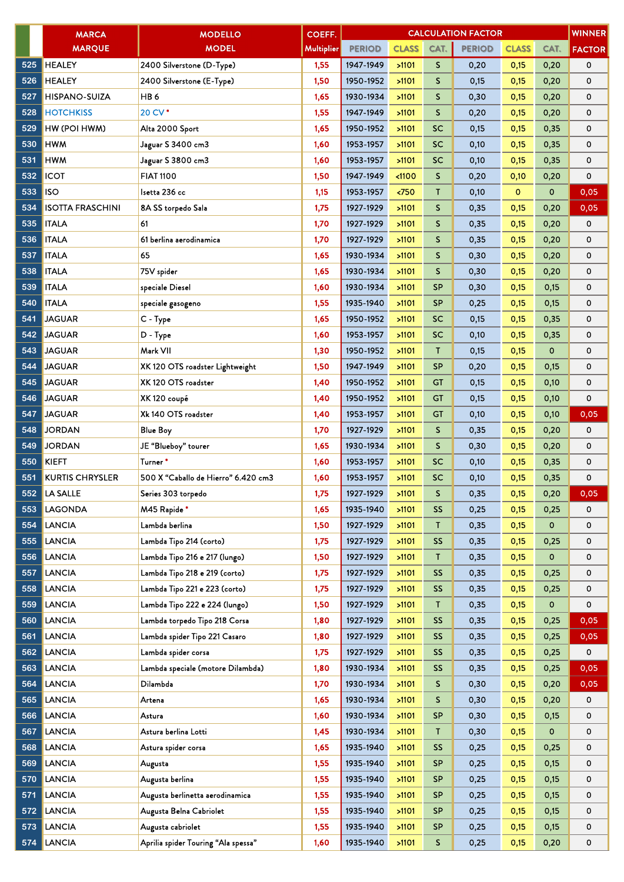|     | <b>MARCA</b>            | <b>MODELLO</b>                      | COEFF.     |               |              |              | <b>CALCULATION FACTOR</b> |              |             | <b>WINNER</b> |
|-----|-------------------------|-------------------------------------|------------|---------------|--------------|--------------|---------------------------|--------------|-------------|---------------|
|     | <b>MARQUE</b>           | <b>MODEL</b>                        | Multiplier | <b>PERIOD</b> | <b>CLASS</b> | CAT.         | <b>PERIOD</b>             | <b>CLASS</b> | CAT.        | <b>FACTOR</b> |
| 525 | <b>HEALEY</b>           | 2400 Silverstone (D-Type)           | 1,55       | 1947-1949     | >1101        | S.           | 0,20                      | 0,15         | 0,20        | 0             |
| 526 | <b>HEALEY</b>           | 2400 Silverstone (E-Type)           | 1,50       | 1950-1952     | >1101        | S.           | 0,15                      | 0,15         | 0,20        | 0             |
| 527 | <b>HISPANO-SUIZA</b>    | HB6                                 | 1,65       | 1930-1934     | >1101        | S            | 0,30                      | 0,15         | 0,20        | 0             |
| 528 | <b>HOTCHKISS</b>        | 20 CV*                              | 1,55       | 1947-1949     | >1101        | S            | 0,20                      | 0,15         | 0,20        | 0             |
| 529 | HW (POI HWM)            | Alta 2000 Sport                     | 1,65       | 1950-1952     | >1101        | <b>SC</b>    | 0,15                      | 0,15         | 0,35        | 0             |
| 530 | <b>HWM</b>              | Jaguar S 3400 cm3                   | 1,60       | 1953-1957     | >1101        | <b>SC</b>    | 0,10                      | 0,15         | 0,35        | 0             |
| 531 | <b>HWM</b>              | Jaguar S 3800 cm3                   | 1,60       | 1953-1957     | >1101        | SC.          | 0,10                      | 0,15         | 0,35        | 0             |
| 532 | <b>ICOT</b>             | <b>FIAT 1100</b>                    | 1,50       | 1947-1949     | < 1100       | S            | 0,20                      | 0,10         | 0,20        | 0             |
| 533 | <b>ISO</b>              | Isetta 236 cc                       | 1,15       | 1953-1957     | < 750        | T.           | 0,10                      | $\circ$      | 0           | 0,05          |
| 534 | <b>ISOTTA FRASCHINI</b> | 8A SS torpedo Sala                  | 1,75       | 1927-1929     | >1101        | S            | 0,35                      | 0,15         | 0,20        | 0,05          |
| 535 | <b>ITALA</b>            | 61                                  | 1,70       | 1927-1929     | >1101        | S            | 0,35                      | 0,15         | 0,20        | 0             |
| 536 | <b>ITALA</b>            | 61 berlina aerodinamica             | 1,70       | 1927-1929     | >1101        | S            | 0,35                      | 0,15         | 0,20        | 0             |
| 537 | <b>ITALA</b>            | 65                                  | 1,65       | 1930-1934     | >1101        | S            | 0,30                      | 0,15         | 0,20        | 0             |
| 538 | <b>ITALA</b>            | 75V spider                          | 1,65       | 1930-1934     | >1101        | S            | 0,30                      | 0,15         | 0,20        | 0             |
| 539 | <b>ITALA</b>            | speciale Diesel                     | 1,60       | 1930-1934     | >1101        | <b>SP</b>    | 0,30                      | 0,15         | 0,15        | 0             |
| 540 | <b>ITALA</b>            | speciale gasogeno                   | 1,55       | 1935-1940     | >1101        | <b>SP</b>    | 0,25                      | 0,15         | 0,15        | 0             |
| 541 | <b>JAGUAR</b>           | C - Type                            | 1,65       | 1950-1952     | >1101        | <b>SC</b>    | 0,15                      | 0,15         | 0,35        | 0             |
| 542 | <b>JAGUAR</b>           | D - Type                            | 1,60       | 1953-1957     | >1101        | <b>SC</b>    | 0,10                      | 0,15         | 0,35        | 0             |
| 543 | <b>JAGUAR</b>           | Mark VII                            | 1,30       | 1950-1952     | >1101        | $\mathsf{T}$ | 0,15                      | 0,15         | $\mathbf 0$ | 0             |
| 544 | <b>JAGUAR</b>           | XK 120 OTS roadster Lightweight     | 1,50       | 1947-1949     | >1101        | <b>SP</b>    | 0,20                      | 0,15         | 0,15        | 0             |
| 545 | <b>JAGUAR</b>           | XK 120 OTS roadster                 | 1,40       | 1950-1952     | >1101        | GT           | 0,15                      | 0,15         | 0,10        | 0             |
| 546 | <b>JAGUAR</b>           | XK 120 coupé                        | 1,40       | 1950-1952     | >1101        | <b>GT</b>    | 0,15                      | 0,15         | 0,10        | 0             |
| 547 | <b>JAGUAR</b>           | Xk 140 OTS roadster                 | 1,40       | 1953-1957     | >1101        | <b>GT</b>    | 0,10                      | 0,15         | 0,10        | 0,05          |
| 548 | <b>JORDAN</b>           | <b>Blue Boy</b>                     | 1,70       | 1927-1929     | >1101        | S            | 0,35                      | 0,15         | 0,20        | 0             |
| 549 | <b>JORDAN</b>           | JE "Blueboy" tourer                 | 1,65       | 1930-1934     | >1101        | S            | 0,30                      | 0,15         | 0,20        | 0             |
| 550 | <b>KIEFT</b>            | Turner *                            | 1,60       | 1953-1957     | >1101        | SC.          | 0,10                      | 0,15         | 0,35        | 0             |
| 551 | <b>KURTIS CHRYSLER</b>  | 500 X "Caballo de Hierro" 6.420 cm3 | 1,60       | 1953-1957     | >1101        | SC.          | 0,10                      | 0,15         | 0,35        | 0             |
| 552 | LA SALLE                | Series 303 torpedo                  | 1,75       | 1927-1929     | >1101        | S            | 0,35                      | 0,15         | 0,20        | 0,05          |
| 553 | <b>LAGONDA</b>          | M45 Rapide*                         | 1,65       | 1935-1940     | >1101        | <b>SS</b>    | 0,25                      | 0,15         | 0,25        | 0             |
| 554 | <b>LANCIA</b>           | Lambda berlina                      | 1,50       | 1927-1929     | >1101        | T.           | 0,35                      | 0,15         | 0           | 0             |
| 555 | <b>LANCIA</b>           | Lambda Tipo 214 (corto)             | 1,75       | 1927-1929     | >1101        | <b>SS</b>    | 0,35                      | 0,15         | 0,25        | 0             |
| 556 | <b>LANCIA</b>           | Lambda Tipo 216 e 217 (lungo)       | 1,50       | 1927-1929     | >1101        | T.           | 0,35                      | 0,15         | 0           | 0             |
| 557 | <b>LANCIA</b>           | Lambda Tipo 218 e 219 (corto)       | 1,75       | 1927-1929     | >1101        | SS           | 0,35                      | 0,15         | 0,25        | 0             |
| 558 | <b>LANCIA</b>           | Lambda Tipo 221 e 223 (corto)       | 1,75       | 1927-1929     | >1101        | <b>SS</b>    | 0,35                      | 0,15         | 0,25        | 0             |
| 559 | <b>LANCIA</b>           | Lambda Tipo 222 e 224 (lungo)       | 1,50       | 1927-1929     | >1101        | T            | 0,35                      | 0,15         | 0           | 0             |
| 560 | <b>LANCIA</b>           | Lambda torpedo Tipo 218 Corsa       | 1,80       | 1927-1929     | >1101        | <b>SS</b>    | 0,35                      | 0,15         | 0,25        | 0,05          |
| 561 | <b>LANCIA</b>           | Lambda spider Tipo 221 Casaro       | 1,80       | 1927-1929     | >1101        | <b>SS</b>    | 0,35                      | 0,15         | 0,25        | 0,05          |
| 562 | <b>LANCIA</b>           | Lambda spider corsa                 | 1,75       | 1927-1929     | >1101        | <b>SS</b>    | 0,35                      | 0,15         | 0,25        | 0             |
| 563 | <b>LANCIA</b>           | Lambda speciale (motore Dilambda)   | 1,80       | 1930-1934     | >1101        | <b>SS</b>    | 0,35                      | 0,15         | 0,25        | 0,05          |
| 564 | <b>LANCIA</b>           | Dilambda                            | 1,70       | 1930-1934     | >1101        | S.           | 0,30                      | 0,15         | 0,20        | 0,05          |
| 565 | <b>LANCIA</b>           | Artena                              | 1,65       | 1930-1934     | >1101        | S.           | 0,30                      | 0,15         | 0,20        | 0             |
| 566 | <b>LANCIA</b>           | Astura                              | 1,60       | 1930-1934     | >1101        | <b>SP</b>    | 0,30                      | 0,15         | 0,15        | 0             |
| 567 | <b>LANCIA</b>           | Astura berlina Lotti                | 1,45       | 1930-1934     | >1101        | T.           | 0,30                      | 0,15         | 0           | 0             |
| 568 | <b>LANCIA</b>           | Astura spider corsa                 | 1,65       | 1935-1940     | >1101        | <b>SS</b>    | 0,25                      | 0,15         | 0,25        | 0             |
| 569 | <b>LANCIA</b>           | Augusta                             | 1,55       | 1935-1940     | >1101        | <b>SP</b>    | 0,25                      | 0,15         | 0,15        | 0             |
| 570 | <b>LANCIA</b>           | Augusta berlina                     | 1,55       | 1935-1940     | >1101        | <b>SP</b>    | 0,25                      | 0,15         | 0,15        | 0             |
| 571 | <b>LANCIA</b>           | Augusta berlinetta aerodinamica     | 1,55       | 1935-1940     | >1101        | <b>SP</b>    | 0,25                      | 0,15         | 0,15        | 0             |
| 572 | <b>LANCIA</b>           | Augusta Belna Cabriolet             | 1,55       | 1935-1940     | >1101        | <b>SP</b>    | 0,25                      | 0,15         | 0,15        | 0             |
| 573 | <b>LANCIA</b>           | Augusta cabriolet                   | 1,55       | 1935-1940     | >1101        | <b>SP</b>    | 0,25                      | 0,15         | 0,15        | 0             |
| 574 | <b>LANCIA</b>           | Aprilia spider Touring "Ala spessa" | 1,60       | 1935-1940     | >1101        | S            | 0,25                      | 0,15         | 0,20        | 0             |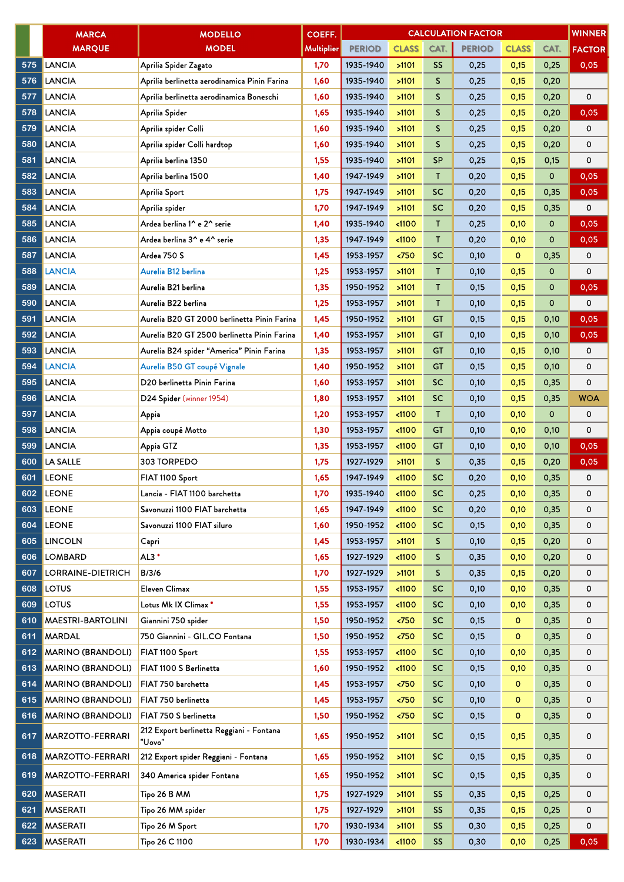|     | <b>MARCA</b>             | <b>MODELLO</b>                                     | COEFF.     | <b>CALCULATION FACTOR</b><br><b>WINNER</b> |               |              |               |              |             |               |  |  |
|-----|--------------------------|----------------------------------------------------|------------|--------------------------------------------|---------------|--------------|---------------|--------------|-------------|---------------|--|--|
|     | <b>MARQUE</b>            | <b>MODEL</b>                                       | Multiplier | <b>PERIOD</b>                              | <b>CLASS</b>  | CAT.         | <b>PERIOD</b> | <b>CLASS</b> | CAT.        | <b>FACTOR</b> |  |  |
| 575 | LANCIA                   | Aprilia Spider Zagato                              | 1,70       | 1935-1940                                  | >1101         | <b>SS</b>    | 0,25          | 0,15         | 0,25        | 0,05          |  |  |
| 576 | <b>LANCIA</b>            | Aprilia berlinetta aerodinamica Pinin Farina       | 1,60       | 1935-1940                                  | >1101         | $\mathsf{S}$ | 0,25          | 0,15         | 0,20        |               |  |  |
| 577 | <b>LANCIA</b>            | Aprilia berlinetta aerodinamica Boneschi           | 1,60       | 1935-1940                                  | >1101         | S            | 0,25          | 0,15         | 0,20        | 0             |  |  |
| 578 | <b>LANCIA</b>            | Aprilia Spider                                     | 1,65       | 1935-1940                                  | >1101         | S            | 0,25          | 0,15         | 0,20        | 0,05          |  |  |
| 579 | <b>LANCIA</b>            | Aprilia spider Colli                               | 1,60       | 1935-1940                                  | >1101         | S            | 0,25          | 0,15         | 0,20        | 0             |  |  |
| 580 | <b>LANCIA</b>            | Aprilia spider Colli hardtop                       | 1,60       | 1935-1940                                  | >1101         | S            | 0,25          | 0,15         | 0,20        | 0             |  |  |
| 581 | <b>LANCIA</b>            | Aprilia berlina 1350                               | 1,55       | 1935-1940                                  | >1101         | <b>SP</b>    | 0,25          | 0,15         | 0,15        | 0             |  |  |
| 582 | <b>LANCIA</b>            | Aprilia berlina 1500                               | 1,40       | 1947-1949                                  | >1101         | T            | 0,20          | 0,15         | 0           | 0,05          |  |  |
| 583 | <b>LANCIA</b>            | Aprilia Sport                                      | 1,75       | 1947-1949                                  | >1101         | <b>SC</b>    | 0,20          | 0,15         | 0,35        | 0,05          |  |  |
| 584 | <b>LANCIA</b>            | Aprilia spider                                     | 1,70       | 1947-1949                                  | >1101         | <b>SC</b>    | 0,20          | 0,15         | 0,35        | 0             |  |  |
| 585 | <b>LANCIA</b>            | Ardea berlina 1^ e 2^ serie                        | 1,40       | 1935-1940                                  | < 1100        | T            | 0,25          | 0,10         | 0           | 0,05          |  |  |
| 586 | <b>LANCIA</b>            | Ardea berlina 3^ e 4^ serie                        | 1,35       | 1947-1949                                  | < 1100        | $\mathsf{T}$ | 0,20          | 0,10         | 0           | 0,05          |  |  |
| 587 | <b>LANCIA</b>            | Ardea 750 S                                        | 1,45       | 1953-1957                                  | < 750         | SC           | 0,10          | $\mathbf 0$  | 0,35        | 0             |  |  |
| 588 | <b>LANCIA</b>            | Aurelia B12 berlina                                | 1,25       | 1953-1957                                  | >1101         | $\mathsf{T}$ | 0,10          | 0,15         | 0           | 0             |  |  |
| 589 | <b>LANCIA</b>            | Aurelia B21 berlina                                | 1,35       | 1950-1952                                  | >1101         | Τ            | 0,15          | 0,15         | 0           | 0,05          |  |  |
| 590 | <b>LANCIA</b>            | Aurelia B22 berlina                                | 1,25       | 1953-1957                                  | >1101         | $\mathsf{T}$ | 0,10          | 0,15         | 0           | 0             |  |  |
| 591 | <b>LANCIA</b>            | Aurelia B20 GT 2000 berlinetta Pinin Farina        | 1,45       | 1950-1952                                  | >1101         | <b>GT</b>    | 0,15          | 0,15         | 0,10        | 0,05          |  |  |
| 592 | <b>LANCIA</b>            | Aurelia B20 GT 2500 berlinetta Pinin Farina        | 1,40       | 1953-1957                                  | >1101         | <b>GT</b>    | 0,10          | 0,15         | 0,10        | 0,05          |  |  |
| 593 | <b>LANCIA</b>            | Aurelia B24 spider "America" Pinin Farina          | 1,35       | 1953-1957                                  | >1101         | <b>GT</b>    | 0,10          | 0,15         | 0,10        | 0             |  |  |
| 594 | <b>LANCIA</b>            | Aurelia B50 GT coupé Vignale                       | 1,40       | 1950-1952                                  | >1101         | <b>GT</b>    | 0,15          | 0,15         | 0,10        | 0             |  |  |
| 595 | <b>LANCIA</b>            | D20 berlinetta Pinin Farina                        | 1,60       | 1953-1957                                  | >1101         | <b>SC</b>    | 0,10          | 0,15         | 0,35        | 0             |  |  |
| 596 | <b>LANCIA</b>            | D24 Spider (winner 1954)                           | 1,80       | 1953-1957                                  | >1101         | <b>SC</b>    | 0,10          | 0,15         | 0,35        | <b>WOA</b>    |  |  |
| 597 | <b>LANCIA</b>            | Appia                                              | 1,20       | 1953-1957                                  | < 1100        | T            | 0,10          | 0,10         | $\mathbf 0$ | 0             |  |  |
| 598 | <b>LANCIA</b>            | Appia coupé Motto                                  | 1,30       | 1953-1957                                  | < 1100        | GT           | 0,10          | 0,10         | 0,10        | 0             |  |  |
| 599 | <b>LANCIA</b>            | Appia GTZ                                          | 1,35       | 1953-1957                                  | < 1100        | <b>GT</b>    | 0,10          | 0,10         | 0,10        | 0,05          |  |  |
| 600 | LA SALLE                 | 303 TORPEDO                                        | 1,75       | 1927-1929                                  | >1101         | S            | 0,35          | 0,15         | 0,20        | 0,05          |  |  |
| 601 | <b>LEONE</b>             | FIAT 1100 Sport                                    | 1,65       | 1947-1949                                  | $1100$        | <b>SC</b>    | 0,20          | 0,10         | 0,35        | 0             |  |  |
| 602 | <b>LEONE</b>             | Lancia - FIAT 1100 barchetta                       | 1,70       | 1935-1940                                  | < 1100        | <b>SC</b>    | 0,25          | 0,10         | 0,35        | 0             |  |  |
| 603 | <b>LEONE</b>             | Savonuzzi 1100 FIAT barchetta                      | 1,65       | 1947-1949                                  | < 1100        | <b>SC</b>    | 0,20          | 0,10         | 0,35        | 0             |  |  |
| 604 | <b>LEONE</b>             | Savonuzzi 1100 FIAT siluro                         | 1,60       | 1950-1952                                  | $1100$        | SC           | 0,15          | 0,10         | 0,35        | 0             |  |  |
| 605 | <b>LINCOLN</b>           | Capri                                              | 1,45       | 1953-1957                                  | >1101         | S            | 0,10          | 0,15         | 0,20        | 0             |  |  |
| 606 | <b>LOMBARD</b>           | $AL3*$                                             | 1,65       | 1927-1929                                  | $1100$        | S            | 0,35          | 0,10         | 0,20        | 0             |  |  |
| 607 | LORRAINE-DIETRICH        | B/3/6                                              | 1,70       | 1927-1929                                  | >1101         | S            | 0,35          | 0,15         | 0,20        | 0             |  |  |
| 608 | <b>LOTUS</b>             | Eleven Climax                                      | 1,55       | 1953-1957                                  | < 1100        | <b>SC</b>    | 0,10          | 0,10         | 0,35        | 0             |  |  |
| 609 | <b>LOTUS</b>             | Lotus Mk IX Climax*                                | 1,55       | 1953-1957                                  | < 1100        | <b>SC</b>    | 0,10          | 0,10         | 0,35        | 0             |  |  |
| 610 | <b>MAESTRI-BARTOLINI</b> | Giannini 750 spider                                | 1,50       | 1950-1952                                  | $750$         | <b>SC</b>    | 0,15          | $\mathbf{O}$ | 0,35        | 0             |  |  |
| 611 | <b>MARDAL</b>            | 750 Giannini - GIL.CO Fontana                      | 1,50       | 1950-1952                                  | < 750         | <b>SC</b>    | 0,15          | $\circ$      | 0,35        | 0             |  |  |
| 612 | <b>MARINO (BRANDOLI)</b> | FIAT 1100 Sport                                    | 1,55       | 1953-1957                                  | < 1100        | <b>SC</b>    | 0,10          | 0,10         | 0,35        | 0             |  |  |
| 613 | <b>MARINO (BRANDOLI)</b> | FIAT 1100 S Berlinetta                             | 1,60       | 1950-1952                                  | < 1100        | <b>SC</b>    | 0,15          | 0,10         | 0,35        | 0             |  |  |
| 614 | <b>MARINO (BRANDOLI)</b> | FIAT 750 barchetta                                 | 1,45       | 1953-1957                                  | $750$         | <b>SC</b>    | 0,10          | $\mathbf 0$  | 0,35        | 0             |  |  |
| 615 | <b>MARINO (BRANDOLI)</b> | FIAT 750 berlinetta                                | 1,45       | 1953-1957                                  | $\langle 750$ | <b>SC</b>    | 0,10          | o            | 0,35        | 0             |  |  |
| 616 | <b>MARINO (BRANDOLI)</b> | FIAT 750 S berlinetta                              | 1,50       | 1950-1952                                  | $750$         | SC           | 0,15          | $\circ$      | 0,35        | 0             |  |  |
| 617 | <b>MARZOTTO-FERRARI</b>  | 212 Export berlinetta Reggiani - Fontana<br>"Uovo" | 1,65       | 1950-1952                                  | >1101         | <b>SC</b>    | 0,15          | 0,15         | 0,35        | 0             |  |  |
| 618 | <b>MARZOTTO-FERRARI</b>  | 212 Export spider Reggiani - Fontana               | 1,65       | 1950-1952                                  | >1101         | <b>SC</b>    | 0,15          | 0,15         | 0,35        | 0             |  |  |
| 619 | <b>MARZOTTO-FERRARI</b>  | 340 America spider Fontana                         | 1,65       | 1950-1952                                  | >1101         | <b>SC</b>    | 0,15          | 0,15         | 0,35        | 0             |  |  |
| 620 | <b>MASERATI</b>          | Tipo 26 B MM                                       | 1,75       | 1927-1929                                  | >1101         | <b>SS</b>    | 0,35          | 0,15         | 0,25        | 0             |  |  |
| 621 | <b>MASERATI</b>          | Tipo 26 MM spider                                  | 1,75       | 1927-1929                                  | >1101         | <b>SS</b>    | 0,35          | 0,15         | 0,25        | 0             |  |  |
| 622 | <b>MASERATI</b>          | Tipo 26 M Sport                                    | 1,70       | 1930-1934                                  | >1101         | <b>SS</b>    | 0,30          | 0,15         | 0,25        | 0             |  |  |
| 623 | <b>MASERATI</b>          | Tipo 26 C 1100                                     | 1,70       | 1930-1934                                  | < 1100        | <b>SS</b>    | 0,30          | 0,10         | 0,25        | 0,05          |  |  |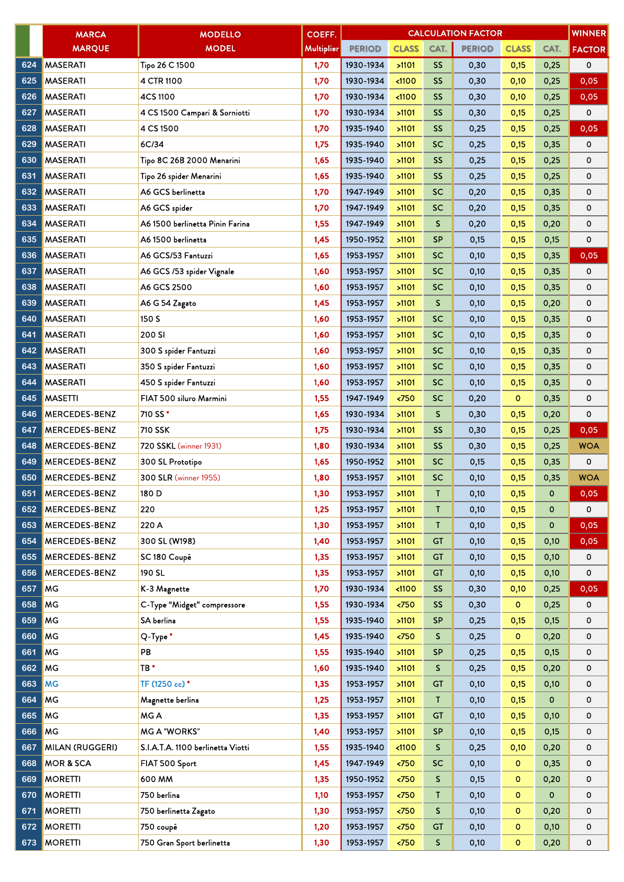|     | <b>MARCA</b>           | <b>MODELLO</b>                    | COEFF.     | <b>WINNER</b><br><b>CALCULATION FACTOR</b> |                       |              |               |              |             |               |  |
|-----|------------------------|-----------------------------------|------------|--------------------------------------------|-----------------------|--------------|---------------|--------------|-------------|---------------|--|
|     | <b>MARQUE</b>          | <b>MODEL</b>                      | Multiplier | <b>PERIOD</b>                              | <b>CLASS</b>          | CAT.         | <b>PERIOD</b> | <b>CLASS</b> | CAT.        | <b>FACTOR</b> |  |
| 624 | <b>MASERATI</b>        | Tipo 26 C 1500                    | 1,70       | 1930-1934                                  | >1101                 | <b>SS</b>    | 0,30          | 0,15         | 0,25        | 0             |  |
| 625 | <b>MASERATI</b>        | 4 CTR 1100                        | 1,70       | 1930-1934                                  | $1100$                | <b>SS</b>    | 0,30          | 0,10         | 0,25        | 0,05          |  |
| 626 | <b>MASERATI</b>        | 4CS 1100                          | 1,70       | 1930-1934                                  | < 1100                | <b>SS</b>    | 0,30          | 0,10         | 0,25        | 0,05          |  |
| 627 | <b>MASERATI</b>        | 4 CS 1500 Campari & Sorniotti     | 1,70       | 1930-1934                                  | >1101                 | <b>SS</b>    | 0,30          | 0,15         | 0,25        | 0             |  |
| 628 | <b>MASERATI</b>        | 4 CS 1500                         | 1,70       | 1935-1940                                  | >1101                 | <b>SS</b>    | 0,25          | 0,15         | 0,25        | 0,05          |  |
| 629 | <b>MASERATI</b>        | 6C/34                             | 1,75       | 1935-1940                                  | >1101                 | <b>SC</b>    | 0,25          | 0,15         | 0,35        | 0             |  |
| 630 | <b>MASERATI</b>        | Tipo 8C 26B 2000 Menarini         | 1,65       | 1935-1940                                  | >1101                 | <b>SS</b>    | 0,25          | 0,15         | 0,25        | 0             |  |
| 631 | <b>MASERATI</b>        | Tipo 26 spider Menarini           | 1,65       | 1935-1940                                  | >1101                 | SS           | 0,25          | 0,15         | 0,25        | 0             |  |
| 632 | <b>MASERATI</b>        | A6 GCS berlinetta                 | 1,70       | 1947-1949                                  | >1101                 | <b>SC</b>    | 0,20          | 0,15         | 0,35        | 0             |  |
| 633 | <b>MASERATI</b>        | A6 GCS spider                     | 1,70       | 1947-1949                                  | >1101                 | <b>SC</b>    | 0,20          | 0,15         | 0,35        | 0             |  |
| 634 | <b>MASERATI</b>        | A6 1500 berlinetta Pinin Farina   | 1,55       | 1947-1949                                  | >1101                 | S.           | 0,20          | 0,15         | 0,20        | 0             |  |
| 635 | <b>MASERATI</b>        | A6 1500 berlinetta                | 1,45       | 1950-1952                                  | >1101                 | <b>SP</b>    | 0,15          | 0,15         | 0,15        | 0             |  |
| 636 | <b>MASERATI</b>        | A6 GCS/53 Fantuzzi                | 1,65       | 1953-1957                                  | >1101                 | <b>SC</b>    | 0,10          | 0,15         | 0,35        | 0,05          |  |
| 637 | <b>MASERATI</b>        | A6 GCS /53 spider Vignale         | 1,60       | 1953-1957                                  | >1101                 | <b>SC</b>    | 0,10          | 0,15         | 0,35        | 0             |  |
| 638 | <b>MASERATI</b>        | A6 GCS 2500                       | 1,60       | 1953-1957                                  | >1101                 | <b>SC</b>    | 0,10          | 0,15         | 0,35        | 0             |  |
| 639 | <b>MASERATI</b>        | A6 G 54 Zagato                    | 1,45       | 1953-1957                                  | >1101                 | S            | 0,10          | 0,15         | 0,20        | 0             |  |
| 640 | <b>MASERATI</b>        | 150 S                             | 1,60       | 1953-1957                                  | >1101                 | <b>SC</b>    | 0,10          | 0,15         | 0,35        | 0             |  |
| 641 | <b>MASERATI</b>        | 200 SI                            | 1,60       | 1953-1957                                  | >1101                 | <b>SC</b>    | 0,10          | 0,15         | 0,35        | 0             |  |
| 642 | <b>MASERATI</b>        | 300 S spider Fantuzzi             | 1,60       | 1953-1957                                  | >1101                 | <b>SC</b>    | 0,10          | 0,15         | 0,35        | 0             |  |
| 643 | <b>MASERATI</b>        | 350 S spider Fantuzzi             | 1,60       | 1953-1957                                  | >1101                 | <b>SC</b>    | 0,10          | 0,15         | 0,35        | 0             |  |
| 644 | <b>MASERATI</b>        | 450 S spider Fantuzzi             | 1,60       | 1953-1957                                  | >1101                 | <b>SC</b>    | 0,10          | 0,15         | 0,35        | 0             |  |
| 645 | <b>MASETTI</b>         | FIAT 500 siluro Marmini           | 1,55       | 1947-1949                                  | < 750                 | <b>SC</b>    | 0,20          | $\circ$      | 0,35        | 0             |  |
| 646 | <b>MERCEDES-BENZ</b>   | 710 SS*                           | 1,65       | 1930-1934                                  | >1101                 | S.           | 0,30          | 0,15         | 0,20        | 0             |  |
| 647 | <b>MERCEDES-BENZ</b>   | 710 SSK                           | 1,75       | 1930-1934                                  | >1101                 | <b>SS</b>    | 0,30          | 0,15         | 0,25        | 0,05          |  |
| 648 | <b>MERCEDES-BENZ</b>   | 720 SSKL (winner 1931)            | 1,80       | 1930-1934                                  | >1101                 | <b>SS</b>    | 0,30          | 0,15         | 0,25        | <b>WOA</b>    |  |
| 649 | <b>MERCEDES-BENZ</b>   | 300 SL Prototipo                  | 1,65       | 1950-1952                                  | >1101                 | <b>SC</b>    | 0,15          | 0,15         | 0,35        | 0             |  |
| 650 | <b>MERCEDES-BENZ</b>   | 300 SLR (winner 1955)             | 1,80       | 1953-1957                                  | >1101                 | <b>SC</b>    | 0,10          | 0,15         | 0,35        | <b>WOA</b>    |  |
| 651 | MERCEDES-BENZ          | 180 D                             | 1,30       | 1953-1957                                  | >1101                 | Τ            | 0,10          | 0,15         | $\mathbf 0$ | $0.05 -$      |  |
| 652 | MERCEDES-BENZ          | 220                               | 1,25       | 1953-1957                                  | >1101                 | T            | 0,10          | 0,15         | 0           | 0             |  |
| 653 | <b>MERCEDES-BENZ</b>   | 220 A                             | 1,30       | 1953-1957                                  | >1101                 | Τ            | 0,10          | 0,15         | 0           | 0,05          |  |
| 654 | <b>MERCEDES-BENZ</b>   | 300 SL (W198)                     | 1,40       | 1953-1957                                  | >1101                 | <b>GT</b>    | 0,10          | 0,15         | 0,10        | 0,05          |  |
| 655 | MERCEDES-BENZ          | SC 180 Coupé                      | 1,35       | 1953-1957                                  | >1101                 | GT           | 0,10          | 0,15         | 0,10        | 0             |  |
| 656 | <b>MERCEDES-BENZ</b>   | 190 SL                            | 1,35       | 1953-1957                                  | >1101                 | <b>GT</b>    | 0,10          | 0,15         | 0,10        | 0             |  |
| 657 | <b>MG</b>              | K-3 Magnette                      | 1,70       | 1930-1934                                  | $1100$                | <b>SS</b>    | 0,30          | 0,10         | 0,25        | 0,05          |  |
| 658 | <b>MG</b>              | C-Type "Midget" compressore       | 1,55       | 1930-1934                                  | $\langle 750$         | <b>SS</b>    | 0,30          | $\mathbf{o}$ | 0,25        | 0             |  |
| 659 | MG                     | SA berlina                        | 1,55       | 1935-1940                                  | >1101                 | <b>SP</b>    | 0,25          | 0,15         | 0,15        | 0             |  |
| 660 | MG                     | Q-Type*                           | 1,45       | 1935-1940                                  | < 750                 | S            | 0,25          | $\circ$      | 0,20        | 0             |  |
| 661 | MG                     | PB                                | 1,55       | 1935-1940                                  | >1101                 | <b>SP</b>    | 0,25          | 0,15         | 0,15        | 0             |  |
| 662 | MG                     | TB *                              | 1,60       | 1935-1940                                  | >1101                 | S.           | 0,25          | 0,15         | 0,20        | 0             |  |
| 663 | MG                     | TF (1250 cc)*                     | 1,35       | 1953-1957                                  | >1101                 | GT           | 0,10          | 0,15         | 0,10        | 0             |  |
| 664 | MG                     | Magnette berlina                  | 1,25       | 1953-1957                                  | >1101                 | T            | 0,10          | 0,15         | $\mathbf 0$ | 0             |  |
| 665 | MG                     | MG A                              | 1,35       | 1953-1957                                  | >1101                 | GT           | 0,10          | 0,15         | 0,10        | 0             |  |
| 666 | MG                     | <b>MG A "WORKS"</b>               | 1,40       | 1953-1957                                  | >1101                 | <b>SP</b>    | 0,10          | 0,15         | 0,15        | 0             |  |
| 667 | <b>MILAN (RUGGERI)</b> | S.I.A.T.A. 1100 berlinetta Viotti | 1,55       | 1935-1940                                  | < 1100                | S.           | 0,25          | 0,10         | 0,20        | 0             |  |
| 668 | <b>MOR &amp; SCA</b>   | FIAT 500 Sport                    | 1,45       | 1947-1949                                  | < 750                 | <b>SC</b>    | 0,10          | $\mathbf{o}$ | 0,35        | 0             |  |
| 669 | <b>MORETTI</b>         | 600 MM                            | 1,35       | 1950-1952                                  | $\langle 750 \rangle$ | $\mathsf{S}$ | 0,15          | $\circ$      | 0,20        | 0             |  |
| 670 | <b>MORETTI</b>         | 750 berlina                       | 1,10       | 1953-1957                                  | < 750                 | Τ            | 0,10          | $\mathbf 0$  | 0           | 0             |  |
| 671 | <b>MORETTI</b>         | 750 berlinetta Zagato             | 1,30       | 1953-1957                                  | $\langle 750 \rangle$ | S            | 0,10          | $\mathbf{o}$ | 0,20        | 0             |  |
| 672 | <b>MORETTI</b>         | 750 coupé                         | 1,20       | 1953-1957                                  | < 750                 | GT           | 0,10          | $\circ$      | 0,10        | 0             |  |
|     | 673 MORETTI            | 750 Gran Sport berlinetta         | 1,30       | 1953-1957                                  | $\langle 750$         | S.           | 0,10          | $\mathbf{O}$ | 0,20        | 0             |  |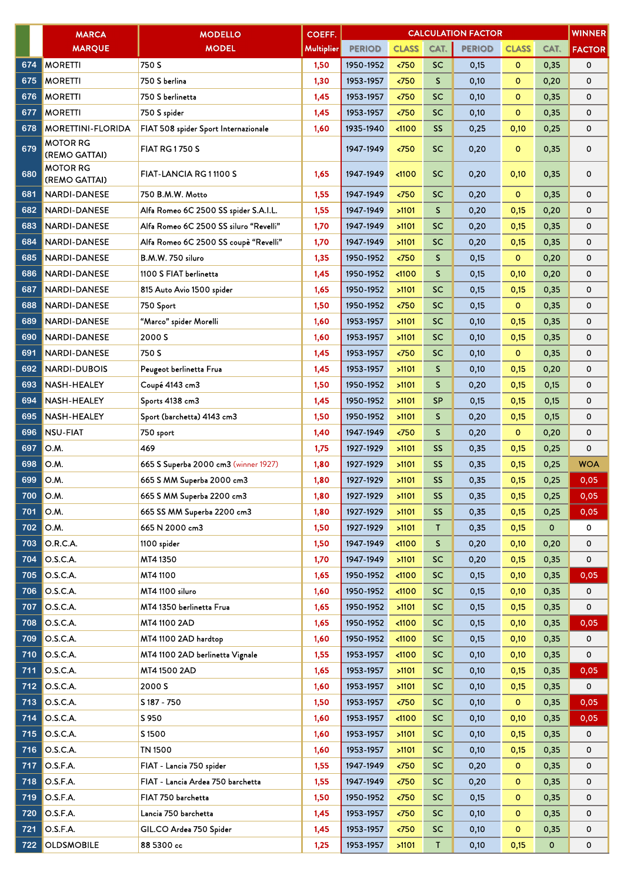|     | <b>MARCA</b>                     | <b>MODELLO</b>                         | COEFF.     | <b>WINNER</b><br><b>CALCULATION FACTOR</b> |                       |              |               |              |              |               |
|-----|----------------------------------|----------------------------------------|------------|--------------------------------------------|-----------------------|--------------|---------------|--------------|--------------|---------------|
|     | <b>MARQUE</b>                    | <b>MODEL</b>                           | Multiplier | <b>PERIOD</b>                              | <b>CLASS</b>          | CAT.         | <b>PERIOD</b> | <b>CLASS</b> | CAT.         | <b>FACTOR</b> |
| 674 | <b>MORETTI</b>                   | 750 S                                  | 1,50       | 1950-1952                                  | < 750                 | <b>SC</b>    | 0,15          | $\mathbf{o}$ | 0,35         | 0             |
| 675 | <b>MORETTI</b>                   | 750 S berlina                          | 1,30       | 1953-1957                                  | 50                    | $\mathsf{S}$ | 0,10          | $\circ$      | 0,20         | 0             |
| 676 | <b>MORETTI</b>                   | 750 S berlinetta                       | 1,45       | 1953-1957                                  | < 750                 | <b>SC</b>    | 0,10          | $\mathbf{o}$ | 0,35         | 0             |
| 677 | <b>MORETTI</b>                   | 750 S spider                           | 1,45       | 1953-1957                                  | < 750                 | <b>SC</b>    | 0,10          | $\mathbf{o}$ | 0,35         | 0             |
| 678 | <b>MORETTINI-FLORIDA</b>         | FIAT 508 spider Sport Internazionale   | 1,60       | 1935-1940                                  | < 1100                | <b>SS</b>    | 0,25          | 0,10         | 0,25         | 0             |
| 679 | <b>MOTOR RG</b><br>(REMO GATTAI) | <b>FIAT RG1750 S</b>                   |            | 1947-1949                                  | < 750                 | <b>SC</b>    | 0,20          | o            | 0,35         | 0             |
| 680 | <b>MOTOR RG</b><br>(REMO GATTAI) | FIAT-LANCIA RG 11100 S                 | 1,65       | 1947-1949                                  | < 1100                | <b>SC</b>    | 0,20          | 0,10         | 0,35         | 0             |
| 681 | <b>NARDI-DANESE</b>              | 750 B.M.W. Motto                       | 1,55       | 1947-1949                                  | 50 <sub>2</sub>       | <b>SC</b>    | 0,20          | $\circ$      | 0,35         | 0             |
| 682 | NARDI-DANESE                     | Alfa Romeo 6C 2500 SS spider S.A.I.L.  | 1,55       | 1947-1949                                  | >1101                 | S            | 0,20          | 0,15         | 0,20         | 0             |
| 683 | <b>NARDI-DANESE</b>              | Alfa Romeo 6C 2500 SS siluro "Revelli" | 1,70       | 1947-1949                                  | >1101                 | <b>SC</b>    | 0,20          | 0,15         | 0,35         | 0             |
| 684 | <b>NARDI-DANESE</b>              | Alfa Romeo 6C 2500 SS coupè "Revelli"  | 1,70       | 1947-1949                                  | >1101                 | SC           | 0,20          | 0,15         | 0,35         | 0             |
| 685 | <b>NARDI-DANESE</b>              | B.M.W. 750 siluro                      | 1,35       | 1950-1952                                  | < 750                 | S.           | 0,15          | $\mathbf{o}$ | 0,20         | 0             |
| 686 | <b>NARDI-DANESE</b>              | 1100 S FIAT berlinetta                 | 1,45       | 1950-1952                                  | < 1100                | S            | 0,15          | 0,10         | 0,20         | 0             |
| 687 | <b>NARDI-DANESE</b>              | 815 Auto Avio 1500 spider              | 1,65       | 1950-1952                                  | >1101                 | SC           | 0,15          | 0,15         | 0,35         | 0             |
| 688 | <b>NARDI-DANESE</b>              | 750 Sport                              | 1,50       | 1950-1952                                  | 50                    | SC           | 0,15          | $\circ$      | 0,35         | 0             |
| 689 | <b>NARDI-DANESE</b>              | "Marco" spider Morelli                 | 1,60       | 1953-1957                                  | >1101                 | SC           | 0,10          | 0,15         | 0,35         | 0             |
| 690 | <b>NARDI-DANESE</b>              | 2000 S                                 | 1,60       | 1953-1957                                  | >1101                 | <b>SC</b>    | 0,10          | 0,15         | 0,35         | 0             |
| 691 | <b>NARDI-DANESE</b>              | 750 S                                  | 1,45       | 1953-1957                                  | 50                    | SC           | 0,10          | $\circ$      | 0,35         | 0             |
| 692 | <b>NARDI-DUBOIS</b>              | Peugeot berlinetta Frua                | 1,45       | 1953-1957                                  | >1101                 | S.           | 0,10          | 0,15         | 0,20         | 0             |
| 693 | NASH-HEALEY                      | Coupé 4143 cm3                         | 1,50       | 1950-1952                                  | >1101                 | S            | 0,20          | 0,15         | 0,15         | 0             |
| 694 | <b>NASH-HEALEY</b>               | Sports 4138 cm3                        | 1,45       | 1950-1952                                  | >1101                 | <b>SP</b>    | 0,15          | 0,15         | 0,15         | 0             |
| 695 | <b>NASH-HEALEY</b>               | Sport (barchetta) 4143 cm3             | 1,50       | 1950-1952                                  | >1101                 | S            | 0,20          | 0,15         | 0,15         | 0             |
| 696 | <b>NSU-FIAT</b>                  | 750 sport                              | 1,40       | 1947-1949                                  | < 750                 | S.           | 0,20          | $\circ$      | 0,20         | 0             |
| 697 | O.M.                             | 469                                    | 1,75       | 1927-1929                                  | >1101                 | SS           | 0,35          | 0,15         | 0,25         | 0             |
| 698 | O.M.                             | 665 S Superba 2000 cm3 (winner 1927)   | 1,80       | 1927-1929                                  | >1101                 | <b>SS</b>    | 0,35          | 0,15         | 0,25         | <b>WOA</b>    |
| 699 | O.M.                             | 665 S MM Superba 2000 cm3              | 1,80       | 1927-1929                                  | >1101                 | SS           | 0,35          | 0,15         | 0,25         | 0,05          |
| 700 | O.M.                             | 665 S MM Superba 2200 cm3              | 1,80       | 1927-1929                                  | $>1101$               | SS           | 0,35          | 0,15         | 0,25         | 0,05          |
| 701 | O.M.                             | 665 SS MM Superba 2200 cm3             | 1,80       | 1927-1929                                  | >1101                 | <b>SS</b>    | 0,35          | 0,15         | 0,25         | 0,05          |
| 702 | O.M.                             | 665 N 2000 cm3                         | 1,50       | 1927-1929                                  | >1101                 | T            | 0,35          | 0,15         | $\mathbf 0$  | 0             |
| 703 | O.R.C.A.                         | 1100 spider                            | 1,50       | 1947-1949                                  | < 1100                | S.           | 0,20          | 0,10         | 0,20         | 0             |
| 704 | O.S.C.A.                         | MT4 1350                               | 1,70       | 1947-1949                                  | >1101                 | SC           | 0,20          | 0,15         | 0,35         | 0             |
| 705 | O.S.C.A.                         | MT4 1100                               | 1,65       | 1950-1952                                  | < 1100                | <b>SC</b>    | 0,15          | 0,10         | 0,35         | 0,05          |
| 706 | O.S.C.A.                         | MT4 1100 siluro                        | 1,60       | 1950-1952                                  | < 1100                | SC           | 0,15          | 0,10         | 0,35         | 0             |
| 707 | O.S.C.A.                         | MT4 1350 berlinetta Frua               | 1,65       | 1950-1952                                  | >1101                 | <b>SC</b>    | 0,15          | 0,15         | 0,35         | 0             |
| 708 | O.S.C.A.                         | MT4 1100 2AD                           | 1,65       | 1950-1952                                  | < 1100                | <b>SC</b>    | 0,15          | 0,10         | 0,35         | 0,05          |
| 709 | O.S.C.A.                         | MT4 1100 2AD hardtop                   | 1,60       | 1950-1952                                  | < 1100                | SC           | 0,15          | 0,10         | 0,35         | 0             |
| 710 | O.S.C.A.                         | MT4 1100 2AD berlinetta Vignale        | 1,55       | 1953-1957                                  | < 1100                | <b>SC</b>    | 0,10          | 0,10         | 0,35         | 0             |
| 711 | O.S.C.A.                         | MT4 1500 2AD                           | 1,65       | 1953-1957                                  | >1101                 | <b>SC</b>    | 0,10          | 0,15         | 0,35         | 0,05          |
| 712 | O.S.C.A.                         | 2000 S                                 | 1,60       | 1953-1957                                  | >1101                 | <b>SC</b>    | 0,10          | 0,15         | 0,35         | 0             |
| 713 | O.S.C.A.                         | S 187 - 750                            | 1,50       | 1953-1957                                  | 550                   | <b>SC</b>    | 0,10          | $\bullet$    | 0,35         | 0,05          |
| 714 | O.S.C.A.                         | S 950                                  | 1,60       | 1953-1957                                  | < 1100                | <b>SC</b>    | 0,10          | 0,10         | 0,35         | 0,05          |
| 715 | O.S.C.A.                         | S1500                                  | 1,60       | 1953-1957                                  | >1101                 | <b>SC</b>    | 0,10          | 0,15         | 0,35         | 0             |
| 716 | O.S.C.A.                         | TN 1500                                | 1,60       | 1953-1957                                  | >1101                 | <b>SC</b>    | 0,10          | 0,15         | 0,35         | 0             |
| 717 | O.S.F.A.                         | FIAT - Lancia 750 spider               | 1,55       | 1947-1949                                  | 50 <sub>2</sub>       | <b>SC</b>    | 0,20          | $\mathbf{O}$ | 0,35         | 0             |
| 718 | O.S.F.A.                         | FIAT - Lancia Ardea 750 barchetta      | 1,55       | 1947-1949                                  | $750$                 | <b>SC</b>    | 0,20          | o            | 0,35         | 0             |
| 719 | O.S.F.A.                         | FIAT 750 barchetta                     | 1,50       | 1950-1952                                  | $\langle 750 \rangle$ | <b>SC</b>    | 0,15          | $\mathbf{o}$ | 0,35         | 0             |
| 720 | O.S.F.A.                         | Lancia 750 barchetta                   | 1,45       | 1953-1957                                  | < 750                 | <b>SC</b>    | 0,10          | o            | 0,35         | 0             |
| 721 | O.S.F.A.                         | GIL.CO Ardea 750 Spider                | 1,45       | 1953-1957                                  | $750$                 | <b>SC</b>    | 0,10          | $\mathbf{o}$ | 0,35         | 0             |
| 722 | <b>OLDSMOBILE</b>                | 88 5300 cc                             | 1,25       | 1953-1957                                  | >1101                 | T.           | 0,10          | 0,15         | $\mathbf{o}$ | 0             |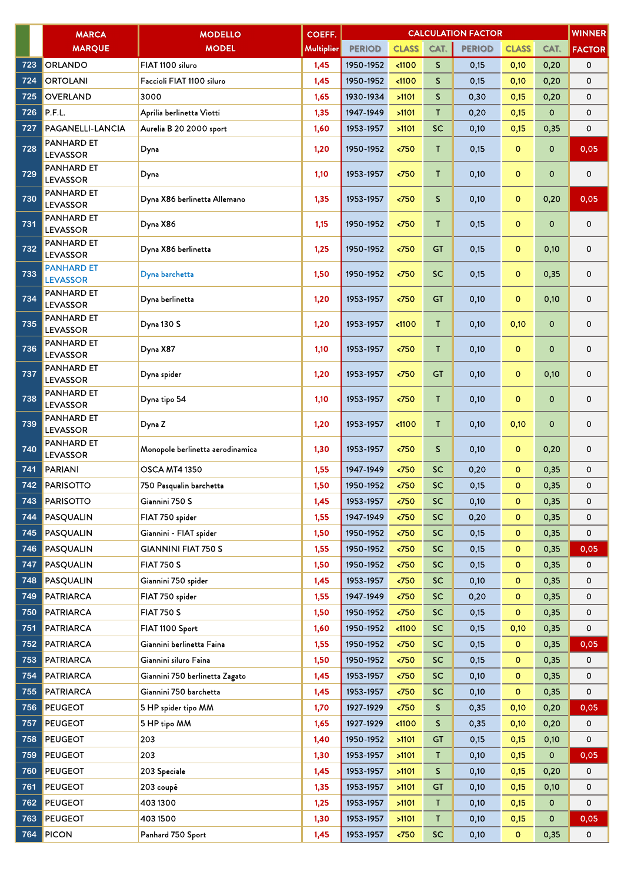|     | <b>MARCA</b>                         | <b>MODELLO</b>                   | COEFF.            | <b>CALCULATION FACTOR</b><br><b>WINNER</b> |               |              |               |              |              |               |  |
|-----|--------------------------------------|----------------------------------|-------------------|--------------------------------------------|---------------|--------------|---------------|--------------|--------------|---------------|--|
|     | <b>MARQUE</b>                        | <b>MODEL</b>                     | <b>Multiplier</b> | <b>PERIOD</b>                              | <b>CLASS</b>  | CAT.         | <b>PERIOD</b> | <b>CLASS</b> | CAT.         | <b>FACTOR</b> |  |
| 723 | <b>ORLANDO</b>                       | FIAT 1100 siluro                 | 1,45              | 1950-1952                                  | < 1100        | S.           | 0,15          | 0,10         | 0,20         | 0             |  |
| 724 | <b>ORTOLANI</b>                      | Faccioli FIAT 1100 siluro        | 1,45              | 1950-1952                                  | 1100          | S.           | 0,15          | 0,10         | 0,20         | 0             |  |
| 725 | <b>OVERLAND</b>                      | 3000                             | 1,65              | 1930-1934                                  | >1101         | $\mathsf{S}$ | 0,30          | 0,15         | 0,20         | 0             |  |
| 726 | P.F.L.                               | Aprilia berlinetta Viotti        | 1,35              | 1947-1949                                  | >1101         | T            | 0,20          | 0,15         | $\mathbf 0$  | 0             |  |
| 727 | PAGANELLI-LANCIA                     | Aurelia B 20 2000 sport          | 1,60              | 1953-1957                                  | >1101         | <b>SC</b>    | 0,10          | 0,15         | 0,35         | 0             |  |
| 728 | <b>PANHARD ET</b><br><b>LEVASSOR</b> | Dyna                             | 1,20              | 1950-1952                                  | < 750         | T            | 0,15          | $\circ$      | $\mathbf{o}$ | 0,05          |  |
| 729 | <b>PANHARD ET</b><br><b>LEVASSOR</b> | Dyna                             | 1,10              | 1953-1957                                  | < 750         | T            | 0,10          | $\circ$      | $\mathbf 0$  | 0             |  |
| 730 | <b>PANHARD ET</b><br><b>LEVASSOR</b> | Dyna X86 berlinetta Allemano     | 1,35              | 1953-1957                                  | < 750         | $\mathsf{S}$ | 0,10          | $\mathbf{o}$ | 0,20         | 0,05          |  |
| 731 | <b>PANHARD ET</b><br><b>LEVASSOR</b> | Dyna X86                         | 1,15              | 1950-1952                                  | < 750         | T            | 0,15          | $\mathbf{o}$ | $\mathbf 0$  | 0             |  |
| 732 | <b>PANHARD ET</b><br><b>LEVASSOR</b> | Dyna X86 berlinetta              | 1,25              | 1950-1952                                  | < 750         | <b>GT</b>    | 0,15          | $\mathbf 0$  | 0,10         | 0             |  |
| 733 | <b>PANHARD ET</b><br><b>LEVASSOR</b> | Dyna barchetta                   | 1,50              | 1950-1952                                  | < 750         | <b>SC</b>    | 0,15          | $\mathbf 0$  | 0,35         | 0             |  |
| 734 | <b>PANHARD ET</b><br><b>LEVASSOR</b> | Dyna berlinetta                  | 1,20              | 1953-1957                                  | < 750         | <b>GT</b>    | 0,10          | 0            | 0,10         | 0             |  |
| 735 | <b>PANHARD ET</b><br><b>LEVASSOR</b> | Dyna 130 S                       | 1,20              | 1953-1957                                  | $1100$        | T            | 0,10          | 0,10         | $\mathbf 0$  | 0             |  |
| 736 | <b>PANHARD ET</b><br><b>LEVASSOR</b> | Dyna X87                         | 1,10              | 1953-1957                                  | $750$         | T            | 0,10          | $\mathbf 0$  | $\mathbf 0$  | 0             |  |
| 737 | <b>PANHARD ET</b><br><b>LEVASSOR</b> | Dyna spider                      | 1,20              | 1953-1957                                  | < 750         | <b>GT</b>    | 0,10          | 0            | 0,10         | 0             |  |
| 738 | <b>PANHARD ET</b><br><b>LEVASSOR</b> | Dyna tipo 54                     | 1,10              | 1953-1957                                  | < 750         | T            | 0,10          | $\circ$      | $\mathbf 0$  | 0             |  |
| 739 | <b>PANHARD ET</b><br><b>LEVASSOR</b> | Dyna Z                           | 1,20              | 1953-1957                                  | < 1100        | T            | 0,10          | 0,10         | $\mathbf 0$  | 0             |  |
| 740 | <b>PANHARD ET</b><br><b>LEVASSOR</b> | Monopole berlinetta aerodinamica | 1,30              | 1953-1957                                  | < 750         | S.           | 0,10          | $\mathbf 0$  | 0,20         | 0             |  |
| 741 | PARIANI                              | <b>OSCA MT4 1350</b>             | 1,55              | 1947-1949                                  | < 750         | <b>SC</b>    | 0,20          | $\mathbf{o}$ | 0,35         | 0             |  |
| 742 | <b>PARISOTTO</b>                     | 750 Pasqualin barchetta          | 1,50              | 1950-1952                                  | < 750         | <b>SC</b>    | 0,15          | $\mathbf 0$  | 0,35         | 0             |  |
| 743 | <b>PARISOTTO</b>                     | Giannini 750 S                   | 1,45              | 1953-1957                                  | < 750         | <b>SC</b>    | 0,10          | 0            | 0,35         | 0             |  |
| 744 | PASQUALIN                            | FIAT 750 spider                  | 1,55              | 1947-1949                                  | < 750         | <b>SC</b>    | 0,20          | 0            | 0,35         | 0             |  |
| 745 | <b>PASQUALIN</b>                     | Giannini - FIAT spider           | 1,50              | 1950-1952                                  | $750$         | <b>SC</b>    | 0,15          | 0            | 0,35         | 0             |  |
| 746 | <b>PASQUALIN</b>                     | <b>GIANNINI FIAT 750 S</b>       | 1,55              | 1950-1952                                  | < 750         | <b>SC</b>    | 0,15          | 0            | 0,35         | 0,05          |  |
| 747 | PASQUALIN                            | <b>FIAT 750 S</b>                | 1,50              | 1950-1952                                  | $750$         | SC           | 0,15          | o            | 0,35         | 0             |  |
| 748 | PASQUALIN                            | Giannini 750 spider              | 1,45              | 1953-1957                                  | < 750         | <b>SC</b>    | 0,10          | $\mathbf 0$  | 0,35         | 0             |  |
| 749 | <b>PATRIARCA</b>                     | FIAT 750 spider                  | 1,55              | 1947-1949                                  | $\langle 750$ | <b>SC</b>    | 0,20          | o            | 0,35         | 0             |  |
| 750 | <b>PATRIARCA</b>                     | <b>FIAT 750 S</b>                | 1,50              | 1950-1952                                  | < 750         | SC           | 0,15          | 0            | 0,35         | 0             |  |
| 751 | <b>PATRIARCA</b>                     | FIAT 1100 Sport                  | 1,60              | 1950-1952                                  | $1100$        | <b>SC</b>    | 0,15          | 0,10         | 0,35         | 0             |  |
| 752 | <b>PATRIARCA</b>                     | Giannini berlinetta Faina        | 1,55              | 1950-1952                                  | $750$         | <b>SC</b>    | 0,15          | o            | 0,35         | 0,05          |  |
| 753 | <b>PATRIARCA</b>                     | Giannini siluro Faina            | 1,50              | 1950-1952                                  | $750$         | <b>SC</b>    | 0,15          | $\mathbf 0$  | 0,35         | 0             |  |
| 754 | <b>PATRIARCA</b>                     | Giannini 750 berlinetta Zagato   | 1,45              | 1953-1957                                  | $750$         | <b>SC</b>    | 0,10          | 0            | 0,35         | 0             |  |
| 755 | <b>PATRIARCA</b>                     | Giannini 750 barchetta           | 1,45              | 1953-1957                                  | $\langle 750$ | <b>SC</b>    | 0,10          | 0            | 0,35         | 0             |  |
| 756 | <b>PEUGEOT</b>                       | 5 HP spider tipo MM              | 1,70              | 1927-1929                                  | $\langle 750$ | S            | 0,35          | 0,10         | 0,20         | 0,05          |  |
| 757 | <b>PEUGEOT</b>                       | 5 HP tipo MM                     | 1,65              | 1927-1929                                  | $1100$        | S.           | 0,35          | 0,10         | 0,20         | 0             |  |
| 758 | <b>PEUGEOT</b>                       | 203                              | 1,40              | 1950-1952                                  | >1101         | GT           | 0,15          | 0,15         | 0,10         | 0             |  |
| 759 | <b>PEUGEOT</b>                       | 203                              | 1,30              | 1953-1957                                  | >1101         | T.           | 0,10          | 0,15         | 0            | 0,05          |  |
| 760 | <b>PEUGEOT</b>                       | 203 Speciale                     | 1,45              | 1953-1957                                  | >1101         | S            | 0,10          | 0,15         | 0,20         | 0             |  |
| 761 | <b>PEUGEOT</b>                       | 203 coupé                        | 1,35              | 1953-1957                                  | >1101         | <b>GT</b>    | 0,10          | 0,15         | 0,10         | 0             |  |
| 762 | <b>PEUGEOT</b>                       | 4031300                          | 1,25              | 1953-1957                                  | >1101         | T.           | 0,10          | 0,15         | $\mathbf 0$  | 0             |  |
| 763 | <b>PEUGEOT</b>                       | 4031500                          | 1,30              | 1953-1957                                  | >1101         | T            | 0,10          | 0,15         | $\mathbf 0$  | 0,05          |  |
| 764 | <b>PICON</b>                         | Panhard 750 Sport                | 1,45              | 1953-1957                                  | $750$         | SC           | 0,10          | o            | 0,35         | 0             |  |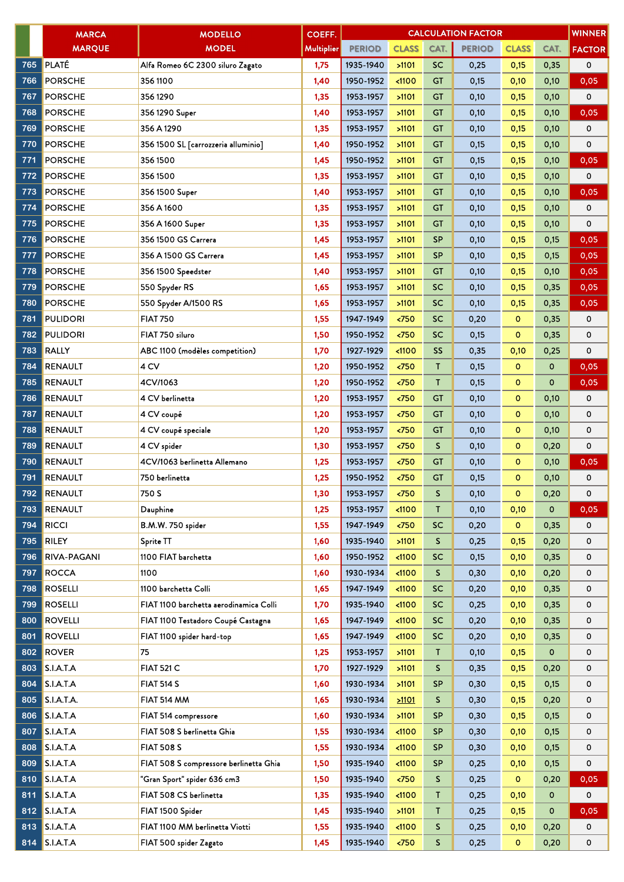|     | <b>MARCA</b>       | <b>MODELLO</b>                         | COEFF.     | <b>WINNER</b><br><b>CALCULATION FACTOR</b> |                       |              |               |              |             |                   |  |
|-----|--------------------|----------------------------------------|------------|--------------------------------------------|-----------------------|--------------|---------------|--------------|-------------|-------------------|--|
|     | <b>MARQUE</b>      | <b>MODEL</b>                           | Multiplier | <b>PERIOD</b>                              | <b>CLASS</b>          | CAT.         | <b>PERIOD</b> | <b>CLASS</b> | CAT.        | <b>FACTOR</b>     |  |
| 765 | <b>PLATÉ</b>       | Alfa Romeo 6C 2300 siluro Zagato       | 1,75       | 1935-1940                                  | >1101                 | <b>SC</b>    | 0,25          | 0,15         | 0,35        | 0                 |  |
| 766 | <b>PORSCHE</b>     | 356 1100                               | 1,40       | 1950-1952                                  | < 1100                | <b>GT</b>    | 0,15          | 0,10         | 0,10        | 0,05              |  |
| 767 | <b>PORSCHE</b>     | 3561290                                | 1,35       | 1953-1957                                  | >1101                 | <b>GT</b>    | 0,10          | 0,15         | 0,10        | 0                 |  |
| 768 | <b>PORSCHE</b>     | 356 1290 Super                         | 1,40       | 1953-1957                                  | >1101                 | <b>GT</b>    | 0,10          | 0,15         | 0,10        | 0,05              |  |
| 769 | <b>PORSCHE</b>     | 356 A 1290                             | 1,35       | 1953-1957                                  | >1101                 | <b>GT</b>    | 0,10          | 0,15         | 0,10        | 0                 |  |
| 770 | <b>PORSCHE</b>     | 356 1500 SL [carrozzeria alluminio]    | 1,40       | 1950-1952                                  | >1101                 | <b>GT</b>    | 0,15          | 0,15         | 0,10        | 0                 |  |
| 771 | <b>PORSCHE</b>     | 3561500                                | 1,45       | 1950-1952                                  | >1101                 | GT           | 0,15          | 0,15         | 0,10        | 0,05              |  |
| 772 | <b>PORSCHE</b>     | 356 1500                               | 1,35       | 1953-1957                                  | >1101                 | <b>GT</b>    | 0,10          | 0,15         | 0,10        | 0                 |  |
| 773 | <b>PORSCHE</b>     | 356 1500 Super                         | 1,40       | 1953-1957                                  | >1101                 | GT           | 0,10          | 0,15         | 0,10        | 0,05              |  |
| 774 | <b>PORSCHE</b>     | 356 A 1600                             | 1,35       | 1953-1957                                  | >1101                 | <b>GT</b>    | 0,10          | 0,15         | 0,10        | 0                 |  |
| 775 | <b>PORSCHE</b>     | 356 A 1600 Super                       | 1,35       | 1953-1957                                  | >1101                 | <b>GT</b>    | 0,10          | 0,15         | 0,10        | 0                 |  |
| 776 | <b>PORSCHE</b>     | 356 1500 GS Carrera                    | 1,45       | 1953-1957                                  | >1101                 | <b>SP</b>    | 0,10          | 0,15         | 0,15        | $\overline{0,05}$ |  |
| 777 | <b>PORSCHE</b>     | 356 A 1500 GS Carrera                  | 1,45       | 1953-1957                                  | >1101                 | <b>SP</b>    | 0,10          | 0,15         | 0,15        | 0,05              |  |
| 778 | <b>PORSCHE</b>     | 356 1500 Speedster                     | 1,40       | 1953-1957                                  | >1101                 | <b>GT</b>    | 0,10          | 0,15         | 0,10        | 0,05              |  |
| 779 | <b>PORSCHE</b>     | 550 Spyder RS                          | 1,65       | 1953-1957                                  | >1101                 | SC           | 0,10          | 0,15         | 0,35        | 0,05              |  |
| 780 | <b>PORSCHE</b>     | 550 Spyder A/1500 RS                   | 1,65       | 1953-1957                                  | >1101                 | <b>SC</b>    | 0,10          | 0,15         | 0,35        | 0,05              |  |
| 781 | <b>PULIDORI</b>    | <b>FIAT 750</b>                        | 1,55       | 1947-1949                                  | < 750                 | SC           | 0,20          | $\mathbf{O}$ | 0,35        | 0                 |  |
| 782 | <b>PULIDORI</b>    | FIAT 750 siluro                        | 1,50       | 1950-1952                                  | < 750                 | <b>SC</b>    | 0,15          | o            | 0,35        | 0                 |  |
| 783 | <b>RALLY</b>       | ABC 1100 (modèles competition)         | 1,70       | 1927-1929                                  | < 1100                | <b>SS</b>    | 0,35          | 0,10         | 0,25        | 0                 |  |
| 784 | <b>RENAULT</b>     | 4 CV                                   | 1,20       | 1950-1952                                  | < 750                 | Τ            | 0,15          | $\circ$      | 0           | 0,05              |  |
| 785 | <b>RENAULT</b>     | 4CV/1063                               | 1,20       | 1950-1952                                  | < 750                 | $\mathsf{T}$ | 0,15          | $\mathbf{o}$ | $\mathbf 0$ | 0,05              |  |
| 786 | <b>RENAULT</b>     | 4 CV berlinetta                        | 1,20       | 1953-1957                                  | < 750                 | <b>GT</b>    | 0,10          | $\circ$      | 0,10        | 0                 |  |
| 787 | <b>RENAULT</b>     | 4 CV coupé                             | 1,20       | 1953-1957                                  | < 750                 | <b>GT</b>    | 0,10          | $\mathbf 0$  | 0,10        | 0                 |  |
| 788 | <b>RENAULT</b>     | 4 CV coupé speciale                    | 1,20       | 1953-1957                                  | < 750                 | <b>GT</b>    | 0,10          | $\circ$      | 0,10        | 0                 |  |
| 789 | <b>RENAULT</b>     | 4 CV spider                            | 1,30       | 1953-1957                                  | < 750                 | $\mathsf{S}$ | 0,10          | $\mathbf{o}$ | 0,20        | 0                 |  |
| 790 | <b>RENAULT</b>     | 4CV/1063 berlinetta Allemano           | 1,25       | 1953-1957                                  | < 750                 | GT           | 0,10          | $\mathbf{o}$ | 0,10        | 0,05              |  |
| 791 | <b>RENAULT</b>     | 750 berlinetta                         | 1,25       | 1950-1952                                  | $750$                 | <b>GT</b>    | 0,15          | $\circ$      | 0,10        | 0                 |  |
| 792 | <b>RENAULT</b>     | 750 S                                  | 1,30       | 1953-1957                                  | < 750                 | S            | 0,10          | $\Omega$     | 0,20        | 0                 |  |
| 793 | <b>RENAULT</b>     | Dauphine                               | 1,25       | 1953-1957                                  | < 1100                | T            | 0,10          | 0,10         | 0           | 0,05              |  |
| 794 | <b>RICCI</b>       | B.M.W. 750 spider                      | 1,55       | 1947-1949                                  | $750$                 | <b>SC</b>    | 0,20          | $\mathbf{O}$ | 0,35        | 0                 |  |
| 795 | <b>RILEY</b>       | Sprite TT                              | 1,60       | 1935-1940                                  | >1101                 | S.           | 0,25          | 0,15         | 0,20        | 0                 |  |
| 796 | <b>RIVA-PAGANI</b> | 1100 FIAT barchetta                    | 1,60       | 1950-1952                                  | < 1100                | <b>SC</b>    | 0,15          | 0,10         | 0,35        | 0                 |  |
| 797 | <b>ROCCA</b>       | 1100                                   | 1,60       | 1930-1934                                  | < 1100                | S.           | 0,30          | 0,10         | 0,20        | 0                 |  |
| 798 | <b>ROSELLI</b>     | 1100 barchetta Colli                   | 1,65       | 1947-1949                                  | < 1100                | <b>SC</b>    | 0,20          | 0,10         | 0,35        | 0                 |  |
| 799 | <b>ROSELLI</b>     | FIAT 1100 barchetta aerodinamica Colli | 1,70       | 1935-1940                                  | < 1100                | <b>SC</b>    | 0,25          | 0,10         | 0,35        | 0                 |  |
| 800 | <b>ROVELLI</b>     | FIAT 1100 Testadoro Coupé Castagna     | 1,65       | 1947-1949                                  | < 1100                | <b>SC</b>    | 0,20          | 0,10         | 0,35        | 0                 |  |
| 801 | <b>ROVELLI</b>     | FIAT 1100 spider hard-top              | 1,65       | 1947-1949                                  | < 1100                | SC           | 0,20          | 0,10         | 0,35        | 0                 |  |
| 802 | <b>ROVER</b>       | 75                                     | 1,25       | 1953-1957                                  | >1101                 | T.           | 0,10          | 0,15         | 0           | 0                 |  |
| 803 | S.I.A.T.A          | <b>FIAT 521 C</b>                      | 1,70       | 1927-1929                                  | >1101                 | S.           | 0,35          | 0,15         | 0,20        | 0                 |  |
| 804 | S.I.A.T.A          | <b>FIAT 514 S</b>                      | 1,60       | 1930-1934                                  | >1101                 | <b>SP</b>    | 0,30          | 0,15         | 0,15        | 0                 |  |
| 805 | S.I.A.T.A.         | FIAT 514 MM                            | 1,65       | 1930-1934                                  | 21101                 | S            | 0,30          | 0,15         | 0,20        | 0                 |  |
| 806 | <b>S.I.A.T.A</b>   | FIAT 514 compressore                   | 1,60       | 1930-1934                                  | >1101                 | <b>SP</b>    | 0,30          | 0,15         | 0,15        | 0                 |  |
| 807 | S.I.A.T.A          | FIAT 508 S berlinetta Ghia             | 1,55       | 1930-1934                                  | < 1100                | <b>SP</b>    | 0,30          | 0,10         | 0,15        | 0                 |  |
| 808 | S.I.A.T.A          | <b>FIAT 508 S</b>                      | 1,55       | 1930-1934                                  | < 1100                | <b>SP</b>    | 0,30          | 0,10         | 0,15        | 0                 |  |
| 809 | S.I.A.T.A          | FIAT 508 S compressore berlinetta Ghia | 1,50       | 1935-1940                                  | < 1100                | <b>SP</b>    | 0,25          | 0,10         | 0,15        | 0                 |  |
| 810 | S.I.A.T.A          | "Gran Sport" spider 636 cm3            | 1,50       | 1935-1940                                  | $\overline{50}$       | S.           | 0,25          | $\mathbf{O}$ | 0,20        | 0,05              |  |
| 811 | S.I.A.T.A          | FIAT 508 CS berlinetta                 | 1,35       | 1935-1940                                  | < 1100                | Τ            | 0,25          | 0,10         | $\mathbf 0$ | 0                 |  |
| 812 | S.I.A.T.A          | FIAT 1500 Spider                       | 1,45       | 1935-1940                                  | >1101                 | $\mathsf{T}$ | 0,25          | 0,15         | 0           | 0,05              |  |
| 813 | <b>S.I.A.T.A</b>   | FIAT 1100 MM berlinetta Viotti         | 1,55       | 1935-1940                                  | $1100$                | S            | 0,25          | 0,10         | 0,20        | 0                 |  |
| 814 | S.I.A.T.A          | FIAT 500 spider Zagato                 | 1,45       | 1935-1940                                  | $\langle 750 \rangle$ | S            | 0,25          | $\mathbf{0}$ | 0,20        | 0                 |  |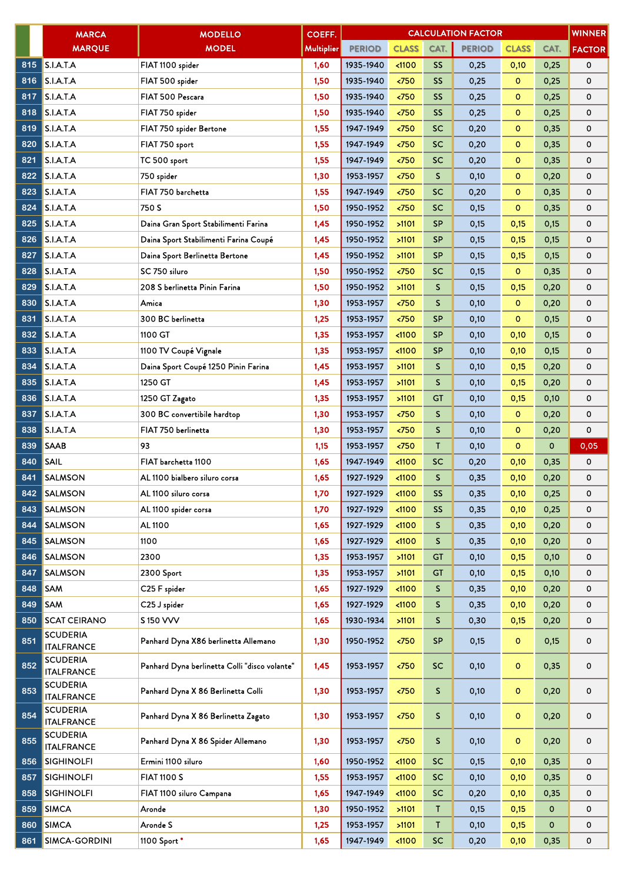|     | <b>MARCA</b>                         | <b>MODELLO</b>                                | COEFF.     | <b>WINNER</b><br><b>CALCULATION FACTOR</b> |                      |                 |               |              |             |               |  |
|-----|--------------------------------------|-----------------------------------------------|------------|--------------------------------------------|----------------------|-----------------|---------------|--------------|-------------|---------------|--|
|     | <b>MARQUE</b>                        | <b>MODEL</b>                                  | Multiplier | <b>PERIOD</b>                              | <b>CLASS</b>         | CAT.            | <b>PERIOD</b> | <b>CLASS</b> | CAT.        | <b>FACTOR</b> |  |
| 815 | <b>S.I.A.T.A</b>                     | FIAT 1100 spider                              | 1,60       | 1935-1940                                  | < 1100               | SS <sub>1</sub> | 0,25          | 0,10         | 0,25        | 0             |  |
| 816 | S.I.A.T.A                            | FIAT 500 spider                               | 1,50       | 1935-1940                                  | 50 <sub>2</sub>      | <b>SS</b>       | 0,25          | $\mathbf 0$  | 0,25        | 0             |  |
| 817 | S.I.A.T.A                            | FIAT 500 Pescara                              | 1,50       | 1935-1940                                  | < 750                | SS <sub>1</sub> | 0,25          | $\mathbf{o}$ | 0,25        | 0             |  |
| 818 | S.I.A.T.A                            | FIAT 750 spider                               | 1,50       | 1935-1940                                  | <750                 | <b>SS</b>       | 0,25          | $\mathbf 0$  | 0,25        | 0             |  |
| 819 | <b>S.I.A.T.A</b>                     | FIAT 750 spider Bertone                       | 1,55       | 1947-1949                                  | < 750                | <b>SC</b>       | 0,20          | $\circ$      | 0,35        | 0             |  |
| 820 | S.I.A.T.A                            | FIAT 750 sport                                | 1,55       | 1947-1949                                  | < 750                | <b>SC</b>       | 0,20          | $\mathbf 0$  | 0,35        | 0             |  |
| 821 | <b>S.I.A.T.A</b>                     | TC 500 sport                                  | 1,55       | 1947-1949                                  | $750$                | <b>SC</b>       | 0,20          | $\circ$      | 0,35        | 0             |  |
| 822 | <b>S.I.A.T.A</b>                     | 750 spider                                    | 1,30       | 1953-1957                                  | < 750                | $\mathsf{S}$    | 0,10          | $\mathbf{o}$ | 0,20        | 0             |  |
| 823 | <b>S.I.A.T.A</b>                     | FIAT 750 barchetta                            | 1,55       | 1947-1949                                  | < 750                | <b>SC</b>       | 0,20          | $\mathbf 0$  | 0,35        | 0             |  |
| 824 | <b>S.I.A.T.A</b>                     | 750 S                                         | 1,50       | 1950-1952                                  | 50 <sub>2</sub>      | <b>SC</b>       | 0,15          | $\circ$      | 0,35        | 0             |  |
| 825 | <b>S.I.A.T.A</b>                     | Daina Gran Sport Stabilimenti Farina          | 1,45       | 1950-1952                                  | >1101                | <b>SP</b>       | 0,15          | 0,15         | 0,15        | 0             |  |
| 826 | <b>S.I.A.T.A</b>                     | Daina Sport Stabilimenti Farina Coupé         | 1,45       | 1950-1952                                  | >1101                | <b>SP</b>       | 0,15          | 0,15         | 0,15        | 0             |  |
| 827 | <b>S.I.A.T.A</b>                     | Daina Sport Berlinetta Bertone                | 1,45       | 1950-1952                                  | >1101                | <b>SP</b>       | 0,15          | 0,15         | 0,15        | 0             |  |
| 828 | <b>S.I.A.T.A</b>                     | SC 750 siluro                                 | 1,50       | 1950-1952                                  | 50                   | <b>SC</b>       | 0,15          | $\mathbf 0$  | 0,35        | 0             |  |
| 829 | <b>S.I.A.T.A</b>                     | 208 S berlinetta Pinin Farina                 | 1,50       | 1950-1952                                  | >1101                | S.              | 0,15          | 0,15         | 0,20        | 0             |  |
| 830 | <b>S.I.A.T.A</b>                     | Amica                                         | 1,30       | 1953-1957                                  | $750$                | S               | 0,10          | $\mathbf 0$  | 0,20        | 0             |  |
| 831 | <b>S.I.A.T.A</b>                     | 300 BC berlinetta                             | 1,25       | 1953-1957                                  | < 750                | <b>SP</b>       | 0,10          | $\circ$      | 0,15        | 0             |  |
| 832 | S.I.A.T.A                            | 1100 GT                                       | 1,35       | 1953-1957                                  | < 1100               | <b>SP</b>       | 0,10          | 0,10         | 0,15        | 0             |  |
| 833 | <b>S.I.A.T.A</b>                     | 1100 TV Coupé Vignale                         | 1,35       | 1953-1957                                  | < 1100               | <b>SP</b>       | 0,10          | 0,10         | 0,15        | 0             |  |
| 834 | <b>S.I.A.T.A</b>                     | Daina Sport Coupé 1250 Pinin Farina           | 1,45       | 1953-1957                                  | >1101                | S               | 0,10          | 0,15         | 0,20        | 0             |  |
| 835 | S.I.A.T.A                            | 1250 GT                                       | 1,45       | 1953-1957                                  | >1101                | S               | 0,10          | 0,15         | 0,20        | 0             |  |
| 836 | S.I.A.T.A                            | 1250 GT Zagato                                | 1,35       | 1953-1957                                  | >1101                | <b>GT</b>       | 0,10          | 0,15         | 0,10        | 0             |  |
| 837 | <b>S.I.A.T.A</b>                     | 300 BC convertibile hardtop                   | 1,30       | 1953-1957                                  | $750$                | S.              | 0,10          | $\mathbf{O}$ | 0,20        | 0             |  |
| 838 | <b>S.I.A.T.A</b>                     | FIAT 750 berlinetta                           | 1,30       | 1953-1957                                  | $750$                | S               | 0,10          | $\circ$      | 0,20        | 0             |  |
| 839 | <b>SAAB</b>                          | 93                                            | 1,15       | 1953-1957                                  | < 750                | T               | 0,10          | $\mathbf{o}$ | $\mathbf 0$ | 0,05          |  |
| 840 | <b>SAIL</b>                          | FIAT barchetta 1100                           | 1,65       | 1947-1949                                  | < 1100               | <b>SC</b>       | 0,20          | 0,10         | 0,35        | 0             |  |
| 841 | <b>SALMSON</b>                       | AL 1100 bialbero siluro corsa                 | 1,65       | 1927-1929                                  | $1100$               | S               | 0,35          | 0,10         | 0,20        | 0             |  |
|     | 842 SALMSON                          | AL 1100 siluro corsa                          | 1,70       | 1927-1929                                  | $1100$               | SS              | 0,35          | 0,10         | 0,25        | 0             |  |
| 843 | <b>SALMSON</b>                       | AL 1100 spider corsa                          | 1,70       | 1927-1929                                  | $\triangleleft 1100$ | SS              | 0,35          | 0,10         | 0,25        | 0             |  |
| 844 | <b>SALMSON</b>                       | AL 1100                                       | 1,65       | 1927-1929                                  | $1100$               | S.              | 0,35          | 0,10         | 0,20        | 0             |  |
| 845 | <b>SALMSON</b>                       | 1100                                          | 1,65       | 1927-1929                                  | < 1100               | S               | 0,35          | 0,10         | 0,20        | 0             |  |
| 846 | <b>SALMSON</b>                       | 2300                                          | 1,35       | 1953-1957                                  | >1101                | GT              | 0,10          | 0,15         | 0,10        | 0             |  |
| 847 | <b>SALMSON</b>                       | 2300 Sport                                    | 1,35       | 1953-1957                                  | >1101                | <b>GT</b>       | 0,10          | 0,15         | 0,10        | 0             |  |
| 848 | <b>SAM</b>                           | C25 F spider                                  | 1,65       | 1927-1929                                  | $1100$               | S.              | 0,35          | 0,10         | 0,20        | 0             |  |
| 849 | <b>SAM</b>                           | C25 J spider                                  | 1,65       | 1927-1929                                  | < 1100               | S               | 0,35          | 0,10         | 0,20        | 0             |  |
| 850 | <b>SCAT CEIRANO</b>                  | S 150 VVV                                     | 1,65       | 1930-1934                                  | >1101                | S               | 0,30          | 0,15         | 0,20        | 0             |  |
| 851 | <b>SCUDERIA</b><br><b>ITALFRANCE</b> | Panhard Dyna X86 berlinetta Allemano          | 1,30       | 1950-1952                                  | $\langle 750$        | <b>SP</b>       | 0,15          | $\circ$      | 0,15        | 0             |  |
| 852 | <b>SCUDERIA</b><br><b>ITALFRANCE</b> | Panhard Dyna berlinetta Colli "disco volante" | 1,45       | 1953-1957                                  | $\langle 750$        | <b>SC</b>       | 0,10          | $\mathbf 0$  | 0,35        | 0             |  |
| 853 | <b>SCUDERIA</b><br><b>ITALFRANCE</b> | Panhard Dyna X 86 Berlinetta Colli            | 1,30       | 1953-1957                                  | $\langle 750$        | S.              | 0,10          | $\mathbf 0$  | 0,20        | 0             |  |
| 854 | <b>SCUDERIA</b><br><b>ITALFRANCE</b> | Panhard Dyna X 86 Berlinetta Zagato           | 1,30       | 1953-1957                                  | $750$                | S.              | 0,10          | $\circ$      | 0,20        | 0             |  |
| 855 | <b>SCUDERIA</b><br><b>ITALFRANCE</b> | Panhard Dyna X 86 Spider Allemano             | 1,30       | 1953-1957                                  | $\langle 750$        | S.              | 0,10          | $\circ$      | 0,20        | 0             |  |
| 856 | <b>SIGHINOLFI</b>                    | Ermini 1100 siluro                            | 1,60       | 1950-1952                                  | $1100$               | <b>SC</b>       | 0,15          | 0,10         | 0,35        | 0             |  |
| 857 | <b>SIGHINOLFI</b>                    | <b>FIAT 1100 S</b>                            | 1,55       | 1953-1957                                  | < 1100               | <b>SC</b>       | 0,10          | 0,10         | 0,35        | 0             |  |
| 858 | <b>SIGHINOLFI</b>                    | FIAT 1100 siluro Campana                      | 1,65       | 1947-1949                                  | < 1100               | <b>SC</b>       | 0,20          | 0,10         | 0,35        | 0             |  |
| 859 | <b>SIMCA</b>                         | Aronde                                        | 1,30       | 1950-1952                                  | >1101                | T               | 0,15          | 0,15         | 0           | 0             |  |
| 860 | <b>SIMCA</b>                         | Aronde S                                      | 1,25       | 1953-1957                                  | >1101                | Τ               | 0,10          | 0,15         | 0           | 0             |  |
| 861 | <b>SIMCA-GORDINI</b>                 | 1100 Sport *                                  | 1,65       | 1947-1949                                  | < 1100               | <b>SC</b>       | 0,20          | 0,10         | 0,35        | 0             |  |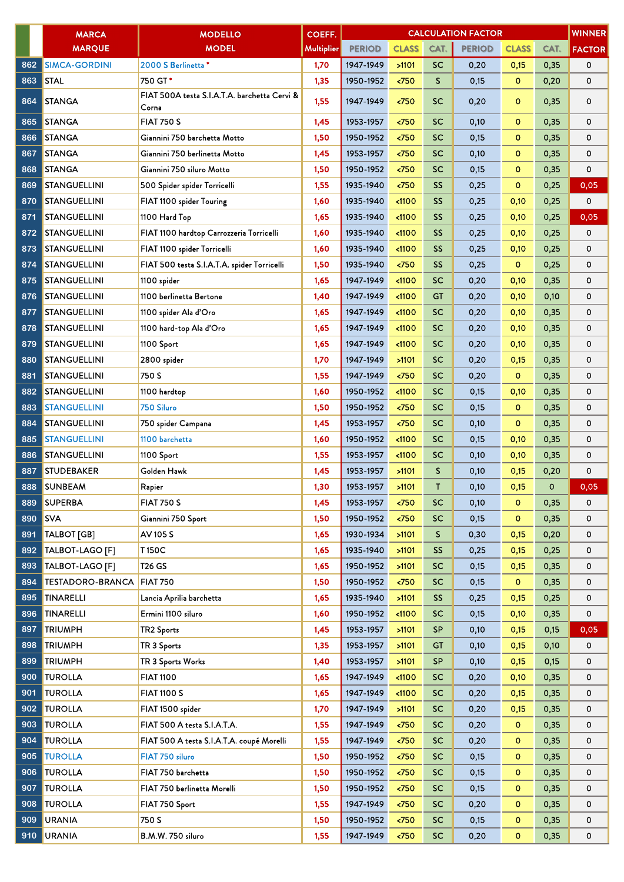|     | <b>MARCA</b>            | <b>MODELLO</b>                                        | COEFF.            | <b>WINNER</b><br><b>CALCULATION FACTOR</b> |                       |              |               |              |      |               |  |  |
|-----|-------------------------|-------------------------------------------------------|-------------------|--------------------------------------------|-----------------------|--------------|---------------|--------------|------|---------------|--|--|
|     | <b>MARQUE</b>           | <b>MODEL</b>                                          | <b>Multiplier</b> | <b>PERIOD</b>                              | <b>CLASS</b>          | CAT.         | <b>PERIOD</b> | <b>CLASS</b> | CAT. | <b>FACTOR</b> |  |  |
| 862 | <b>SIMCA-GORDINI</b>    | 2000 S Berlinetta*                                    | 1,70              | 1947-1949                                  | >1101                 | <b>SC</b>    | 0,20          | 0,15         | 0,35 | 0             |  |  |
| 863 | <b>STAL</b>             | 750 GT*                                               | 1,35              | 1950-1952                                  | 50 <sub>2</sub>       | $\mathsf{S}$ | 0,15          | $\mathbf 0$  | 0,20 | 0             |  |  |
| 864 | <b>STANGA</b>           | FIAT 500A testa S.I.A.T.A. barchetta Cervi &<br>Corna | 1,55              | 1947-1949                                  | < 750                 | <b>SC</b>    | 0,20          | $\circ$      | 0,35 | 0             |  |  |
| 865 | <b>STANGA</b>           | <b>FIAT 750 S</b>                                     | 1,45              | 1953-1957                                  | 50                    | <b>SC</b>    | 0,10          | o            | 0,35 | 0             |  |  |
| 866 | <b>STANGA</b>           | Giannini 750 barchetta Motto                          | 1,50              | 1950-1952                                  | < 750                 | <b>SC</b>    | 0,15          | $\mathbf{o}$ | 0,35 | 0             |  |  |
| 867 | <b>STANGA</b>           | Giannini 750 berlinetta Motto                         | 1,45              | 1953-1957                                  | 50                    | <b>SC</b>    | 0,10          | $\circ$      | 0,35 | 0             |  |  |
| 868 | <b>STANGA</b>           | Giannini 750 siluro Motto                             | 1,50              | 1950-1952                                  | < 750                 | SC           | 0,15          | $\circ$      | 0,35 | 0             |  |  |
| 869 | <b>STANGUELLINI</b>     | 500 Spider spider Torricelli                          | 1,55              | 1935-1940                                  | $750$                 | SS           | 0,25          | $\mathbf 0$  | 0,25 | 0,05          |  |  |
| 870 | STANGUELLINI            | FIAT 1100 spider Touring                              | 1,60              | 1935-1940                                  | < 1100                | <b>SS</b>    | 0,25          | 0,10         | 0,25 | 0             |  |  |
| 871 | <b>STANGUELLINI</b>     | 1100 Hard Top                                         | 1,65              | 1935-1940                                  | < 1100                | SS           | 0,25          | 0,10         | 0,25 | 0,05          |  |  |
| 872 | <b>STANGUELLINI</b>     | FIAT 1100 hardtop Carrozzeria Torricelli              | 1,60              | 1935-1940                                  | < 1100                | <b>SS</b>    | 0,25          | 0,10         | 0,25 | 0             |  |  |
| 873 | <b>STANGUELLINI</b>     | FIAT 1100 spider Torricelli                           | 1,60              | 1935-1940                                  | $1100$                | SS.          | 0,25          | 0,10         | 0,25 | 0             |  |  |
| 874 | <b>STANGUELLINI</b>     | FIAT 500 testa S.I.A.T.A. spider Torricelli           | 1,50              | 1935-1940                                  | < 750                 | <b>SS</b>    | 0,25          | $\mathbf 0$  | 0,25 | 0             |  |  |
| 875 | <b>STANGUELLINI</b>     | 1100 spider                                           | 1,65              | 1947-1949                                  | $1100$                | <b>SC</b>    | 0,20          | 0,10         | 0,35 | 0             |  |  |
| 876 | <b>STANGUELLINI</b>     | 1100 berlinetta Bertone                               | 1,40              | 1947-1949                                  | < 1100                | <b>GT</b>    | 0,20          | 0,10         | 0,10 | 0             |  |  |
| 877 | <b>STANGUELLINI</b>     | 1100 spider Ala d'Oro                                 | 1,65              | 1947-1949                                  | < 1100                | <b>SC</b>    | 0,20          | 0,10         | 0,35 | 0             |  |  |
| 878 | <b>STANGUELLINI</b>     | 1100 hard-top Ala d'Oro                               | 1,65              | 1947-1949                                  | $1100$                | <b>SC</b>    | 0,20          | 0,10         | 0,35 | 0             |  |  |
| 879 | <b>STANGUELLINI</b>     | 1100 Sport                                            | 1,65              | 1947-1949                                  | $1100$                | <b>SC</b>    | 0,20          | 0,10         | 0,35 | 0             |  |  |
| 880 | <b>STANGUELLINI</b>     | 2800 spider                                           | 1,70              | 1947-1949                                  | >1101                 | <b>SC</b>    | 0,20          | 0,15         | 0,35 | 0             |  |  |
| 881 | <b>STANGUELLINI</b>     | 750 S                                                 | 1,55              | 1947-1949                                  | < 750                 | <b>SC</b>    | 0,20          | $\mathbf 0$  | 0,35 | 0             |  |  |
| 882 | <b>STANGUELLINI</b>     | 1100 hardtop                                          | 1,60              | 1950-1952                                  | < 1100                | <b>SC</b>    | 0,15          | 0,10         | 0,35 | 0             |  |  |
| 883 | <b>STANGUELLINI</b>     | <b>750 Siluro</b>                                     | 1,50              | 1950-1952                                  | < 750                 | <b>SC</b>    | 0,15          | $\mathbf{O}$ | 0,35 | 0             |  |  |
| 884 | <b>STANGUELLINI</b>     | 750 spider Campana                                    | 1,45              | 1953-1957                                  | 50 <sub>2</sub>       | <b>SC</b>    | 0,10          | $\circ$      | 0,35 | 0             |  |  |
| 885 | <b>STANGUELLINI</b>     | 1100 barchetta                                        | 1,60              | 1950-1952                                  | $1100$                | <b>SC</b>    | 0,15          | 0,10         | 0,35 | 0             |  |  |
| 886 | <b>STANGUELLINI</b>     | 1100 Sport                                            | 1,55              | 1953-1957                                  | < 1100                | <b>SC</b>    | 0,10          | 0,10         | 0,35 | 0             |  |  |
| 887 | <b>STUDEBAKER</b>       | Golden Hawk                                           | 1,45              | 1953-1957                                  | >1101                 | S.           | 0,10          | 0,15         | 0,20 | 0             |  |  |
| 888 | <b>SUNBEAM</b>          | Rapier                                                | 1,30              | 1953-1957                                  | >1101                 | T            | 0,10          | 0,15         | 0    | 0,05          |  |  |
| 889 | <b>SUPERBA</b>          | <b>FIAT 750 S</b>                                     | 1,45              | 1953-1957                                  | $\langle 750$         | <b>SC</b>    | 0,10          | $\circ$      | 0,35 | 0             |  |  |
| 890 | <b>SVA</b>              | Giannini 750 Sport                                    | 1,50              | 1950-1952                                  | $750$                 | <b>SC</b>    | 0,15          | o            | 0,35 | 0             |  |  |
| 891 | TALBOT [GB]             | AV 105 S                                              | 1,65              | 1930-1934                                  | >1101                 | S.           | 0,30          | 0,15         | 0,20 | 0             |  |  |
| 892 | TALBOT-LAGO [F]         | T150C                                                 | 1,65              | 1935-1940                                  | >1101                 | <b>SS</b>    | 0,25          | 0,15         | 0,25 | 0             |  |  |
| 893 | TALBOT-LAGO [F]         | <b>T26 GS</b>                                         | 1,65              | 1950-1952                                  | >1101                 | <b>SC</b>    | 0,15          | 0,15         | 0,35 | 0             |  |  |
| 894 | <b>TESTADORO-BRANCA</b> | <b>FIAT 750</b>                                       | 1,50              | 1950-1952                                  | < 750                 | <b>SC</b>    | 0,15          | $\mathbf{O}$ | 0,35 | 0             |  |  |
| 895 | <b>TINARELLI</b>        | Lancia Aprilia barchetta                              | 1,65              | 1935-1940                                  | >1101                 | <b>SS</b>    | 0,25          | 0,15         | 0,25 | 0             |  |  |
| 896 | <b>TINARELLI</b>        | Ermini 1100 siluro                                    | 1,60              | 1950-1952                                  | $1100$                | <b>SC</b>    | 0,15          | 0,10         | 0,35 | 0             |  |  |
| 897 | <b>TRIUMPH</b>          | TR2 Sports                                            | 1,45              | 1953-1957                                  | >1101                 | <b>SP</b>    | 0,10          | 0,15         | 0,15 | 0,05          |  |  |
| 898 | <b>TRIUMPH</b>          | TR 3 Sports                                           | 1,35              | 1953-1957                                  | >1101                 | <b>GT</b>    | 0,10          | 0,15         | 0,10 | 0             |  |  |
| 899 | <b>TRIUMPH</b>          | TR 3 Sports Works                                     | 1,40              | 1953-1957                                  | >1101                 | <b>SP</b>    | 0,10          | 0,15         | 0,15 | 0             |  |  |
| 900 | <b>TUROLLA</b>          | <b>FIAT 1100</b>                                      | 1,65              | 1947-1949                                  | $1100$                | <b>SC</b>    | 0,20          | 0,10         | 0,35 | 0             |  |  |
| 901 | <b>TUROLLA</b>          | <b>FIAT 1100 S</b>                                    | 1,65              | 1947-1949                                  | < 1100                | <b>SC</b>    | 0,20          | 0,15         | 0,35 | 0             |  |  |
| 902 | <b>TUROLLA</b>          | FIAT 1500 spider                                      | 1,70              | 1947-1949                                  | >1101                 | <b>SC</b>    | 0,20          | 0,15         | 0,35 | 0             |  |  |
| 903 | <b>TUROLLA</b>          | FIAT 500 A testa S.I.A.T.A.                           | 1,55              | 1947-1949                                  | < 750                 | <b>SC</b>    | 0,20          | $\mathbf{o}$ | 0,35 | 0             |  |  |
| 904 | <b>TUROLLA</b>          | FIAT 500 A testa S.I.A.T.A. coupé Morelli             | 1,55              | 1947-1949                                  | $750$                 | <b>SC</b>    | 0,20          | $\circ$      | 0,35 | 0             |  |  |
| 905 | <b>TUROLLA</b>          | FIAT 750 siluro                                       | 1,50              | 1950-1952                                  | < 750                 | <b>SC</b>    | 0,15          | $\mathbf 0$  | 0,35 | 0             |  |  |
| 906 | <b>TUROLLA</b>          | FIAT 750 barchetta                                    | 1,50              | 1950-1952                                  | $\langle 750$         | <b>SC</b>    | 0,15          | $\mathbf{o}$ | 0,35 | 0             |  |  |
| 907 | <b>TUROLLA</b>          | FIAT 750 berlinetta Morelli                           | 1,50              | 1950-1952                                  | < 750                 | <b>SC</b>    | 0,15          | $\circ$      | 0,35 | 0             |  |  |
| 908 | <b>TUROLLA</b>          | FIAT 750 Sport                                        | 1,55              | 1947-1949                                  | $\langle 750 \rangle$ | <b>SC</b>    | 0,20          | $\mathbf 0$  | 0,35 | 0             |  |  |
| 909 | <b>URANIA</b>           | 750 S                                                 | 1,50              | 1950-1952                                  | $750$                 | <b>SC</b>    | 0,15          | $\mathbf{o}$ | 0,35 | 0             |  |  |
| 910 | URANIA                  | B.M.W. 750 siluro                                     | 1,55              | 1947-1949                                  | < 750                 | <b>SC</b>    | 0,20          | $\mathbf{o}$ | 0,35 | 0             |  |  |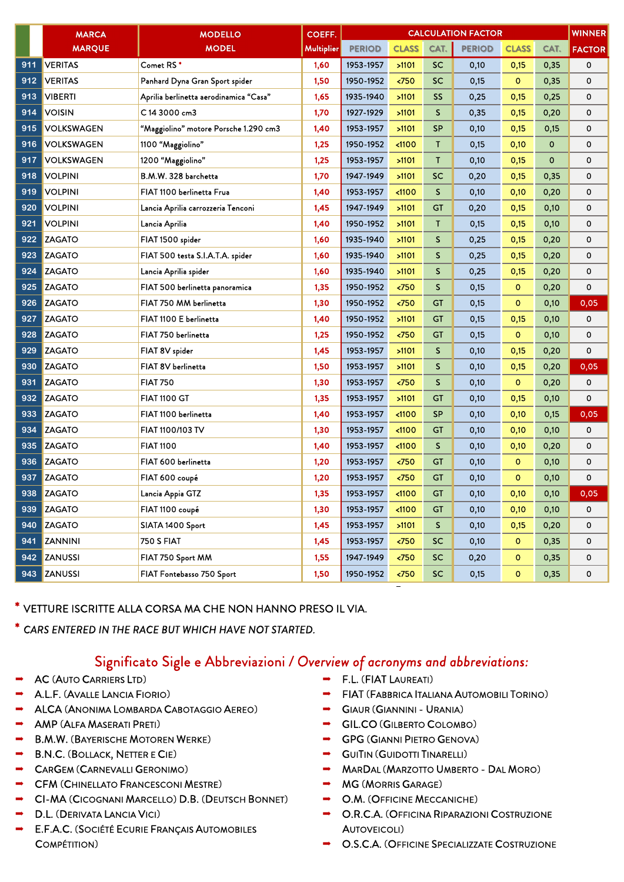|     | <b>MARCA</b>      | <b>MODELLO</b>                         | COEFF.     | <b>WINNER</b><br><b>CALCULATION FACTOR</b> |               |              |               |              |             |               |  |  |
|-----|-------------------|----------------------------------------|------------|--------------------------------------------|---------------|--------------|---------------|--------------|-------------|---------------|--|--|
|     | <b>MARQUE</b>     | <b>MODEL</b>                           | Multiplier | <b>PERIOD</b>                              | <b>CLASS</b>  | CAT.         | <b>PERIOD</b> | <b>CLASS</b> | CAT.        | <b>FACTOR</b> |  |  |
| 911 | <b>VERITAS</b>    | Comet RS*                              | 1,60       | 1953-1957                                  | >1101         | <b>SC</b>    | 0,10          | 0,15         | 0,35        | 0             |  |  |
| 912 | <b>VERITAS</b>    | Panhard Dyna Gran Sport spider         | 1,50       | 1950-1952                                  | $\times 750$  | SC           | 0,15          | $\mathbf 0$  | 0,35        | 0             |  |  |
| 913 | <b>VIBERTI</b>    | Aprilia berlinetta aerodinamica "Casa" | 1,65       | 1935-1940                                  | >1101         | <b>SS</b>    | 0,25          | 0,15         | 0,25        | 0             |  |  |
| 914 | <b>VOISIN</b>     | C 14 3000 cm3                          | 1,70       | 1927-1929                                  | >1101         | S            | 0,35          | 0,15         | 0,20        | 0             |  |  |
| 915 | <b>VOLKSWAGEN</b> | "Maggiolino" motore Porsche 1.290 cm3  | 1,40       | 1953-1957                                  | >1101         | <b>SP</b>    | 0,10          | 0,15         | 0,15        | 0             |  |  |
| 916 | <b>VOLKSWAGEN</b> | 1100 "Maggiolino"                      | 1,25       | 1950-1952                                  | < 1100        | T            | 0,15          | 0,10         | $\mathbf 0$ | 0             |  |  |
| 917 | <b>VOLKSWAGEN</b> | 1200 "Maggiolino"                      | 1,25       | 1953-1957                                  | >1101         | $\mathsf{T}$ | 0,10          | 0,15         | $\mathbf 0$ | 0             |  |  |
| 918 | <b>VOLPINI</b>    | B.M.W. 328 barchetta                   | 1,70       | 1947-1949                                  | >1101         | <b>SC</b>    | 0,20          | 0,15         | 0,35        | 0             |  |  |
| 919 | <b>VOLPINI</b>    | FIAT 1100 berlinetta Frua              | 1,40       | 1953-1957                                  | < 1100        | S            | 0,10          | 0,10         | 0,20        | 0             |  |  |
| 920 | <b>VOLPINI</b>    | Lancia Aprilia carrozzeria Tenconi     | 1,45       | 1947-1949                                  | >1101         | GT           | 0,20          | 0,15         | 0,10        | 0             |  |  |
| 921 | <b>VOLPINI</b>    | Lancia Aprilia                         | 1,40       | 1950-1952                                  | >1101         | Τ            | 0,15          | 0,15         | 0,10        | 0             |  |  |
| 922 | <b>ZAGATO</b>     | FIAT 1500 spider                       | 1,60       | 1935-1940                                  | >1101         | S            | 0,25          | 0,15         | 0,20        | 0             |  |  |
| 923 | <b>ZAGATO</b>     | FIAT 500 testa S.I.A.T.A. spider       | 1,60       | 1935-1940                                  | >1101         | S.           | 0,25          | 0,15         | 0,20        | 0             |  |  |
| 924 | <b>ZAGATO</b>     | Lancia Aprilia spider                  | 1,60       | 1935-1940                                  | >1101         | S            | 0,25          | 0,15         | 0,20        | 0             |  |  |
| 925 | <b>ZAGATO</b>     | FIAT 500 berlinetta panoramica         | 1,35       | 1950-1952                                  | < 750         | $\mathsf{S}$ | 0,15          | $\mathbf{o}$ | 0,20        | 0             |  |  |
| 926 | ZAGATO            | FIAT 750 MM berlinetta                 | 1,30       | 1950-1952                                  | < 750         | <b>GT</b>    | 0,15          | $\circ$      | 0,10        | 0,05          |  |  |
| 927 | <b>ZAGATO</b>     | FIAT 1100 E berlinetta                 | 1,40       | 1950-1952                                  | >1101         | <b>GT</b>    | 0,15          | 0,15         | 0,10        | 0             |  |  |
| 928 | <b>ZAGATO</b>     | FIAT 750 berlinetta                    | 1,25       | 1950-1952                                  | < 750         | GT           | 0,15          | $\mathbf 0$  | 0,10        | 0             |  |  |
| 929 | <b>ZAGATO</b>     | FIAT 8V spider                         | 1,45       | 1953-1957                                  | >1101         | $\mathsf{S}$ | 0,10          | 0,15         | 0,20        | 0             |  |  |
| 930 | <b>ZAGATO</b>     | FIAT 8V berlinetta                     | 1,50       | 1953-1957                                  | >1101         | S            | 0,10          | 0,15         | 0,20        | 0,05          |  |  |
| 931 | <b>ZAGATO</b>     | <b>FIAT 750</b>                        | 1,30       | 1953-1957                                  | $\times 750$  | S            | 0,10          | $\mathbf{O}$ | 0,20        | 0             |  |  |
| 932 | <b>ZAGATO</b>     | <b>FIAT 1100 GT</b>                    | 1,35       | 1953-1957                                  | >1101         | GT           | 0,10          | 0,15         | 0,10        | 0             |  |  |
| 933 | <b>ZAGATO</b>     | FIAT 1100 berlinetta                   | 1,40       | 1953-1957                                  | $1100$        | <b>SP</b>    | 0,10          | 0,10         | 0,15        | 0,05          |  |  |
| 934 | <b>ZAGATO</b>     | FIAT 1100/103 TV                       | 1,30       | 1953-1957                                  | < 1100        | GT           | 0,10          | 0,10         | 0,10        | 0             |  |  |
| 935 | <b>ZAGATO</b>     | <b>FIAT 1100</b>                       | 1,40       | 1953-1957                                  | $1100$        | S.           | 0,10          | 0,10         | 0,20        | 0             |  |  |
| 936 | ZAGATO            | FIAT 600 berlinetta                    | 1,20       | 1953-1957                                  | < 750         | <b>GT</b>    | 0,10          | $\mathbf 0$  | 0,10        | 0             |  |  |
| 937 | <b>ZAGATO</b>     | FIAT 600 coupé                         | 1,20       | 1953-1957                                  | $750$         | GT           | 0,10          | $\circ$      | 0,10        | 0             |  |  |
|     | 938 ZAGATO        | Lancia Appia GTZ                       | 1,35       | 1953-1957                                  | < 1100        | GT           | 0,10          | 0,10         | 0,10        | 0,05          |  |  |
|     | 939 ZAGATO        | FIAT 1100 coupé                        | 1,30       | 1953-1957                                  | $1100$        | GT           | 0,10          | 0,10         | 0,10        | 0             |  |  |
|     | 940 ZAGATO        | SIATA 1400 Sport                       | 1,45       | 1953-1957                                  | >1101         | S.           | 0,10          | 0,15         | 0,20        | 0             |  |  |
| 941 | <b>ZANNINI</b>    | <b>750 S FIAT</b>                      | 1,45       | 1953-1957                                  | $\langle 750$ | <b>SC</b>    | 0,10          | $\mathbf{O}$ | 0,35        | 0             |  |  |
|     | 942 ZANUSSI       | FIAT 750 Sport MM                      | 1,55       | 1947-1949                                  | $\langle 750$ | <b>SC</b>    | 0,20          | $\mathbf{O}$ | 0,35        | 0             |  |  |
|     | 943 ZANUSSI       | FIAT Fontebasso 750 Sport              | 1,50       | 1950-1952                                  | $750$         | <b>SC</b>    | 0,15          | $\mathbf{O}$ | 0,35        | 0             |  |  |

\*VETTURE ISCRITTE ALLA CORSA MA CHE NON HANNO PRESO IL VIA.

\* *CARS ENTERED IN THE RACE BUT WHICH HAVE NOT STARTED.* 

## Significato Sigle e Abbreviazioni */ Overview of acronyms and abbreviations:*

- AC (AUTO CARRIERS LTD)
- A.L.F. (AVALLE LANCIA FIORIO)
- **ALCA (ANONIMA LOMBARDA CABOTAGGIO AEREO)**
- AMP (ALFA MASERATI PRETI)
- $\rightarrow$  B.M.W. (BAYERISCHE MOTOREN WERKE)
- $\rightarrow$  B.N.C. (BOLLACK, NETTER E CIE)
- **CARGEM (CARNEVALLI GERONIMO)**
- **THE CFM (CHINELLATO FRANCESCONI MESTRE)**
- **CI-MA (CICOGNANI MARCELLO) D.B. (DEUTSCH BONNET)**
- D.L. (DERIVATA LANCIA VICI)
- E.F.A.C. (SOCIÉTÉ ECURIE FRANÇAIS AUTOMOBILES COMPÉTITION)
- F.L. (FIAT LAUREATI)
- FIAT (FABBRICA ITALIANA AUTOMOBILI TORINO)
- GIAUR (GIANNINI URANIA)
- **GIL.CO (GILBERTO COLOMBO)**
- GPG (GIANNI PIETRO GENOVA)
- **GUITIN (GUIDOTTI TINARELLI)**
- **MARDAL (MARZOTTO UMBERTO DAL MORO)**
- $\rightarrow$  MG (MORRIS GARAGE)
- O.M. (OFFICINE MECCANICHE)
- O.R.C.A. (OFFICINA RIPARAZIONI COSTRUZIONE AUTOVEICOLI)
- O.S.C.A. (OFFICINE SPECIALIZZATE COSTRUZIONE